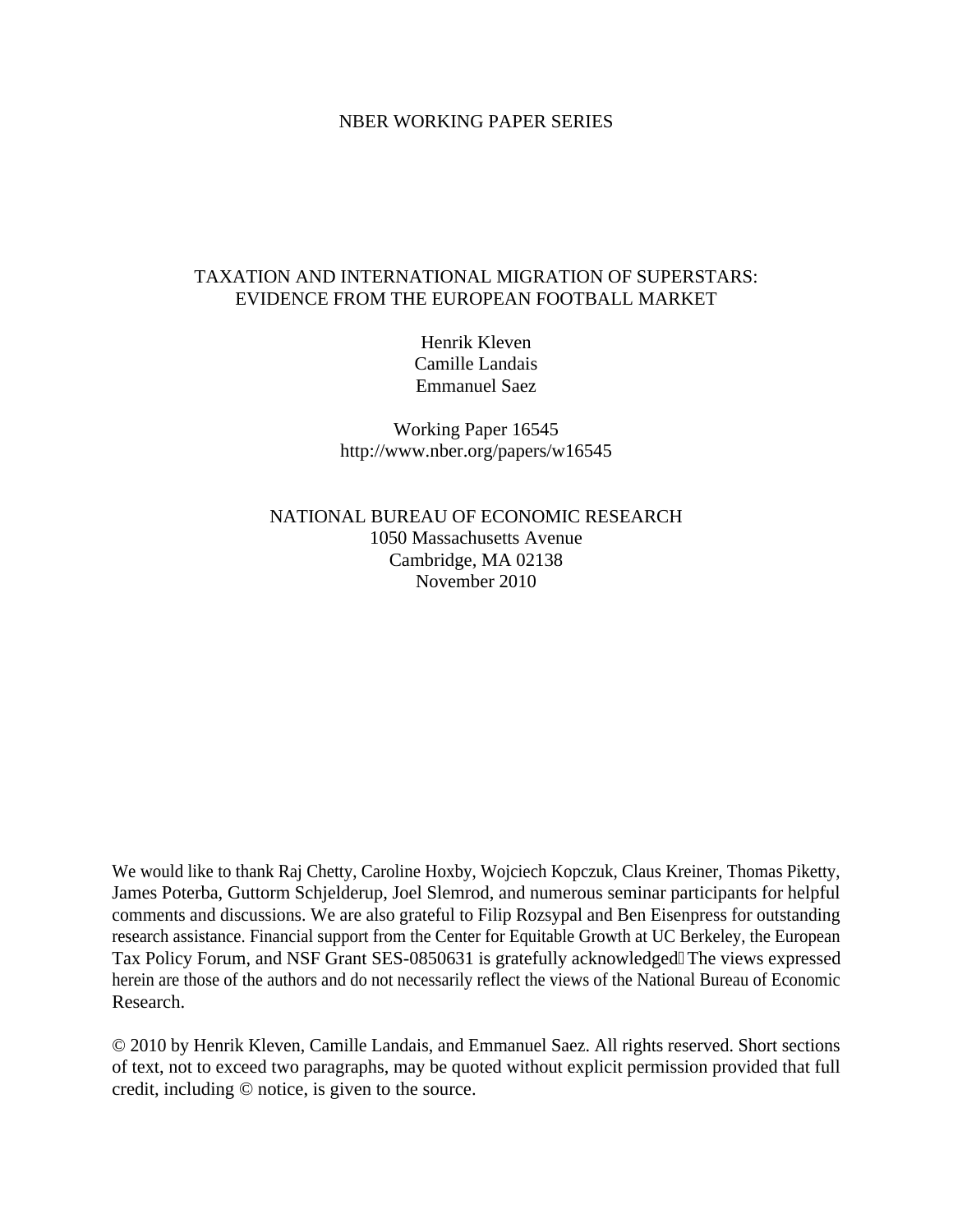#### NBER WORKING PAPER SERIES

### TAXATION AND INTERNATIONAL MIGRATION OF SUPERSTARS: EVIDENCE FROM THE EUROPEAN FOOTBALL MARKET

Henrik Kleven Camille Landais Emmanuel Saez

Working Paper 16545 http://www.nber.org/papers/w16545

NATIONAL BUREAU OF ECONOMIC RESEARCH 1050 Massachusetts Avenue Cambridge, MA 02138 November 2010

We would like to thank Raj Chetty, Caroline Hoxby, Wojciech Kopczuk, Claus Kreiner, Thomas Piketty, James Poterba, Guttorm Schjelderup, Joel Slemrod, and numerous seminar participants for helpful comments and discussions. We are also grateful to Filip Rozsypal and Ben Eisenpress for outstanding research assistance. Financial support from the Center for Equitable Growth at UC Berkeley, the European Tax Policy Forum, and NSF Grant SES-0850631 is gratefully acknowledged 0The views expressed herein are those of the authors and do not necessarily reflect the views of the National Bureau of Economic Research.

© 2010 by Henrik Kleven, Camille Landais, and Emmanuel Saez. All rights reserved. Short sections of text, not to exceed two paragraphs, may be quoted without explicit permission provided that full credit, including © notice, is given to the source.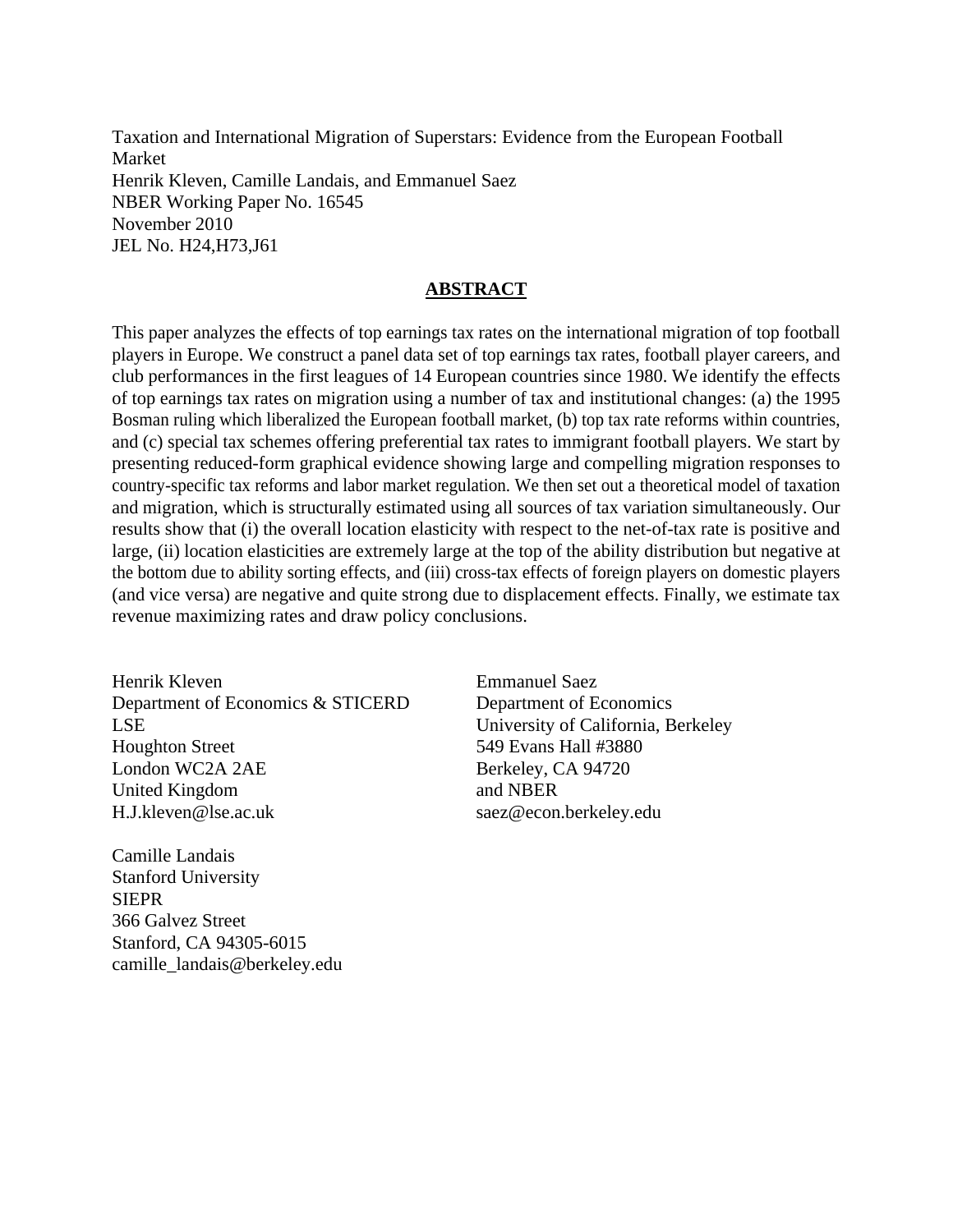Taxation and International Migration of Superstars: Evidence from the European Football Market Henrik Kleven, Camille Landais, and Emmanuel Saez NBER Working Paper No. 16545 November 2010 JEL No. H24,H73,J61

### **ABSTRACT**

This paper analyzes the effects of top earnings tax rates on the international migration of top football players in Europe. We construct a panel data set of top earnings tax rates, football player careers, and club performances in the first leagues of 14 European countries since 1980. We identify the effects of top earnings tax rates on migration using a number of tax and institutional changes: (a) the 1995 Bosman ruling which liberalized the European football market, (b) top tax rate reforms within countries, and (c) special tax schemes offering preferential tax rates to immigrant football players. We start by presenting reduced-form graphical evidence showing large and compelling migration responses to country-specific tax reforms and labor market regulation. We then set out a theoretical model of taxation and migration, which is structurally estimated using all sources of tax variation simultaneously. Our results show that (i) the overall location elasticity with respect to the net-of-tax rate is positive and large, (ii) location elasticities are extremely large at the top of the ability distribution but negative at the bottom due to ability sorting effects, and (iii) cross-tax effects of foreign players on domestic players (and vice versa) are negative and quite strong due to displacement effects. Finally, we estimate tax revenue maximizing rates and draw policy conclusions.

Henrik Kleven Department of Economics & STICERD LSE Houghton Street London WC2A 2AE United Kingdom H.J.kleven@lse.ac.uk

Camille Landais Stanford University SIEPR 366 Galvez Street Stanford, CA 94305-6015 camille\_landais@berkeley.edu Emmanuel Saez Department of Economics University of California, Berkeley 549 Evans Hall #3880 Berkeley, CA 94720 and NBER saez@econ.berkeley.edu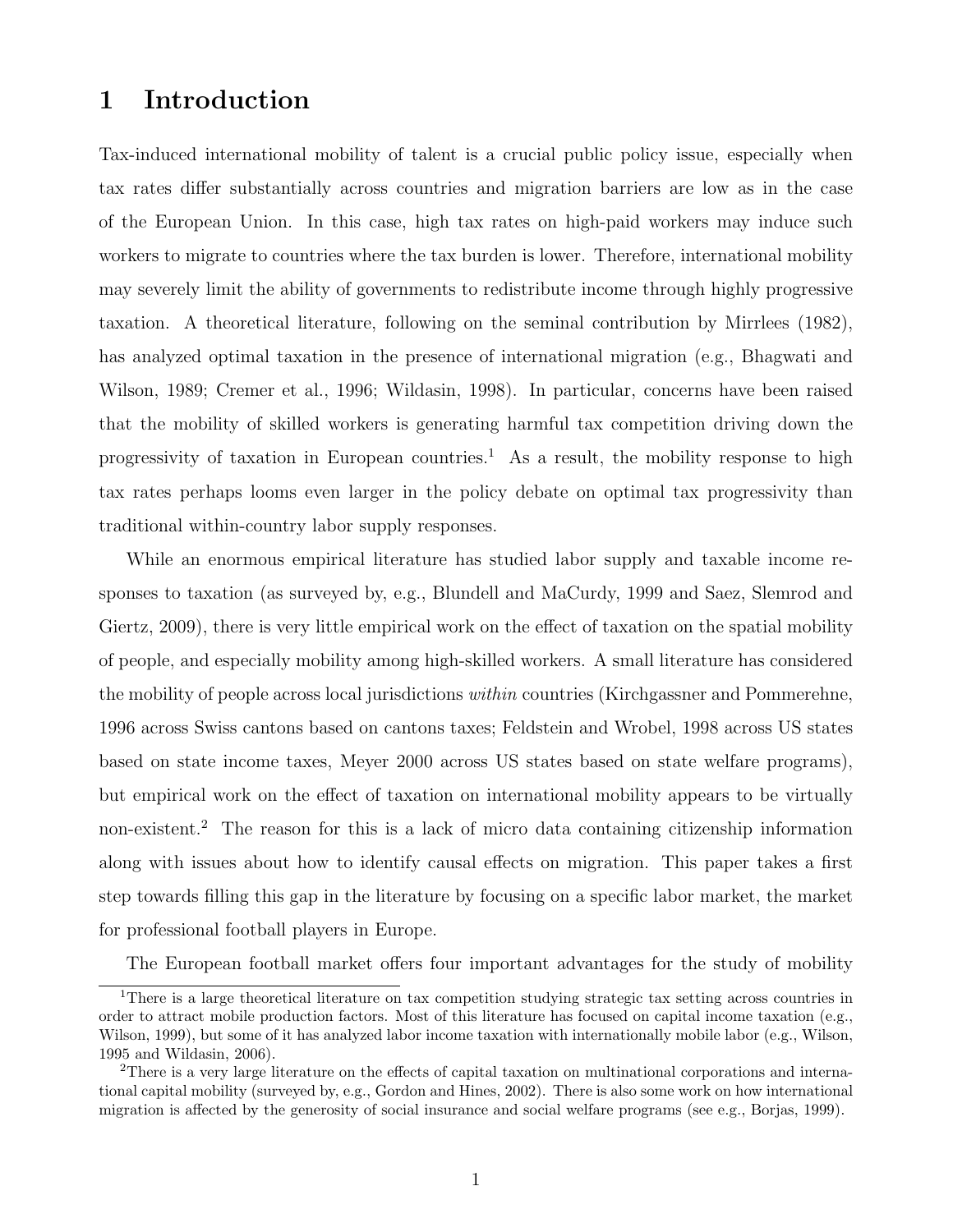# 1 Introduction

Tax-induced international mobility of talent is a crucial public policy issue, especially when tax rates differ substantially across countries and migration barriers are low as in the case of the European Union. In this case, high tax rates on high-paid workers may induce such workers to migrate to countries where the tax burden is lower. Therefore, international mobility may severely limit the ability of governments to redistribute income through highly progressive taxation. A theoretical literature, following on the seminal contribution by Mirrlees (1982), has analyzed optimal taxation in the presence of international migration (e.g., Bhagwati and Wilson, 1989; Cremer et al., 1996; Wildasin, 1998). In particular, concerns have been raised that the mobility of skilled workers is generating harmful tax competition driving down the progressivity of taxation in European countries.<sup>1</sup> As a result, the mobility response to high tax rates perhaps looms even larger in the policy debate on optimal tax progressivity than traditional within-country labor supply responses.

While an enormous empirical literature has studied labor supply and taxable income responses to taxation (as surveyed by, e.g., Blundell and MaCurdy, 1999 and Saez, Slemrod and Giertz, 2009), there is very little empirical work on the effect of taxation on the spatial mobility of people, and especially mobility among high-skilled workers. A small literature has considered the mobility of people across local jurisdictions within countries (Kirchgassner and Pommerehne, 1996 across Swiss cantons based on cantons taxes; Feldstein and Wrobel, 1998 across US states based on state income taxes, Meyer 2000 across US states based on state welfare programs), but empirical work on the effect of taxation on international mobility appears to be virtually non-existent.<sup>2</sup> The reason for this is a lack of micro data containing citizenship information along with issues about how to identify causal effects on migration. This paper takes a first step towards filling this gap in the literature by focusing on a specific labor market, the market for professional football players in Europe.

The European football market offers four important advantages for the study of mobility

<sup>&</sup>lt;sup>1</sup>There is a large theoretical literature on tax competition studying strategic tax setting across countries in order to attract mobile production factors. Most of this literature has focused on capital income taxation (e.g., Wilson, 1999), but some of it has analyzed labor income taxation with internationally mobile labor (e.g., Wilson, 1995 and Wildasin, 2006).

<sup>&</sup>lt;sup>2</sup>There is a very large literature on the effects of capital taxation on multinational corporations and international capital mobility (surveyed by, e.g., Gordon and Hines, 2002). There is also some work on how international migration is affected by the generosity of social insurance and social welfare programs (see e.g., Borjas, 1999).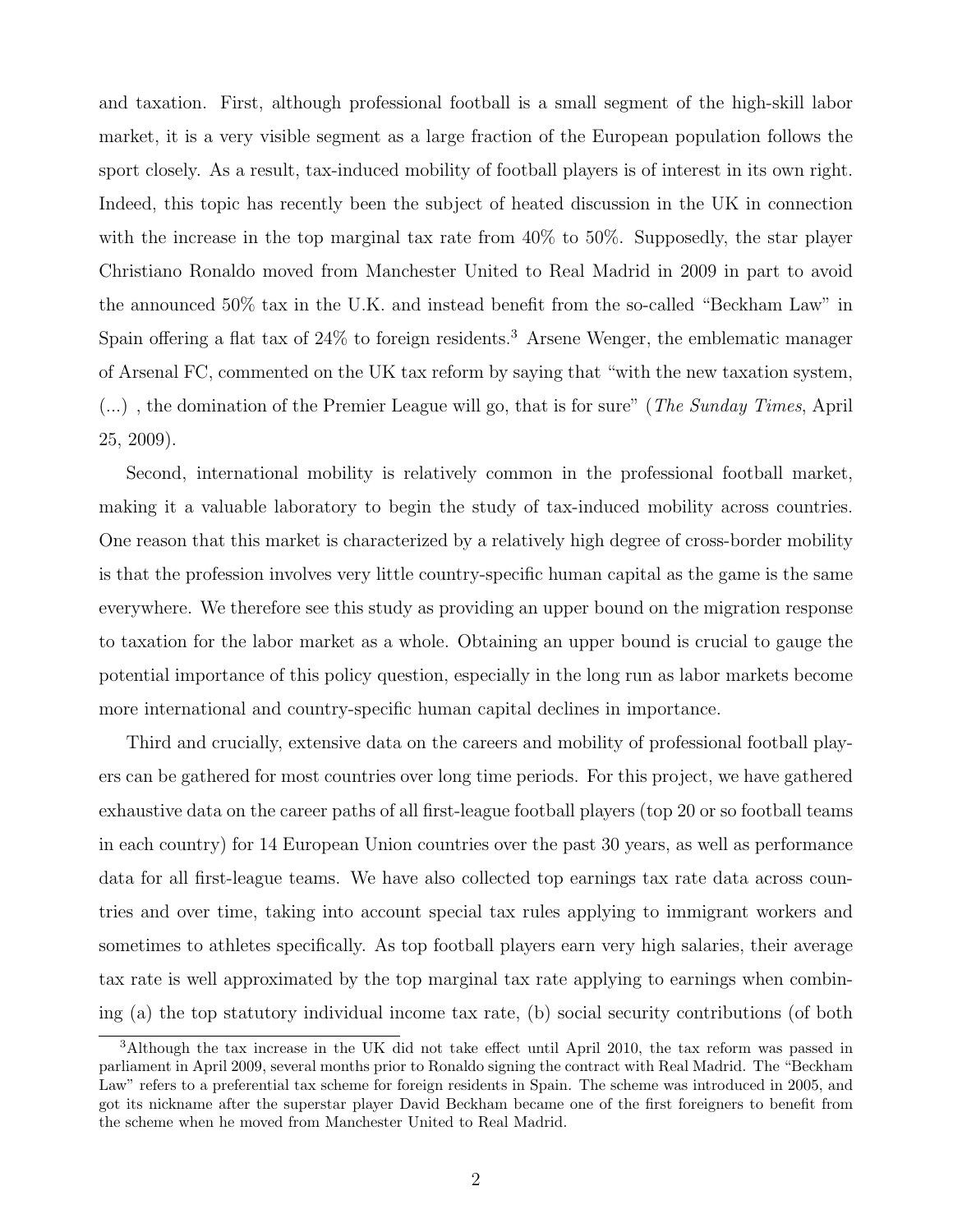and taxation. First, although professional football is a small segment of the high-skill labor market, it is a very visible segment as a large fraction of the European population follows the sport closely. As a result, tax-induced mobility of football players is of interest in its own right. Indeed, this topic has recently been the subject of heated discussion in the UK in connection with the increase in the top marginal tax rate from 40% to 50%. Supposedly, the star player Christiano Ronaldo moved from Manchester United to Real Madrid in 2009 in part to avoid the announced 50% tax in the U.K. and instead benefit from the so-called "Beckham Law" in Spain offering a flat tax of  $24\%$  to foreign residents.<sup>3</sup> Arsene Wenger, the emblematic manager of Arsenal FC, commented on the UK tax reform by saying that "with the new taxation system,  $(...)$ , the domination of the Premier League will go, that is for sure" (*The Sunday Times*, April 25, 2009).

Second, international mobility is relatively common in the professional football market, making it a valuable laboratory to begin the study of tax-induced mobility across countries. One reason that this market is characterized by a relatively high degree of cross-border mobility is that the profession involves very little country-specific human capital as the game is the same everywhere. We therefore see this study as providing an upper bound on the migration response to taxation for the labor market as a whole. Obtaining an upper bound is crucial to gauge the potential importance of this policy question, especially in the long run as labor markets become more international and country-specific human capital declines in importance.

Third and crucially, extensive data on the careers and mobility of professional football players can be gathered for most countries over long time periods. For this project, we have gathered exhaustive data on the career paths of all first-league football players (top 20 or so football teams in each country) for 14 European Union countries over the past 30 years, as well as performance data for all first-league teams. We have also collected top earnings tax rate data across countries and over time, taking into account special tax rules applying to immigrant workers and sometimes to athletes specifically. As top football players earn very high salaries, their average tax rate is well approximated by the top marginal tax rate applying to earnings when combining (a) the top statutory individual income tax rate, (b) social security contributions (of both

<sup>3</sup>Although the tax increase in the UK did not take effect until April 2010, the tax reform was passed in parliament in April 2009, several months prior to Ronaldo signing the contract with Real Madrid. The "Beckham Law" refers to a preferential tax scheme for foreign residents in Spain. The scheme was introduced in 2005, and got its nickname after the superstar player David Beckham became one of the first foreigners to benefit from the scheme when he moved from Manchester United to Real Madrid.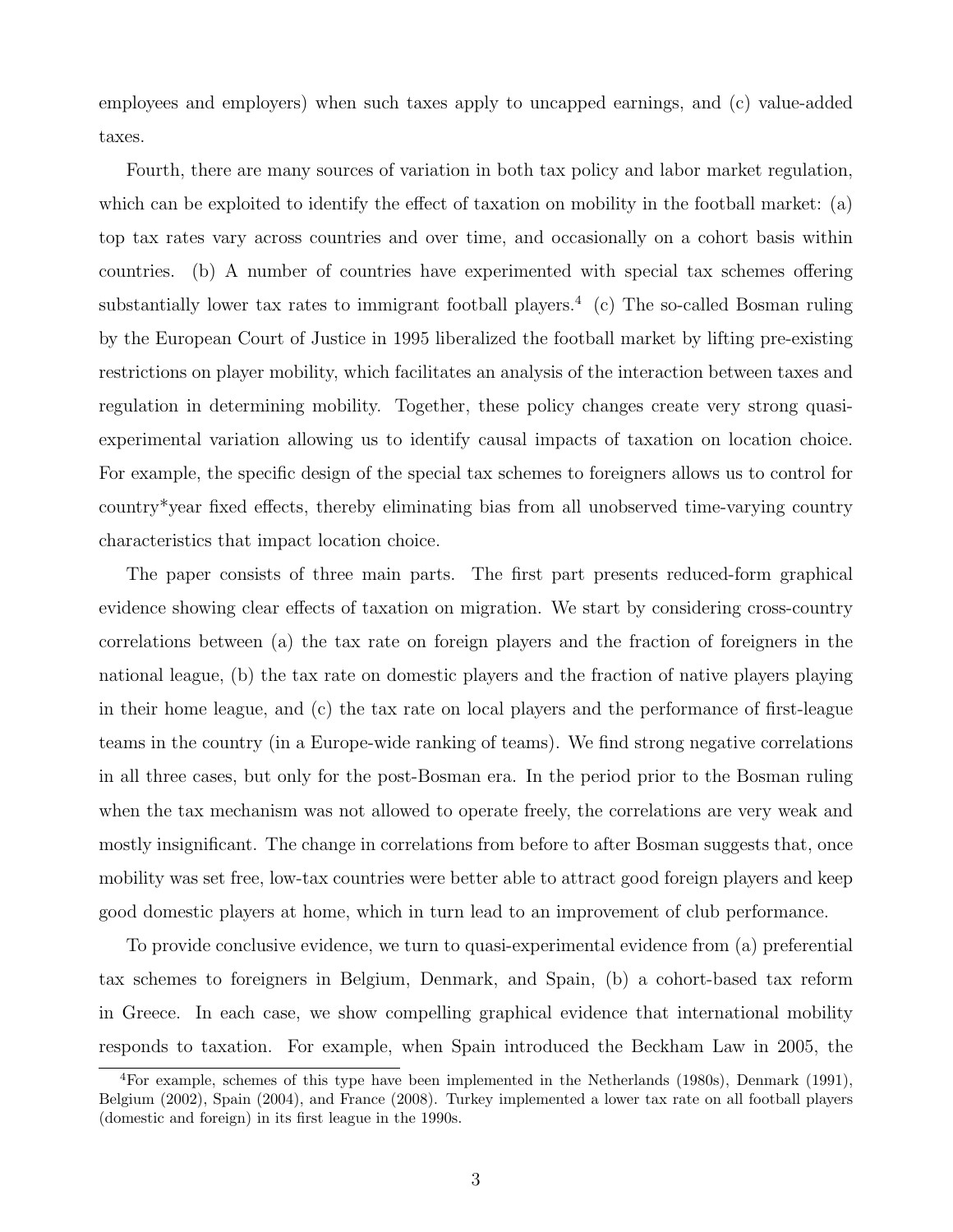employees and employers) when such taxes apply to uncapped earnings, and (c) value-added taxes.

Fourth, there are many sources of variation in both tax policy and labor market regulation, which can be exploited to identify the effect of taxation on mobility in the football market: (a) top tax rates vary across countries and over time, and occasionally on a cohort basis within countries. (b) A number of countries have experimented with special tax schemes offering substantially lower tax rates to immigrant football players.<sup>4</sup> (c) The so-called Bosman ruling by the European Court of Justice in 1995 liberalized the football market by lifting pre-existing restrictions on player mobility, which facilitates an analysis of the interaction between taxes and regulation in determining mobility. Together, these policy changes create very strong quasiexperimental variation allowing us to identify causal impacts of taxation on location choice. For example, the specific design of the special tax schemes to foreigners allows us to control for country\*year fixed effects, thereby eliminating bias from all unobserved time-varying country characteristics that impact location choice.

The paper consists of three main parts. The first part presents reduced-form graphical evidence showing clear effects of taxation on migration. We start by considering cross-country correlations between (a) the tax rate on foreign players and the fraction of foreigners in the national league, (b) the tax rate on domestic players and the fraction of native players playing in their home league, and (c) the tax rate on local players and the performance of first-league teams in the country (in a Europe-wide ranking of teams). We find strong negative correlations in all three cases, but only for the post-Bosman era. In the period prior to the Bosman ruling when the tax mechanism was not allowed to operate freely, the correlations are very weak and mostly insignificant. The change in correlations from before to after Bosman suggests that, once mobility was set free, low-tax countries were better able to attract good foreign players and keep good domestic players at home, which in turn lead to an improvement of club performance.

To provide conclusive evidence, we turn to quasi-experimental evidence from (a) preferential tax schemes to foreigners in Belgium, Denmark, and Spain, (b) a cohort-based tax reform in Greece. In each case, we show compelling graphical evidence that international mobility responds to taxation. For example, when Spain introduced the Beckham Law in 2005, the

<sup>4</sup>For example, schemes of this type have been implemented in the Netherlands (1980s), Denmark (1991), Belgium (2002), Spain (2004), and France (2008). Turkey implemented a lower tax rate on all football players (domestic and foreign) in its first league in the 1990s.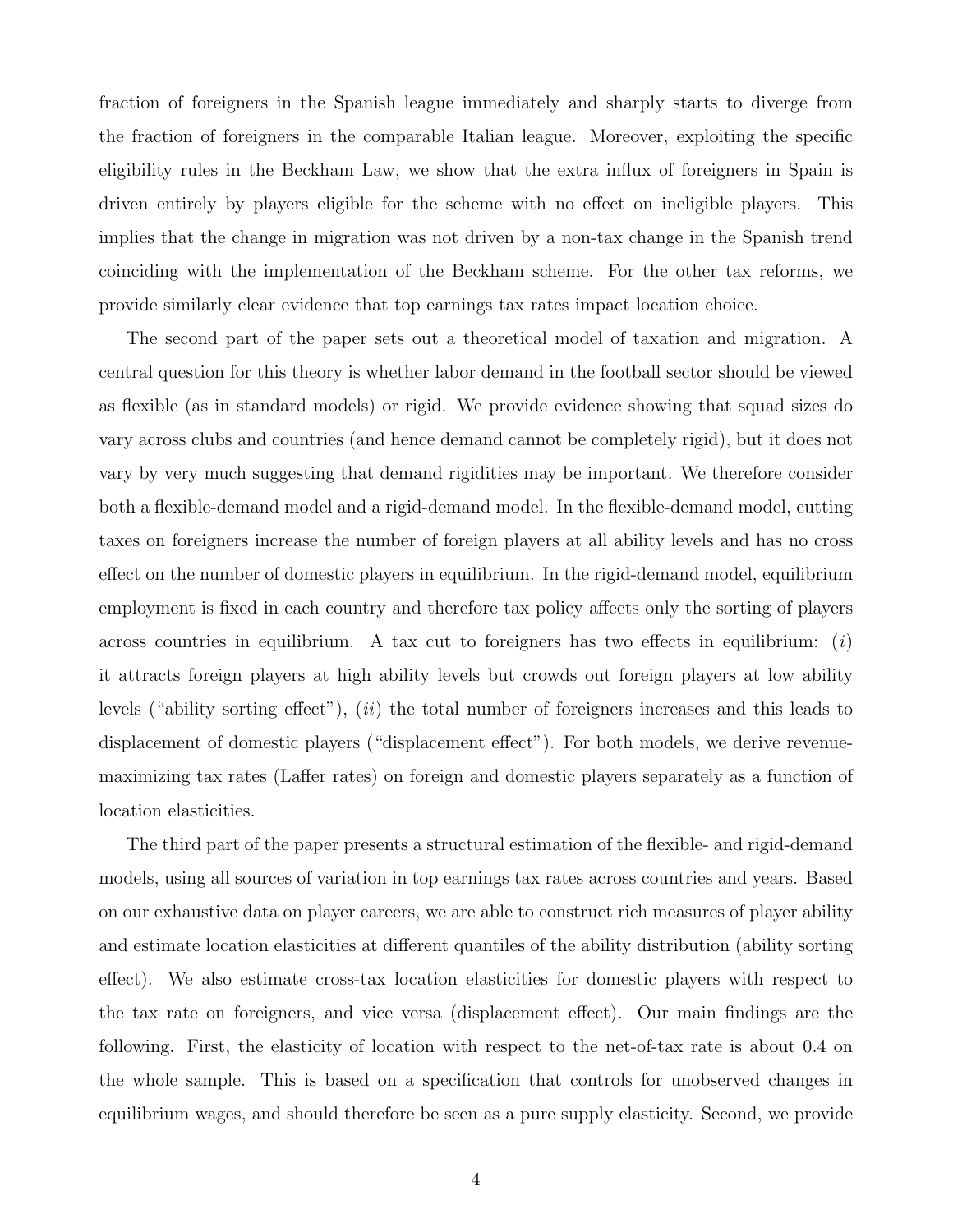fraction of foreigners in the Spanish league immediately and sharply starts to diverge from the fraction of foreigners in the comparable Italian league. Moreover, exploiting the specific eligibility rules in the Beckham Law, we show that the extra influx of foreigners in Spain is driven entirely by players eligible for the scheme with no effect on ineligible players. This implies that the change in migration was not driven by a non-tax change in the Spanish trend coinciding with the implementation of the Beckham scheme. For the other tax reforms, we provide similarly clear evidence that top earnings tax rates impact location choice.

The second part of the paper sets out a theoretical model of taxation and migration. A central question for this theory is whether labor demand in the football sector should be viewed as flexible (as in standard models) or rigid. We provide evidence showing that squad sizes do vary across clubs and countries (and hence demand cannot be completely rigid), but it does not vary by very much suggesting that demand rigidities may be important. We therefore consider both a flexible-demand model and a rigid-demand model. In the flexible-demand model, cutting taxes on foreigners increase the number of foreign players at all ability levels and has no cross effect on the number of domestic players in equilibrium. In the rigid-demand model, equilibrium employment is fixed in each country and therefore tax policy affects only the sorting of players across countries in equilibrium. A tax cut to foreigners has two effects in equilibrium:  $(i)$ it attracts foreign players at high ability levels but crowds out foreign players at low ability levels ("ability sorting effect"), (ii) the total number of foreigners increases and this leads to displacement of domestic players ("displacement effect"). For both models, we derive revenuemaximizing tax rates (Laffer rates) on foreign and domestic players separately as a function of location elasticities.

The third part of the paper presents a structural estimation of the flexible- and rigid-demand models, using all sources of variation in top earnings tax rates across countries and years. Based on our exhaustive data on player careers, we are able to construct rich measures of player ability and estimate location elasticities at different quantiles of the ability distribution (ability sorting effect). We also estimate cross-tax location elasticities for domestic players with respect to the tax rate on foreigners, and vice versa (displacement effect). Our main findings are the following. First, the elasticity of location with respect to the net-of-tax rate is about 0.4 on the whole sample. This is based on a specification that controls for unobserved changes in equilibrium wages, and should therefore be seen as a pure supply elasticity. Second, we provide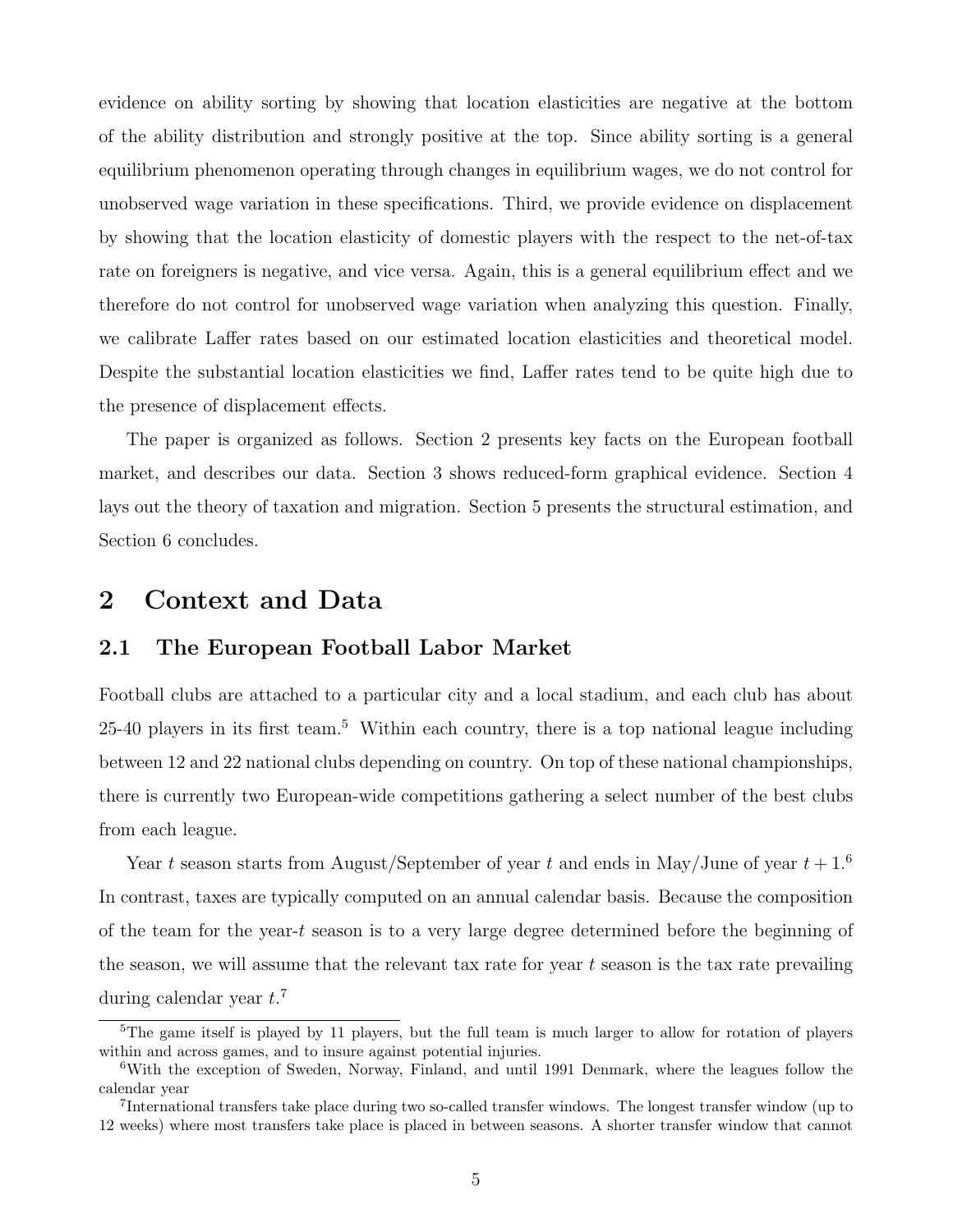evidence on ability sorting by showing that location elasticities are negative at the bottom of the ability distribution and strongly positive at the top. Since ability sorting is a general equilibrium phenomenon operating through changes in equilibrium wages, we do not control for unobserved wage variation in these specifications. Third, we provide evidence on displacement by showing that the location elasticity of domestic players with the respect to the net-of-tax rate on foreigners is negative, and vice versa. Again, this is a general equilibrium effect and we therefore do not control for unobserved wage variation when analyzing this question. Finally, we calibrate Laffer rates based on our estimated location elasticities and theoretical model. Despite the substantial location elasticities we find, Laffer rates tend to be quite high due to the presence of displacement effects.

The paper is organized as follows. Section 2 presents key facts on the European football market, and describes our data. Section 3 shows reduced-form graphical evidence. Section 4 lays out the theory of taxation and migration. Section 5 presents the structural estimation, and Section 6 concludes.

## 2 Context and Data

## 2.1 The European Football Labor Market

Football clubs are attached to a particular city and a local stadium, and each club has about 25-40 players in its first team.<sup>5</sup> Within each country, there is a top national league including between 12 and 22 national clubs depending on country. On top of these national championships, there is currently two European-wide competitions gathering a select number of the best clubs from each league.

Year t season starts from August/September of year t and ends in May/June of year  $t + 1.6$ In contrast, taxes are typically computed on an annual calendar basis. Because the composition of the team for the year-t season is to a very large degree determined before the beginning of the season, we will assume that the relevant tax rate for year  $t$  season is the tax rate prevailing during calendar year  $t.^7$ 

 $5$ The game itself is played by 11 players, but the full team is much larger to allow for rotation of players within and across games, and to insure against potential injuries.

<sup>6</sup>With the exception of Sweden, Norway, Finland, and until 1991 Denmark, where the leagues follow the calendar year

<sup>&</sup>lt;sup>7</sup>International transfers take place during two so-called transfer windows. The longest transfer window (up to 12 weeks) where most transfers take place is placed in between seasons. A shorter transfer window that cannot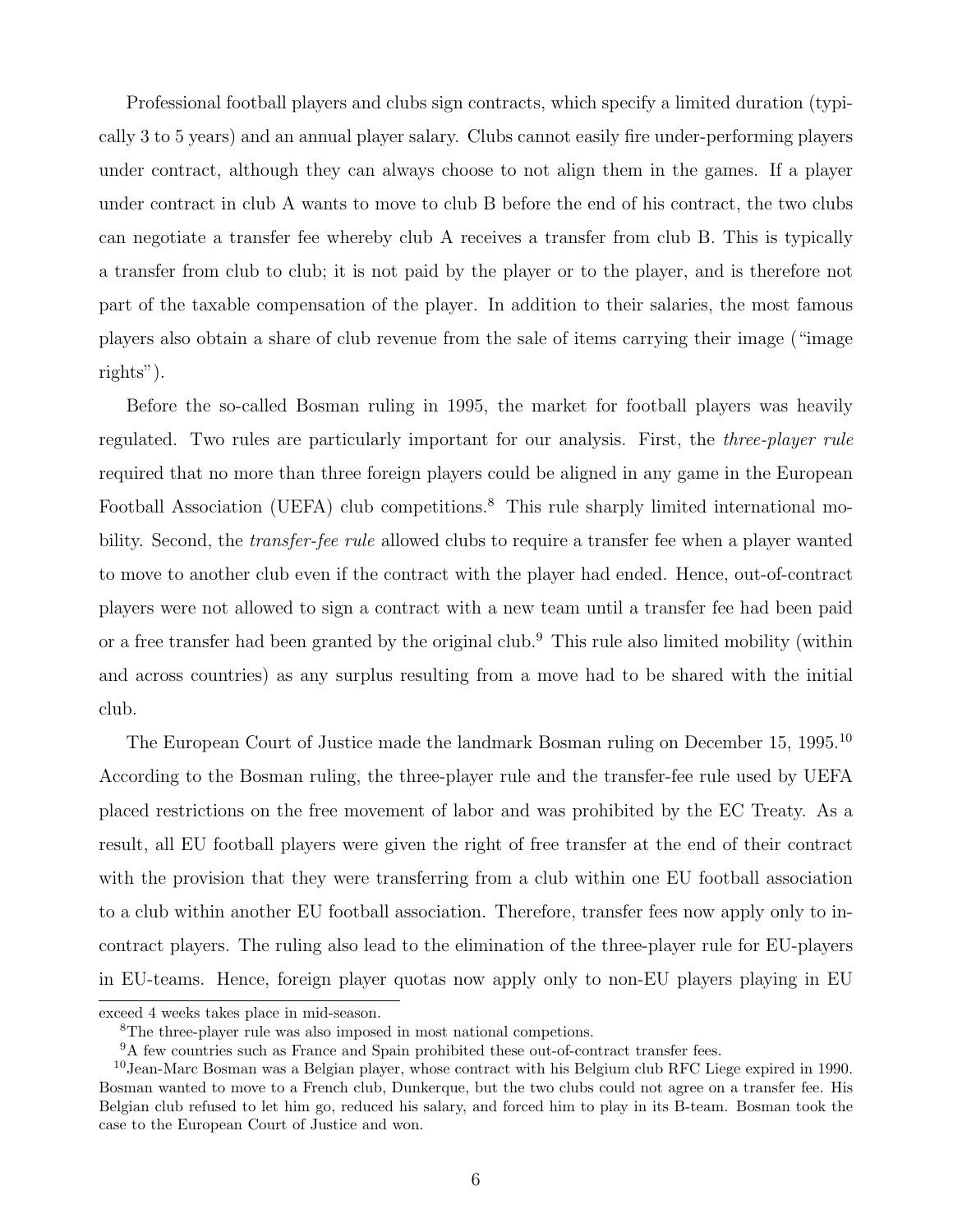Professional football players and clubs sign contracts, which specify a limited duration (typically 3 to 5 years) and an annual player salary. Clubs cannot easily fire under-performing players under contract, although they can always choose to not align them in the games. If a player under contract in club A wants to move to club B before the end of his contract, the two clubs can negotiate a transfer fee whereby club A receives a transfer from club B. This is typically a transfer from club to club; it is not paid by the player or to the player, and is therefore not part of the taxable compensation of the player. In addition to their salaries, the most famous players also obtain a share of club revenue from the sale of items carrying their image ("image rights").

Before the so-called Bosman ruling in 1995, the market for football players was heavily regulated. Two rules are particularly important for our analysis. First, the *three-player rule* required that no more than three foreign players could be aligned in any game in the European Football Association (UEFA) club competitions.<sup>8</sup> This rule sharply limited international mobility. Second, the *transfer-fee rule* allowed clubs to require a transfer fee when a player wanted to move to another club even if the contract with the player had ended. Hence, out-of-contract players were not allowed to sign a contract with a new team until a transfer fee had been paid or a free transfer had been granted by the original club.<sup>9</sup> This rule also limited mobility (within and across countries) as any surplus resulting from a move had to be shared with the initial club.

The European Court of Justice made the landmark Bosman ruling on December 15, 1995.<sup>10</sup> According to the Bosman ruling, the three-player rule and the transfer-fee rule used by UEFA placed restrictions on the free movement of labor and was prohibited by the EC Treaty. As a result, all EU football players were given the right of free transfer at the end of their contract with the provision that they were transferring from a club within one EU football association to a club within another EU football association. Therefore, transfer fees now apply only to incontract players. The ruling also lead to the elimination of the three-player rule for EU-players in EU-teams. Hence, foreign player quotas now apply only to non-EU players playing in EU

exceed 4 weeks takes place in mid-season.

<sup>8</sup>The three-player rule was also imposed in most national competions.

<sup>9</sup>A few countries such as France and Spain prohibited these out-of-contract transfer fees.

<sup>10</sup>Jean-Marc Bosman was a Belgian player, whose contract with his Belgium club RFC Liege expired in 1990. Bosman wanted to move to a French club, Dunkerque, but the two clubs could not agree on a transfer fee. His Belgian club refused to let him go, reduced his salary, and forced him to play in its B-team. Bosman took the case to the European Court of Justice and won.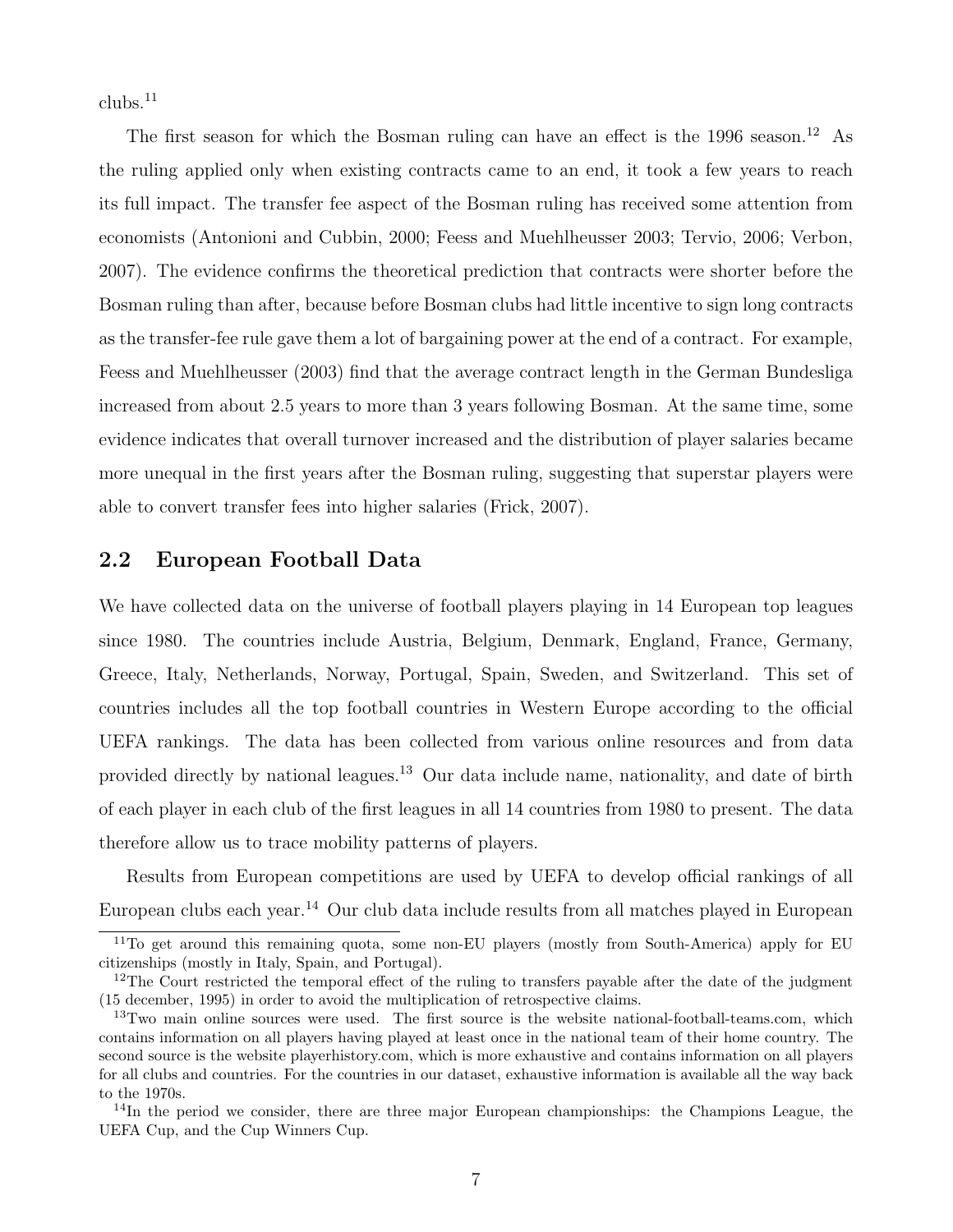clubs.<sup>11</sup>

The first season for which the Bosman ruling can have an effect is the 1996 season.<sup>12</sup> As the ruling applied only when existing contracts came to an end, it took a few years to reach its full impact. The transfer fee aspect of the Bosman ruling has received some attention from economists (Antonioni and Cubbin, 2000; Feess and Muehlheusser 2003; Tervio, 2006; Verbon, 2007). The evidence confirms the theoretical prediction that contracts were shorter before the Bosman ruling than after, because before Bosman clubs had little incentive to sign long contracts as the transfer-fee rule gave them a lot of bargaining power at the end of a contract. For example, Feess and Muehlheusser (2003) find that the average contract length in the German Bundesliga increased from about 2.5 years to more than 3 years following Bosman. At the same time, some evidence indicates that overall turnover increased and the distribution of player salaries became more unequal in the first years after the Bosman ruling, suggesting that superstar players were able to convert transfer fees into higher salaries (Frick, 2007).

### 2.2 European Football Data

We have collected data on the universe of football players playing in 14 European top leagues since 1980. The countries include Austria, Belgium, Denmark, England, France, Germany, Greece, Italy, Netherlands, Norway, Portugal, Spain, Sweden, and Switzerland. This set of countries includes all the top football countries in Western Europe according to the official UEFA rankings. The data has been collected from various online resources and from data provided directly by national leagues.<sup>13</sup> Our data include name, nationality, and date of birth of each player in each club of the first leagues in all 14 countries from 1980 to present. The data therefore allow us to trace mobility patterns of players.

Results from European competitions are used by UEFA to develop official rankings of all European clubs each year.<sup>14</sup> Our club data include results from all matches played in European

<sup>&</sup>lt;sup>11</sup>To get around this remaining quota, some non-EU players (mostly from South-America) apply for EU citizenships (mostly in Italy, Spain, and Portugal).

<sup>&</sup>lt;sup>12</sup>The Court restricted the temporal effect of the ruling to transfers payable after the date of the judgment (15 december, 1995) in order to avoid the multiplication of retrospective claims.

<sup>&</sup>lt;sup>13</sup>Two main online sources were used. The first source is the website national-football-teams.com, which contains information on all players having played at least once in the national team of their home country. The second source is the website playerhistory.com, which is more exhaustive and contains information on all players for all clubs and countries. For the countries in our dataset, exhaustive information is available all the way back to the 1970s.

<sup>&</sup>lt;sup>14</sup>In the period we consider, there are three major European championships: the Champions League, the UEFA Cup, and the Cup Winners Cup.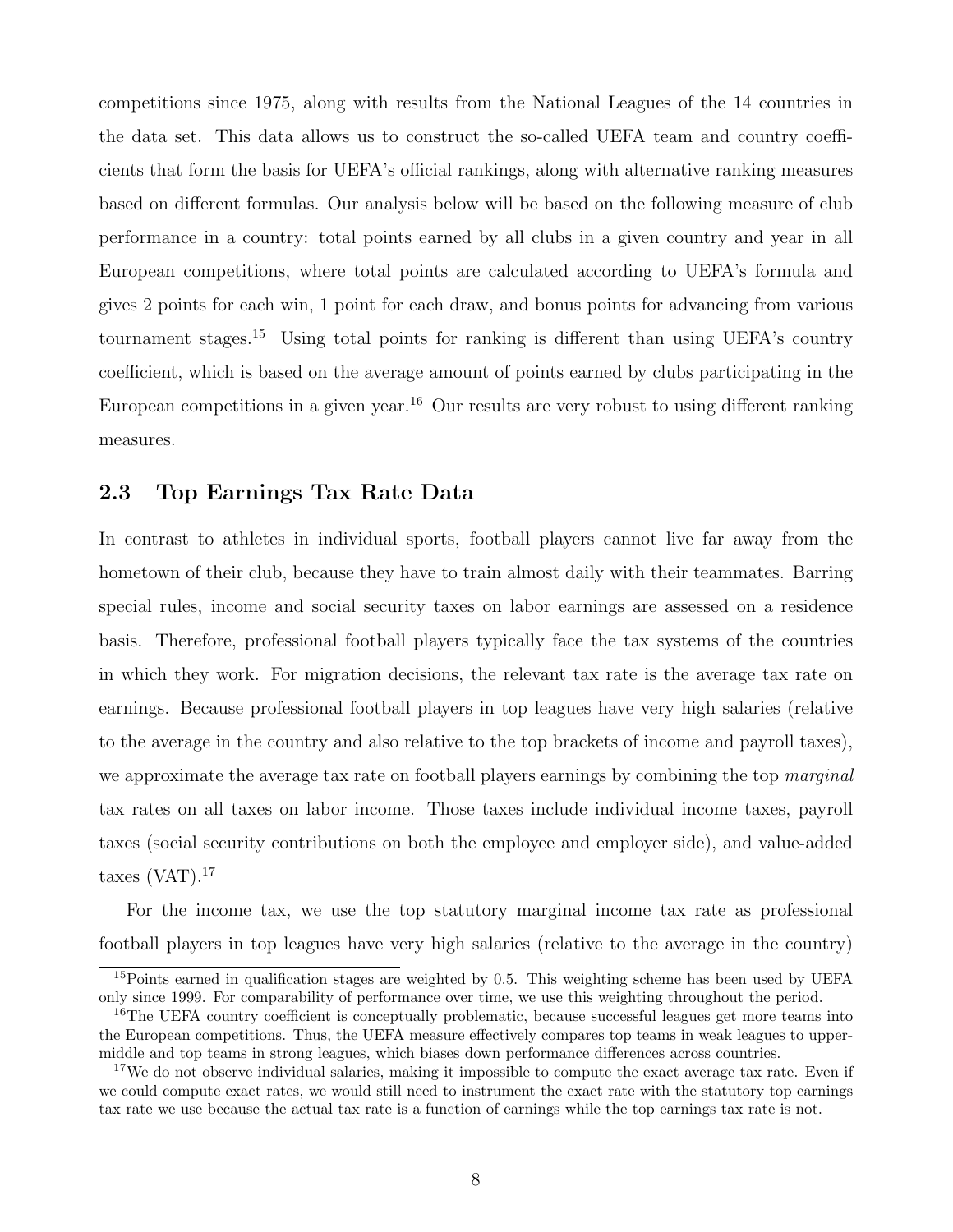competitions since 1975, along with results from the National Leagues of the 14 countries in the data set. This data allows us to construct the so-called UEFA team and country coefficients that form the basis for UEFA's official rankings, along with alternative ranking measures based on different formulas. Our analysis below will be based on the following measure of club performance in a country: total points earned by all clubs in a given country and year in all European competitions, where total points are calculated according to UEFA's formula and gives 2 points for each win, 1 point for each draw, and bonus points for advancing from various tournament stages.<sup>15</sup> Using total points for ranking is different than using UEFA's country coefficient, which is based on the average amount of points earned by clubs participating in the European competitions in a given year.<sup>16</sup> Our results are very robust to using different ranking measures.

### 2.3 Top Earnings Tax Rate Data

In contrast to athletes in individual sports, football players cannot live far away from the hometown of their club, because they have to train almost daily with their teammates. Barring special rules, income and social security taxes on labor earnings are assessed on a residence basis. Therefore, professional football players typically face the tax systems of the countries in which they work. For migration decisions, the relevant tax rate is the average tax rate on earnings. Because professional football players in top leagues have very high salaries (relative to the average in the country and also relative to the top brackets of income and payroll taxes), we approximate the average tax rate on football players earnings by combining the top marginal tax rates on all taxes on labor income. Those taxes include individual income taxes, payroll taxes (social security contributions on both the employee and employer side), and value-added taxes  $(VAT).<sup>17</sup>$ 

For the income tax, we use the top statutory marginal income tax rate as professional football players in top leagues have very high salaries (relative to the average in the country)

<sup>&</sup>lt;sup>15</sup>Points earned in qualification stages are weighted by 0.5. This weighting scheme has been used by UEFA only since 1999. For comparability of performance over time, we use this weighting throughout the period.

<sup>&</sup>lt;sup>16</sup>The UEFA country coefficient is conceptually problematic, because successful leagues get more teams into the European competitions. Thus, the UEFA measure effectively compares top teams in weak leagues to uppermiddle and top teams in strong leagues, which biases down performance differences across countries.

<sup>&</sup>lt;sup>17</sup>We do not observe individual salaries, making it impossible to compute the exact average tax rate. Even if we could compute exact rates, we would still need to instrument the exact rate with the statutory top earnings tax rate we use because the actual tax rate is a function of earnings while the top earnings tax rate is not.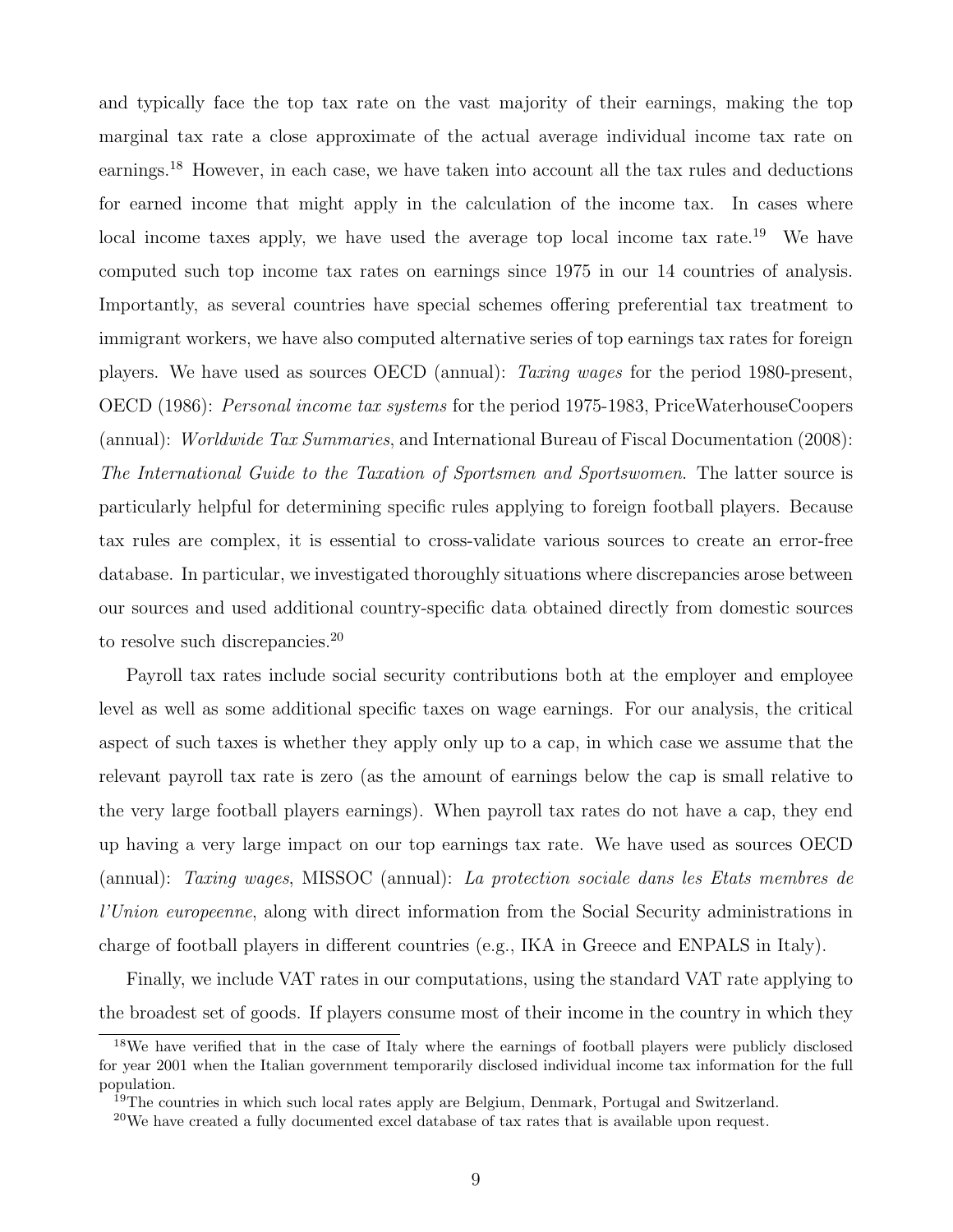and typically face the top tax rate on the vast majority of their earnings, making the top marginal tax rate a close approximate of the actual average individual income tax rate on earnings.<sup>18</sup> However, in each case, we have taken into account all the tax rules and deductions for earned income that might apply in the calculation of the income tax. In cases where local income taxes apply, we have used the average top local income tax rate.<sup>19</sup> We have computed such top income tax rates on earnings since 1975 in our 14 countries of analysis. Importantly, as several countries have special schemes offering preferential tax treatment to immigrant workers, we have also computed alternative series of top earnings tax rates for foreign players. We have used as sources OECD (annual): Taxing wages for the period 1980-present, OECD (1986): Personal income tax systems for the period 1975-1983, PriceWaterhouseCoopers (annual): Worldwide Tax Summaries, and International Bureau of Fiscal Documentation (2008): The International Guide to the Taxation of Sportsmen and Sportswomen. The latter source is particularly helpful for determining specific rules applying to foreign football players. Because tax rules are complex, it is essential to cross-validate various sources to create an error-free database. In particular, we investigated thoroughly situations where discrepancies arose between our sources and used additional country-specific data obtained directly from domestic sources to resolve such discrepancies.<sup>20</sup>

Payroll tax rates include social security contributions both at the employer and employee level as well as some additional specific taxes on wage earnings. For our analysis, the critical aspect of such taxes is whether they apply only up to a cap, in which case we assume that the relevant payroll tax rate is zero (as the amount of earnings below the cap is small relative to the very large football players earnings). When payroll tax rates do not have a cap, they end up having a very large impact on our top earnings tax rate. We have used as sources OECD (annual): Taxing wages, MISSOC (annual): La protection sociale dans les Etats membres de l'Union europeenne, along with direct information from the Social Security administrations in charge of football players in different countries (e.g., IKA in Greece and ENPALS in Italy).

Finally, we include VAT rates in our computations, using the standard VAT rate applying to the broadest set of goods. If players consume most of their income in the country in which they

<sup>18</sup>We have verified that in the case of Italy where the earnings of football players were publicly disclosed for year 2001 when the Italian government temporarily disclosed individual income tax information for the full population.

<sup>&</sup>lt;sup>19</sup>The countries in which such local rates apply are Belgium, Denmark, Portugal and Switzerland.

<sup>&</sup>lt;sup>20</sup>We have created a fully documented excel database of tax rates that is available upon request.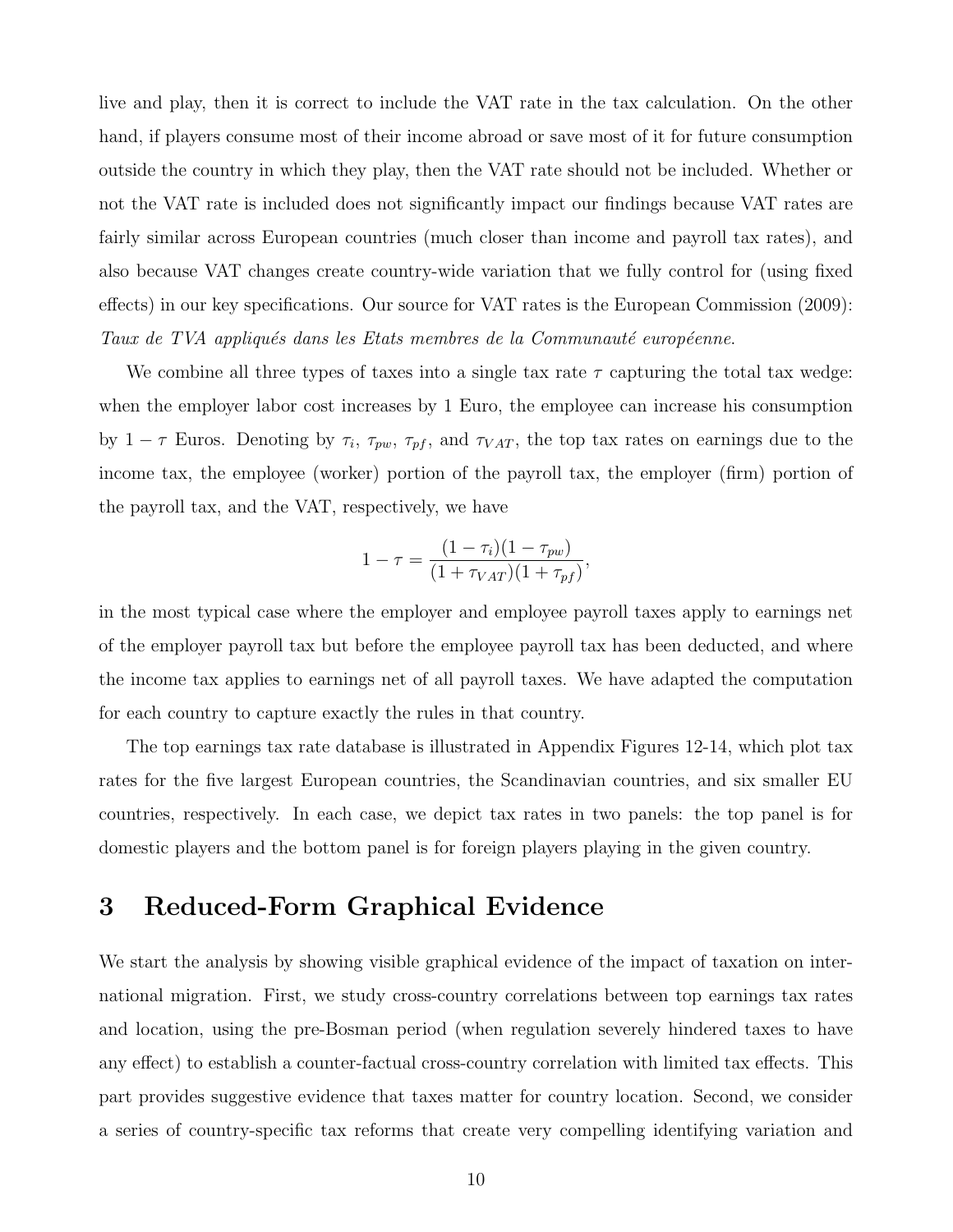live and play, then it is correct to include the VAT rate in the tax calculation. On the other hand, if players consume most of their income abroad or save most of it for future consumption outside the country in which they play, then the VAT rate should not be included. Whether or not the VAT rate is included does not significantly impact our findings because VAT rates are fairly similar across European countries (much closer than income and payroll tax rates), and also because VAT changes create country-wide variation that we fully control for (using fixed effects) in our key specifications. Our source for VAT rates is the European Commission (2009): Taux de TVA appliqués dans les Etats membres de la Communauté européenne.

We combine all three types of taxes into a single tax rate  $\tau$  capturing the total tax wedge: when the employer labor cost increases by 1 Euro, the employee can increase his consumption by  $1 - \tau$  Euros. Denoting by  $\tau_i$ ,  $\tau_{pw}$ ,  $\tau_{pf}$ , and  $\tau_{VAT}$ , the top tax rates on earnings due to the income tax, the employee (worker) portion of the payroll tax, the employer (firm) portion of the payroll tax, and the VAT, respectively, we have

$$
1 - \tau = \frac{(1 - \tau_i)(1 - \tau_{pw})}{(1 + \tau_{VAT})(1 + \tau_{pf})},
$$

in the most typical case where the employer and employee payroll taxes apply to earnings net of the employer payroll tax but before the employee payroll tax has been deducted, and where the income tax applies to earnings net of all payroll taxes. We have adapted the computation for each country to capture exactly the rules in that country.

The top earnings tax rate database is illustrated in Appendix Figures 12-14, which plot tax rates for the five largest European countries, the Scandinavian countries, and six smaller EU countries, respectively. In each case, we depict tax rates in two panels: the top panel is for domestic players and the bottom panel is for foreign players playing in the given country.

# 3 Reduced-Form Graphical Evidence

We start the analysis by showing visible graphical evidence of the impact of taxation on international migration. First, we study cross-country correlations between top earnings tax rates and location, using the pre-Bosman period (when regulation severely hindered taxes to have any effect) to establish a counter-factual cross-country correlation with limited tax effects. This part provides suggestive evidence that taxes matter for country location. Second, we consider a series of country-specific tax reforms that create very compelling identifying variation and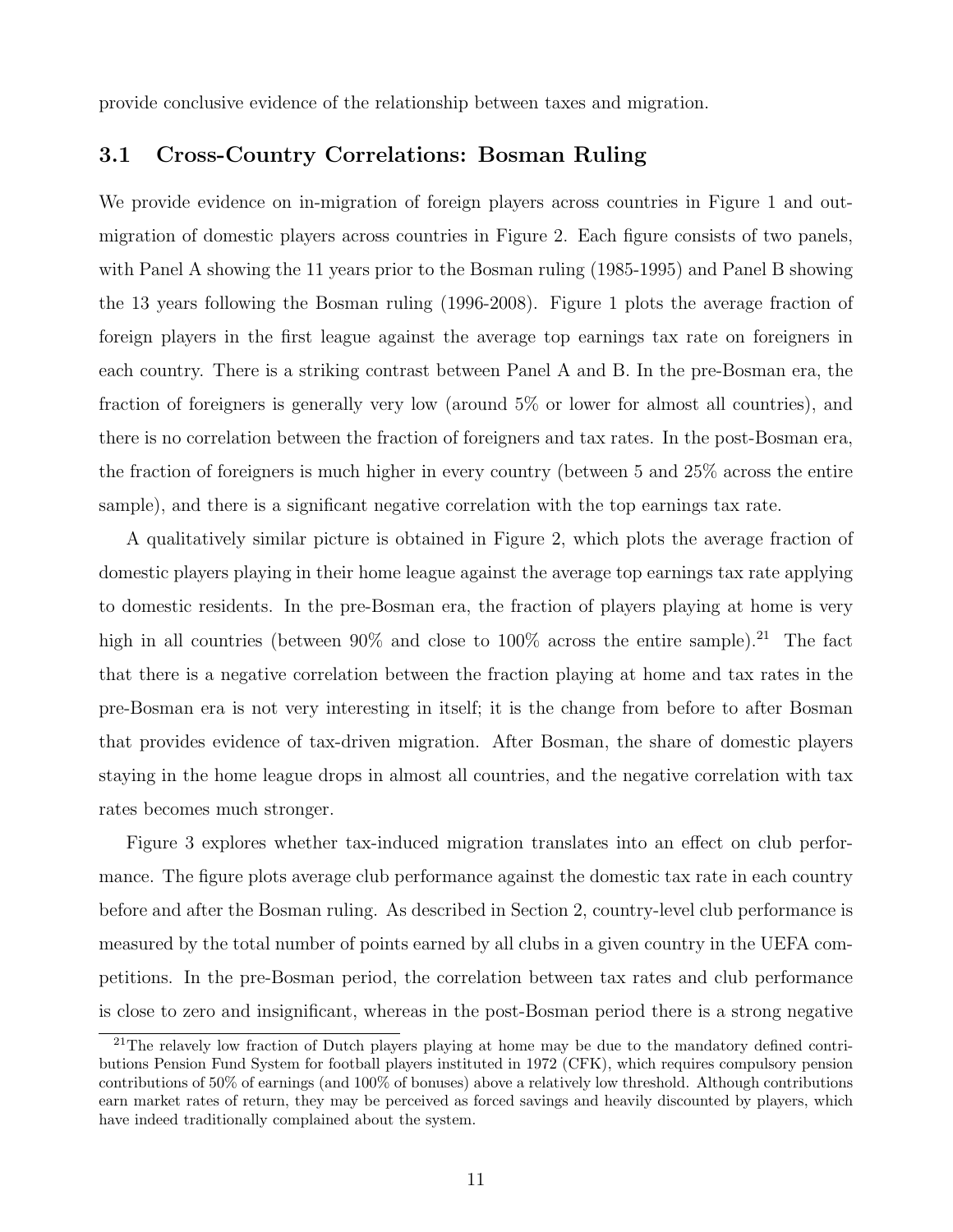provide conclusive evidence of the relationship between taxes and migration.

### 3.1 Cross-Country Correlations: Bosman Ruling

We provide evidence on in-migration of foreign players across countries in Figure 1 and outmigration of domestic players across countries in Figure 2. Each figure consists of two panels, with Panel A showing the 11 years prior to the Bosman ruling (1985-1995) and Panel B showing the 13 years following the Bosman ruling (1996-2008). Figure 1 plots the average fraction of foreign players in the first league against the average top earnings tax rate on foreigners in each country. There is a striking contrast between Panel A and B. In the pre-Bosman era, the fraction of foreigners is generally very low (around 5% or lower for almost all countries), and there is no correlation between the fraction of foreigners and tax rates. In the post-Bosman era, the fraction of foreigners is much higher in every country (between 5 and 25% across the entire sample), and there is a significant negative correlation with the top earnings tax rate.

A qualitatively similar picture is obtained in Figure 2, which plots the average fraction of domestic players playing in their home league against the average top earnings tax rate applying to domestic residents. In the pre-Bosman era, the fraction of players playing at home is very high in all countries (between  $90\%$  and close to  $100\%$  across the entire sample).<sup>21</sup> The fact that there is a negative correlation between the fraction playing at home and tax rates in the pre-Bosman era is not very interesting in itself; it is the change from before to after Bosman that provides evidence of tax-driven migration. After Bosman, the share of domestic players staying in the home league drops in almost all countries, and the negative correlation with tax rates becomes much stronger.

Figure 3 explores whether tax-induced migration translates into an effect on club performance. The figure plots average club performance against the domestic tax rate in each country before and after the Bosman ruling. As described in Section 2, country-level club performance is measured by the total number of points earned by all clubs in a given country in the UEFA competitions. In the pre-Bosman period, the correlation between tax rates and club performance is close to zero and insignificant, whereas in the post-Bosman period there is a strong negative

<sup>&</sup>lt;sup>21</sup>The relavely low fraction of Dutch players playing at home may be due to the mandatory defined contributions Pension Fund System for football players instituted in 1972 (CFK), which requires compulsory pension contributions of 50% of earnings (and 100% of bonuses) above a relatively low threshold. Although contributions earn market rates of return, they may be perceived as forced savings and heavily discounted by players, which have indeed traditionally complained about the system.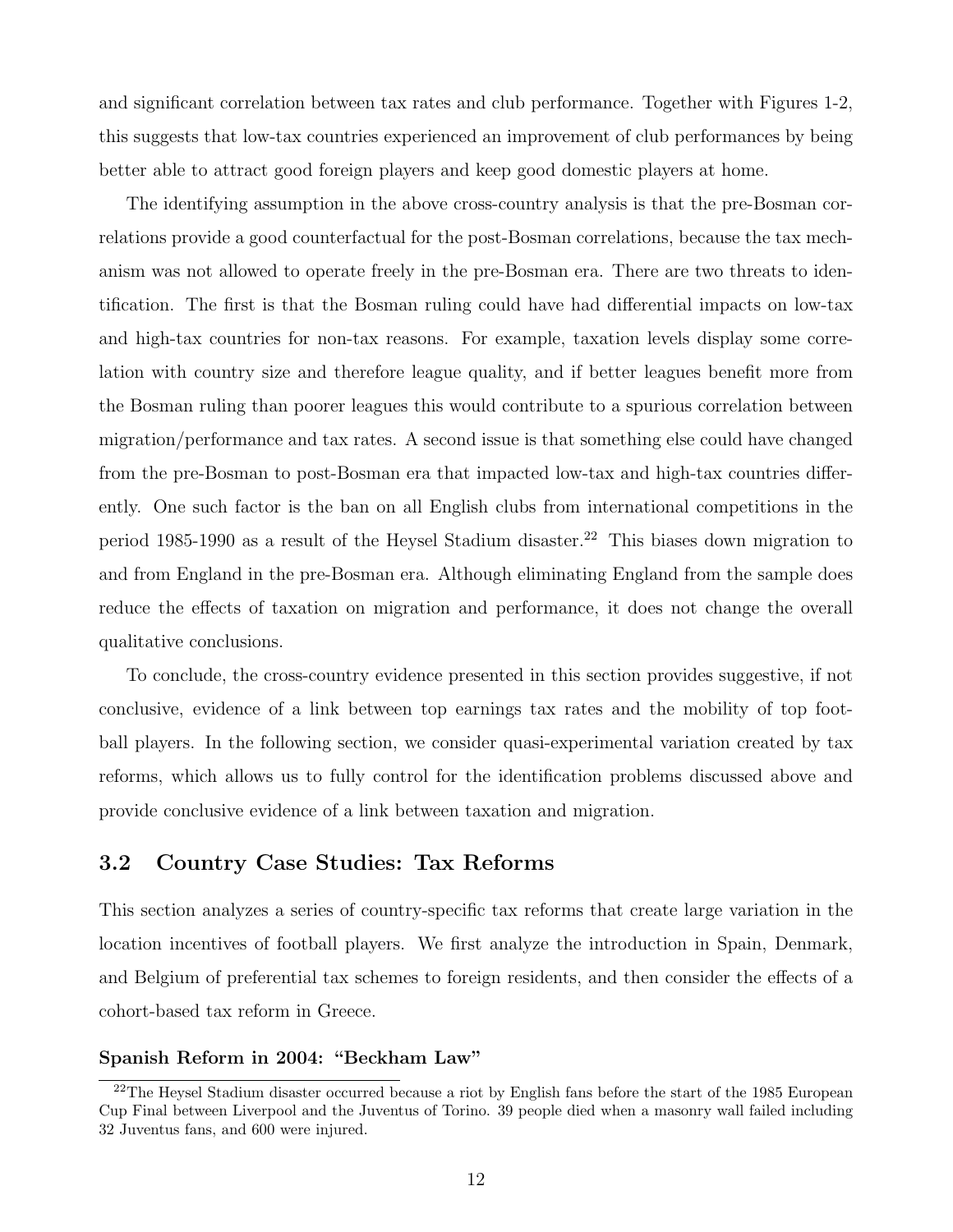and significant correlation between tax rates and club performance. Together with Figures 1-2, this suggests that low-tax countries experienced an improvement of club performances by being better able to attract good foreign players and keep good domestic players at home.

The identifying assumption in the above cross-country analysis is that the pre-Bosman correlations provide a good counterfactual for the post-Bosman correlations, because the tax mechanism was not allowed to operate freely in the pre-Bosman era. There are two threats to identification. The first is that the Bosman ruling could have had differential impacts on low-tax and high-tax countries for non-tax reasons. For example, taxation levels display some correlation with country size and therefore league quality, and if better leagues benefit more from the Bosman ruling than poorer leagues this would contribute to a spurious correlation between migration/performance and tax rates. A second issue is that something else could have changed from the pre-Bosman to post-Bosman era that impacted low-tax and high-tax countries differently. One such factor is the ban on all English clubs from international competitions in the period 1985-1990 as a result of the Heysel Stadium disaster.<sup>22</sup> This biases down migration to and from England in the pre-Bosman era. Although eliminating England from the sample does reduce the effects of taxation on migration and performance, it does not change the overall qualitative conclusions.

To conclude, the cross-country evidence presented in this section provides suggestive, if not conclusive, evidence of a link between top earnings tax rates and the mobility of top football players. In the following section, we consider quasi-experimental variation created by tax reforms, which allows us to fully control for the identification problems discussed above and provide conclusive evidence of a link between taxation and migration.

### 3.2 Country Case Studies: Tax Reforms

This section analyzes a series of country-specific tax reforms that create large variation in the location incentives of football players. We first analyze the introduction in Spain, Denmark, and Belgium of preferential tax schemes to foreign residents, and then consider the effects of a cohort-based tax reform in Greece.

#### Spanish Reform in 2004: "Beckham Law"

<sup>&</sup>lt;sup>22</sup>The Heysel Stadium disaster occurred because a riot by English fans before the start of the 1985 European Cup Final between Liverpool and the Juventus of Torino. 39 people died when a masonry wall failed including 32 Juventus fans, and 600 were injured.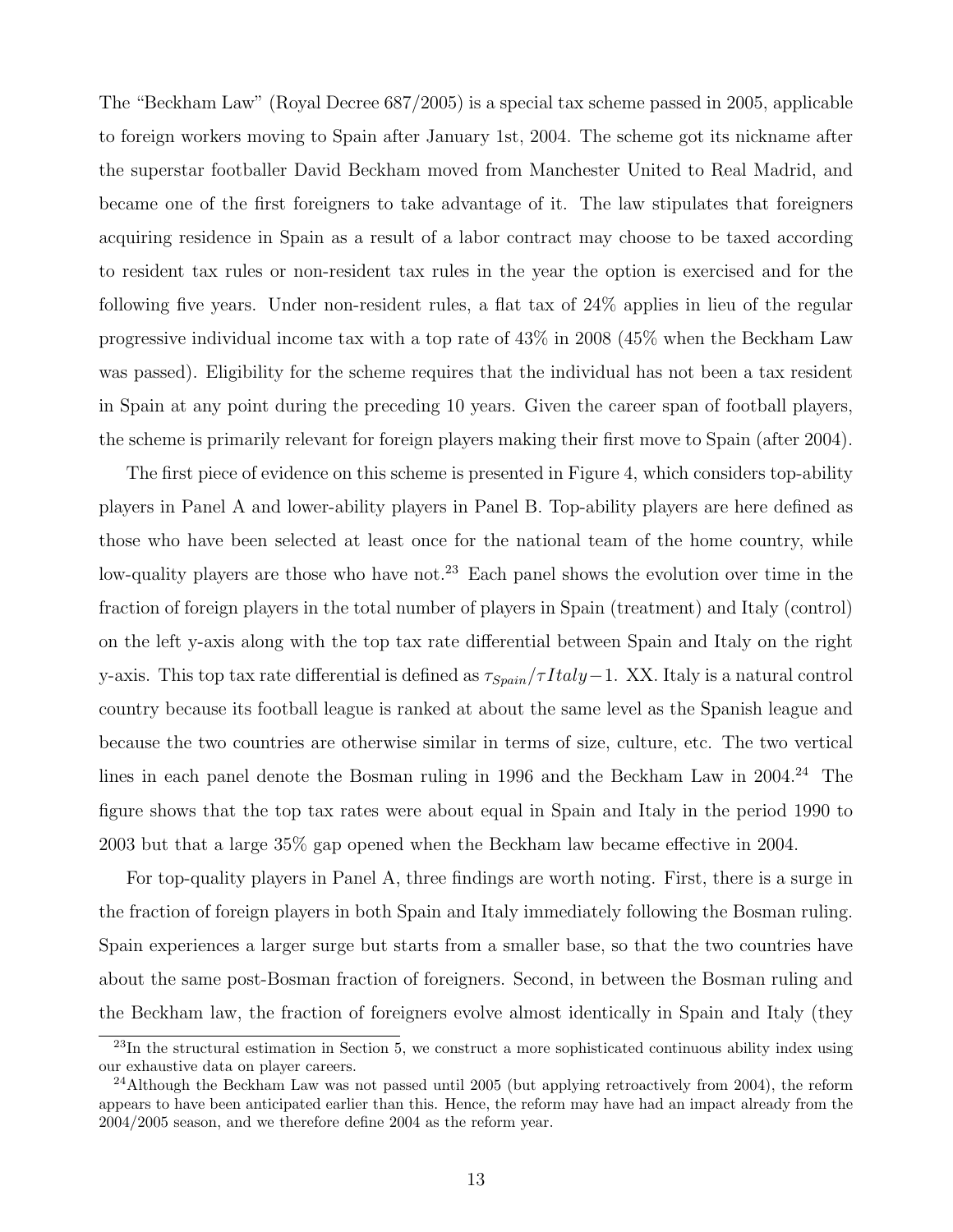The "Beckham Law" (Royal Decree 687/2005) is a special tax scheme passed in 2005, applicable to foreign workers moving to Spain after January 1st, 2004. The scheme got its nickname after the superstar footballer David Beckham moved from Manchester United to Real Madrid, and became one of the first foreigners to take advantage of it. The law stipulates that foreigners acquiring residence in Spain as a result of a labor contract may choose to be taxed according to resident tax rules or non-resident tax rules in the year the option is exercised and for the following five years. Under non-resident rules, a flat tax of 24% applies in lieu of the regular progressive individual income tax with a top rate of 43% in 2008 (45% when the Beckham Law was passed). Eligibility for the scheme requires that the individual has not been a tax resident in Spain at any point during the preceding 10 years. Given the career span of football players, the scheme is primarily relevant for foreign players making their first move to Spain (after 2004).

The first piece of evidence on this scheme is presented in Figure 4, which considers top-ability players in Panel A and lower-ability players in Panel B. Top-ability players are here defined as those who have been selected at least once for the national team of the home country, while low-quality players are those who have not.<sup>23</sup> Each panel shows the evolution over time in the fraction of foreign players in the total number of players in Spain (treatment) and Italy (control) on the left y-axis along with the top tax rate differential between Spain and Italy on the right y-axis. This top tax rate differential is defined as  $\tau_{Spain}/\tau Italy-1$ . XX. Italy is a natural control country because its football league is ranked at about the same level as the Spanish league and because the two countries are otherwise similar in terms of size, culture, etc. The two vertical lines in each panel denote the Bosman ruling in 1996 and the Beckham Law in 2004.<sup>24</sup> The figure shows that the top tax rates were about equal in Spain and Italy in the period 1990 to 2003 but that a large 35% gap opened when the Beckham law became effective in 2004.

For top-quality players in Panel A, three findings are worth noting. First, there is a surge in the fraction of foreign players in both Spain and Italy immediately following the Bosman ruling. Spain experiences a larger surge but starts from a smaller base, so that the two countries have about the same post-Bosman fraction of foreigners. Second, in between the Bosman ruling and the Beckham law, the fraction of foreigners evolve almost identically in Spain and Italy (they

<sup>&</sup>lt;sup>23</sup>In the structural estimation in Section 5, we construct a more sophisticated continuous ability index using our exhaustive data on player careers.

 $^{24}$ Although the Beckham Law was not passed until 2005 (but applying retroactively from 2004), the reform appears to have been anticipated earlier than this. Hence, the reform may have had an impact already from the 2004/2005 season, and we therefore define 2004 as the reform year.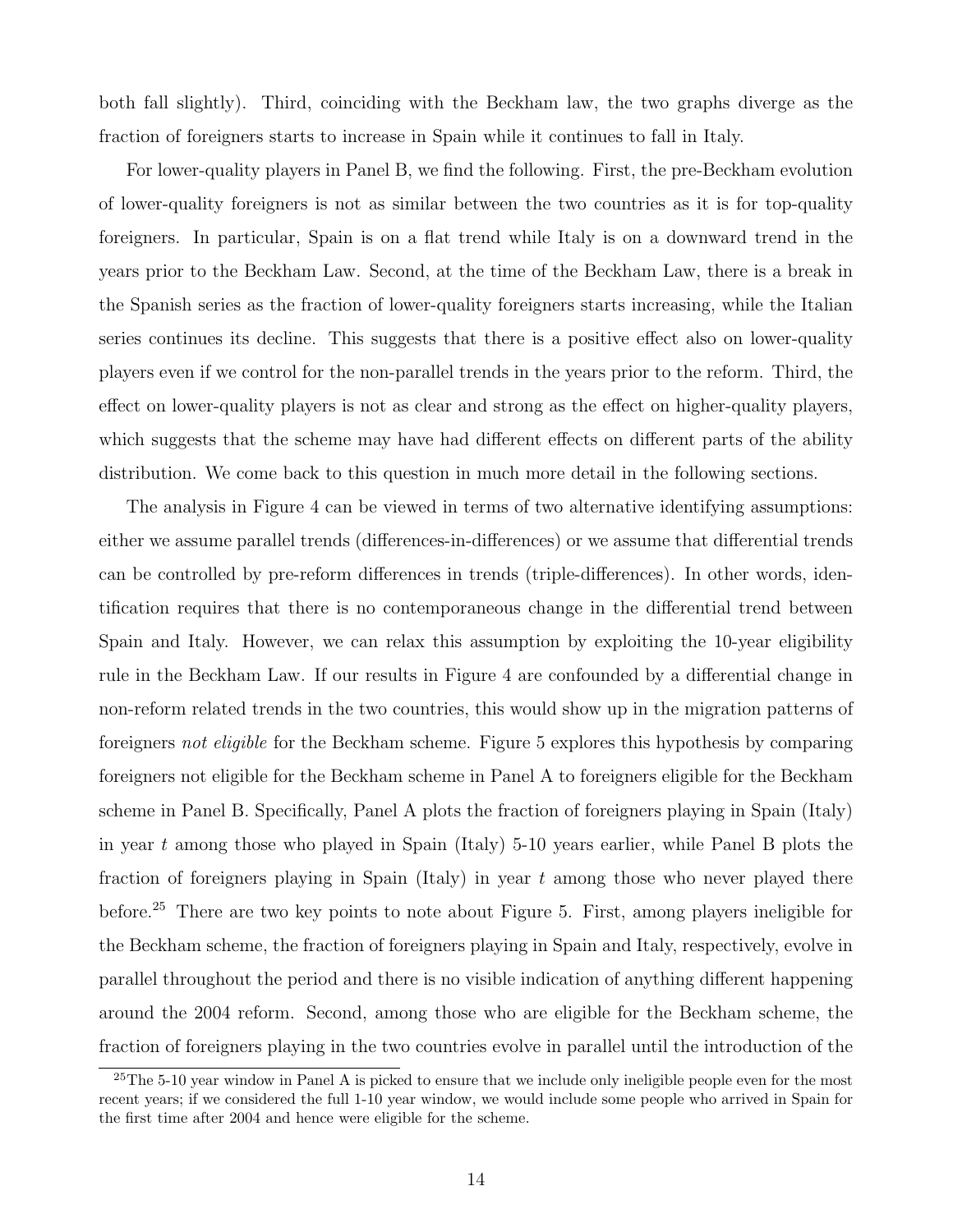both fall slightly). Third, coinciding with the Beckham law, the two graphs diverge as the fraction of foreigners starts to increase in Spain while it continues to fall in Italy.

For lower-quality players in Panel B, we find the following. First, the pre-Beckham evolution of lower-quality foreigners is not as similar between the two countries as it is for top-quality foreigners. In particular, Spain is on a flat trend while Italy is on a downward trend in the years prior to the Beckham Law. Second, at the time of the Beckham Law, there is a break in the Spanish series as the fraction of lower-quality foreigners starts increasing, while the Italian series continues its decline. This suggests that there is a positive effect also on lower-quality players even if we control for the non-parallel trends in the years prior to the reform. Third, the effect on lower-quality players is not as clear and strong as the effect on higher-quality players, which suggests that the scheme may have had different effects on different parts of the ability distribution. We come back to this question in much more detail in the following sections.

The analysis in Figure 4 can be viewed in terms of two alternative identifying assumptions: either we assume parallel trends (differences-in-differences) or we assume that differential trends can be controlled by pre-reform differences in trends (triple-differences). In other words, identification requires that there is no contemporaneous change in the differential trend between Spain and Italy. However, we can relax this assumption by exploiting the 10-year eligibility rule in the Beckham Law. If our results in Figure 4 are confounded by a differential change in non-reform related trends in the two countries, this would show up in the migration patterns of foreigners not eligible for the Beckham scheme. Figure 5 explores this hypothesis by comparing foreigners not eligible for the Beckham scheme in Panel A to foreigners eligible for the Beckham scheme in Panel B. Specifically, Panel A plots the fraction of foreigners playing in Spain (Italy) in year t among those who played in Spain (Italy) 5-10 years earlier, while Panel B plots the fraction of foreigners playing in Spain (Italy) in year  $t$  among those who never played there before.<sup>25</sup> There are two key points to note about Figure 5. First, among players ineligible for the Beckham scheme, the fraction of foreigners playing in Spain and Italy, respectively, evolve in parallel throughout the period and there is no visible indication of anything different happening around the 2004 reform. Second, among those who are eligible for the Beckham scheme, the fraction of foreigners playing in the two countries evolve in parallel until the introduction of the

<sup>&</sup>lt;sup>25</sup>The 5-10 year window in Panel A is picked to ensure that we include only ineligible people even for the most recent years; if we considered the full 1-10 year window, we would include some people who arrived in Spain for the first time after 2004 and hence were eligible for the scheme.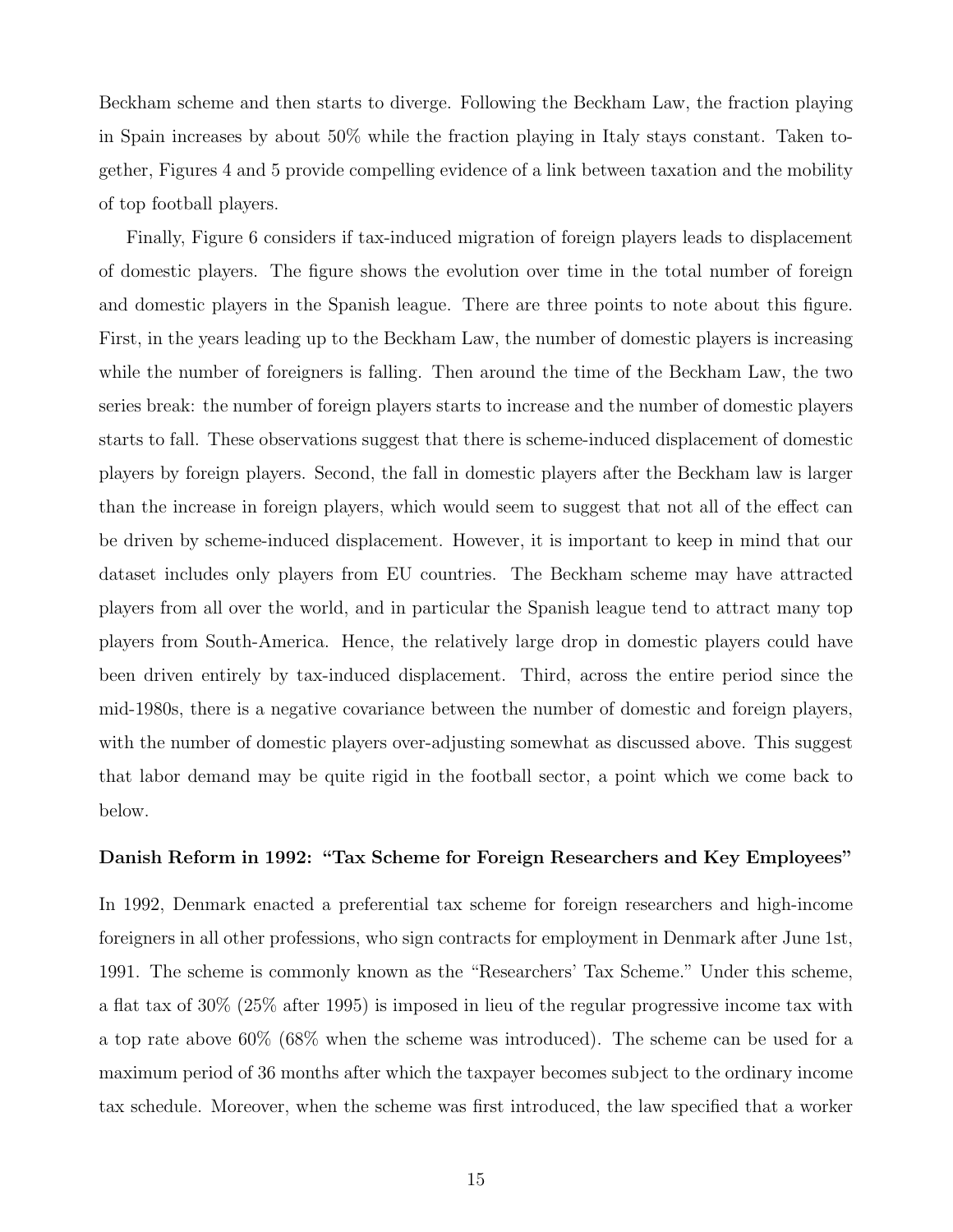Beckham scheme and then starts to diverge. Following the Beckham Law, the fraction playing in Spain increases by about 50% while the fraction playing in Italy stays constant. Taken together, Figures 4 and 5 provide compelling evidence of a link between taxation and the mobility of top football players.

Finally, Figure 6 considers if tax-induced migration of foreign players leads to displacement of domestic players. The figure shows the evolution over time in the total number of foreign and domestic players in the Spanish league. There are three points to note about this figure. First, in the years leading up to the Beckham Law, the number of domestic players is increasing while the number of foreigners is falling. Then around the time of the Beckham Law, the two series break: the number of foreign players starts to increase and the number of domestic players starts to fall. These observations suggest that there is scheme-induced displacement of domestic players by foreign players. Second, the fall in domestic players after the Beckham law is larger than the increase in foreign players, which would seem to suggest that not all of the effect can be driven by scheme-induced displacement. However, it is important to keep in mind that our dataset includes only players from EU countries. The Beckham scheme may have attracted players from all over the world, and in particular the Spanish league tend to attract many top players from South-America. Hence, the relatively large drop in domestic players could have been driven entirely by tax-induced displacement. Third, across the entire period since the mid-1980s, there is a negative covariance between the number of domestic and foreign players, with the number of domestic players over-adjusting somewhat as discussed above. This suggest that labor demand may be quite rigid in the football sector, a point which we come back to below.

#### Danish Reform in 1992: "Tax Scheme for Foreign Researchers and Key Employees"

In 1992, Denmark enacted a preferential tax scheme for foreign researchers and high-income foreigners in all other professions, who sign contracts for employment in Denmark after June 1st, 1991. The scheme is commonly known as the "Researchers' Tax Scheme." Under this scheme, a flat tax of 30% (25% after 1995) is imposed in lieu of the regular progressive income tax with a top rate above 60% (68% when the scheme was introduced). The scheme can be used for a maximum period of 36 months after which the taxpayer becomes subject to the ordinary income tax schedule. Moreover, when the scheme was first introduced, the law specified that a worker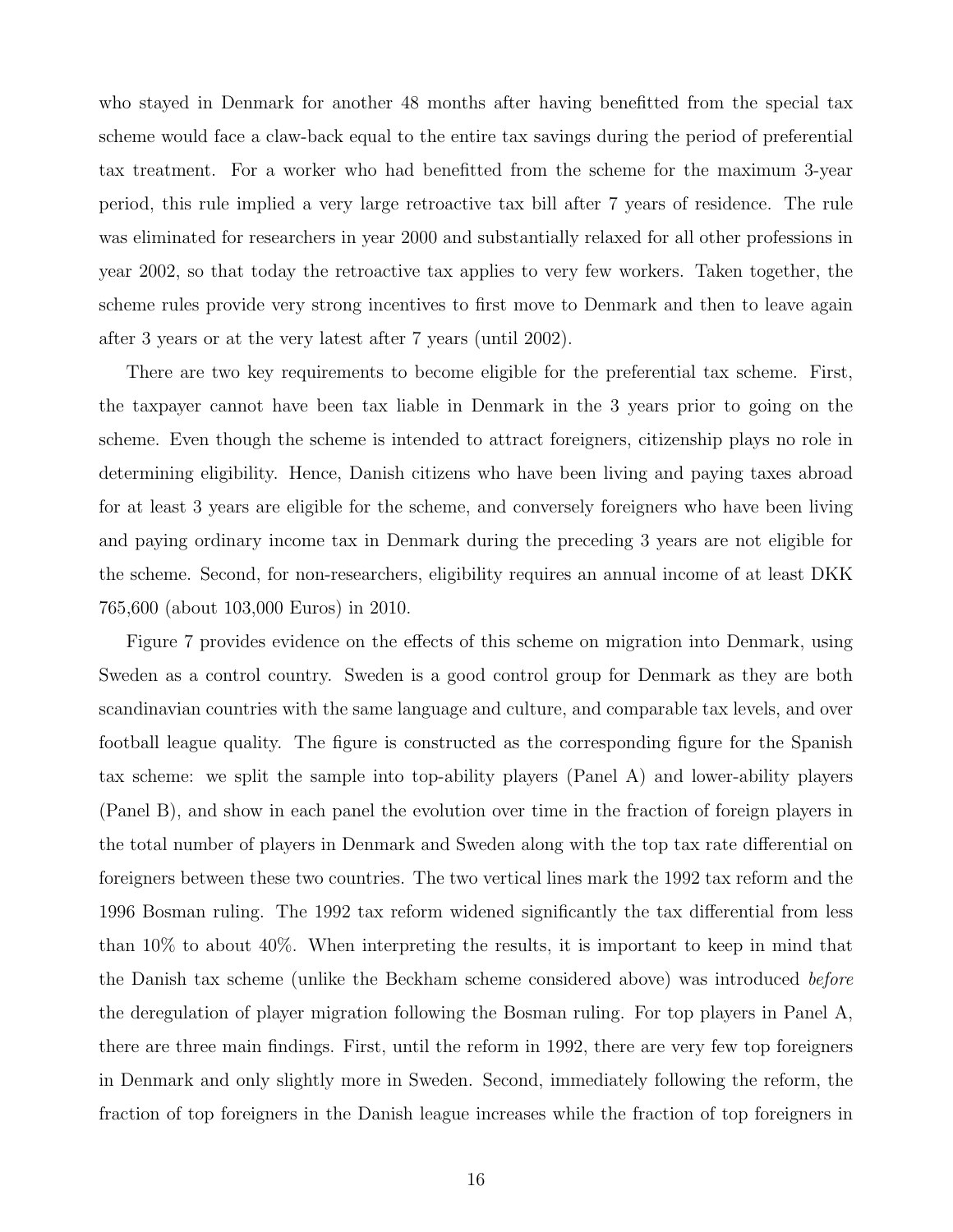who stayed in Denmark for another 48 months after having benefitted from the special tax scheme would face a claw-back equal to the entire tax savings during the period of preferential tax treatment. For a worker who had benefitted from the scheme for the maximum 3-year period, this rule implied a very large retroactive tax bill after 7 years of residence. The rule was eliminated for researchers in year 2000 and substantially relaxed for all other professions in year 2002, so that today the retroactive tax applies to very few workers. Taken together, the scheme rules provide very strong incentives to first move to Denmark and then to leave again after 3 years or at the very latest after 7 years (until 2002).

There are two key requirements to become eligible for the preferential tax scheme. First, the taxpayer cannot have been tax liable in Denmark in the 3 years prior to going on the scheme. Even though the scheme is intended to attract foreigners, citizenship plays no role in determining eligibility. Hence, Danish citizens who have been living and paying taxes abroad for at least 3 years are eligible for the scheme, and conversely foreigners who have been living and paying ordinary income tax in Denmark during the preceding 3 years are not eligible for the scheme. Second, for non-researchers, eligibility requires an annual income of at least DKK 765,600 (about 103,000 Euros) in 2010.

Figure 7 provides evidence on the effects of this scheme on migration into Denmark, using Sweden as a control country. Sweden is a good control group for Denmark as they are both scandinavian countries with the same language and culture, and comparable tax levels, and over football league quality. The figure is constructed as the corresponding figure for the Spanish tax scheme: we split the sample into top-ability players (Panel A) and lower-ability players (Panel B), and show in each panel the evolution over time in the fraction of foreign players in the total number of players in Denmark and Sweden along with the top tax rate differential on foreigners between these two countries. The two vertical lines mark the 1992 tax reform and the 1996 Bosman ruling. The 1992 tax reform widened significantly the tax differential from less than 10% to about 40%. When interpreting the results, it is important to keep in mind that the Danish tax scheme (unlike the Beckham scheme considered above) was introduced before the deregulation of player migration following the Bosman ruling. For top players in Panel A, there are three main findings. First, until the reform in 1992, there are very few top foreigners in Denmark and only slightly more in Sweden. Second, immediately following the reform, the fraction of top foreigners in the Danish league increases while the fraction of top foreigners in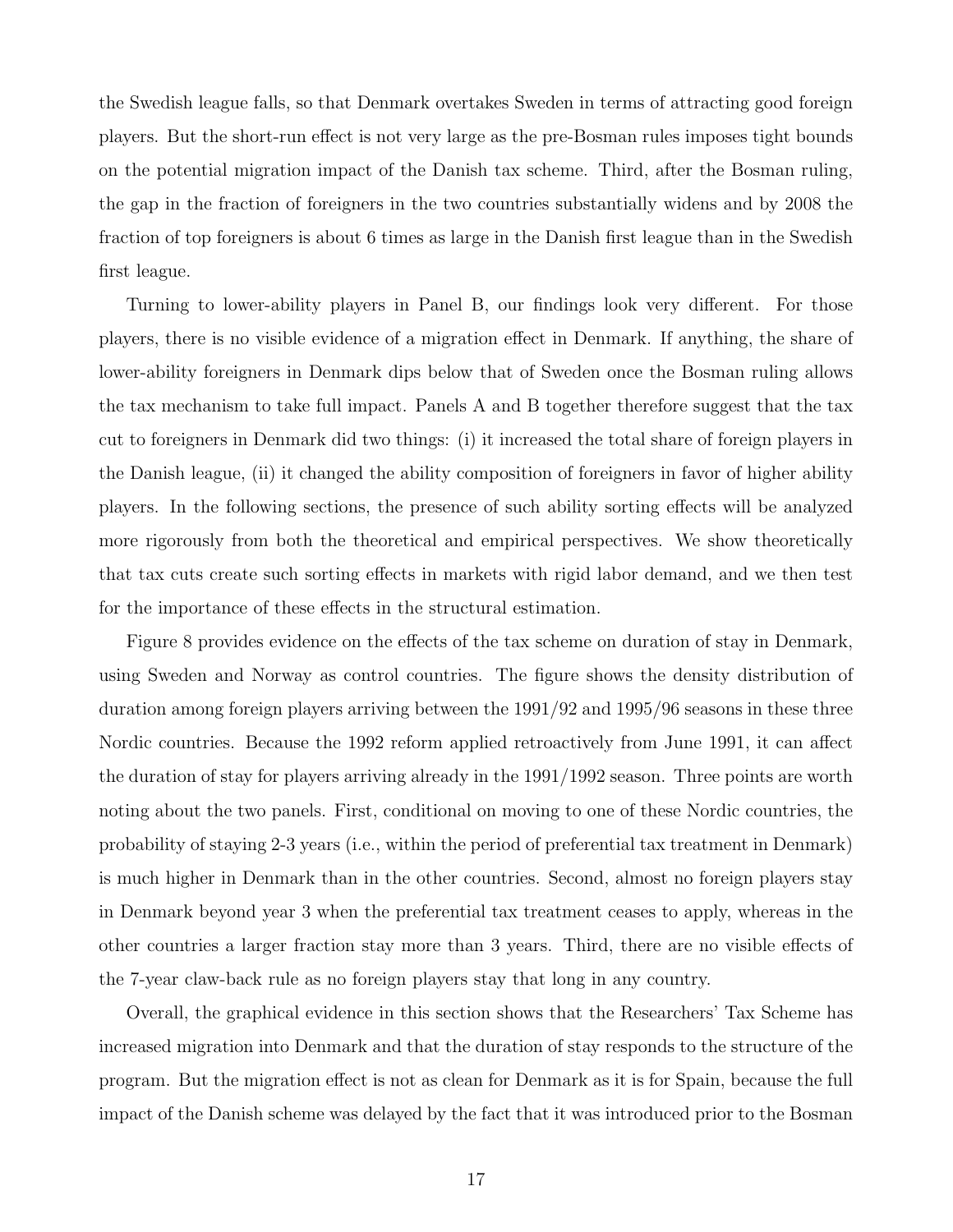the Swedish league falls, so that Denmark overtakes Sweden in terms of attracting good foreign players. But the short-run effect is not very large as the pre-Bosman rules imposes tight bounds on the potential migration impact of the Danish tax scheme. Third, after the Bosman ruling, the gap in the fraction of foreigners in the two countries substantially widens and by 2008 the fraction of top foreigners is about 6 times as large in the Danish first league than in the Swedish first league.

Turning to lower-ability players in Panel B, our findings look very different. For those players, there is no visible evidence of a migration effect in Denmark. If anything, the share of lower-ability foreigners in Denmark dips below that of Sweden once the Bosman ruling allows the tax mechanism to take full impact. Panels A and B together therefore suggest that the tax cut to foreigners in Denmark did two things: (i) it increased the total share of foreign players in the Danish league, (ii) it changed the ability composition of foreigners in favor of higher ability players. In the following sections, the presence of such ability sorting effects will be analyzed more rigorously from both the theoretical and empirical perspectives. We show theoretically that tax cuts create such sorting effects in markets with rigid labor demand, and we then test for the importance of these effects in the structural estimation.

Figure 8 provides evidence on the effects of the tax scheme on duration of stay in Denmark, using Sweden and Norway as control countries. The figure shows the density distribution of duration among foreign players arriving between the 1991/92 and 1995/96 seasons in these three Nordic countries. Because the 1992 reform applied retroactively from June 1991, it can affect the duration of stay for players arriving already in the 1991/1992 season. Three points are worth noting about the two panels. First, conditional on moving to one of these Nordic countries, the probability of staying 2-3 years (i.e., within the period of preferential tax treatment in Denmark) is much higher in Denmark than in the other countries. Second, almost no foreign players stay in Denmark beyond year 3 when the preferential tax treatment ceases to apply, whereas in the other countries a larger fraction stay more than 3 years. Third, there are no visible effects of the 7-year claw-back rule as no foreign players stay that long in any country.

Overall, the graphical evidence in this section shows that the Researchers' Tax Scheme has increased migration into Denmark and that the duration of stay responds to the structure of the program. But the migration effect is not as clean for Denmark as it is for Spain, because the full impact of the Danish scheme was delayed by the fact that it was introduced prior to the Bosman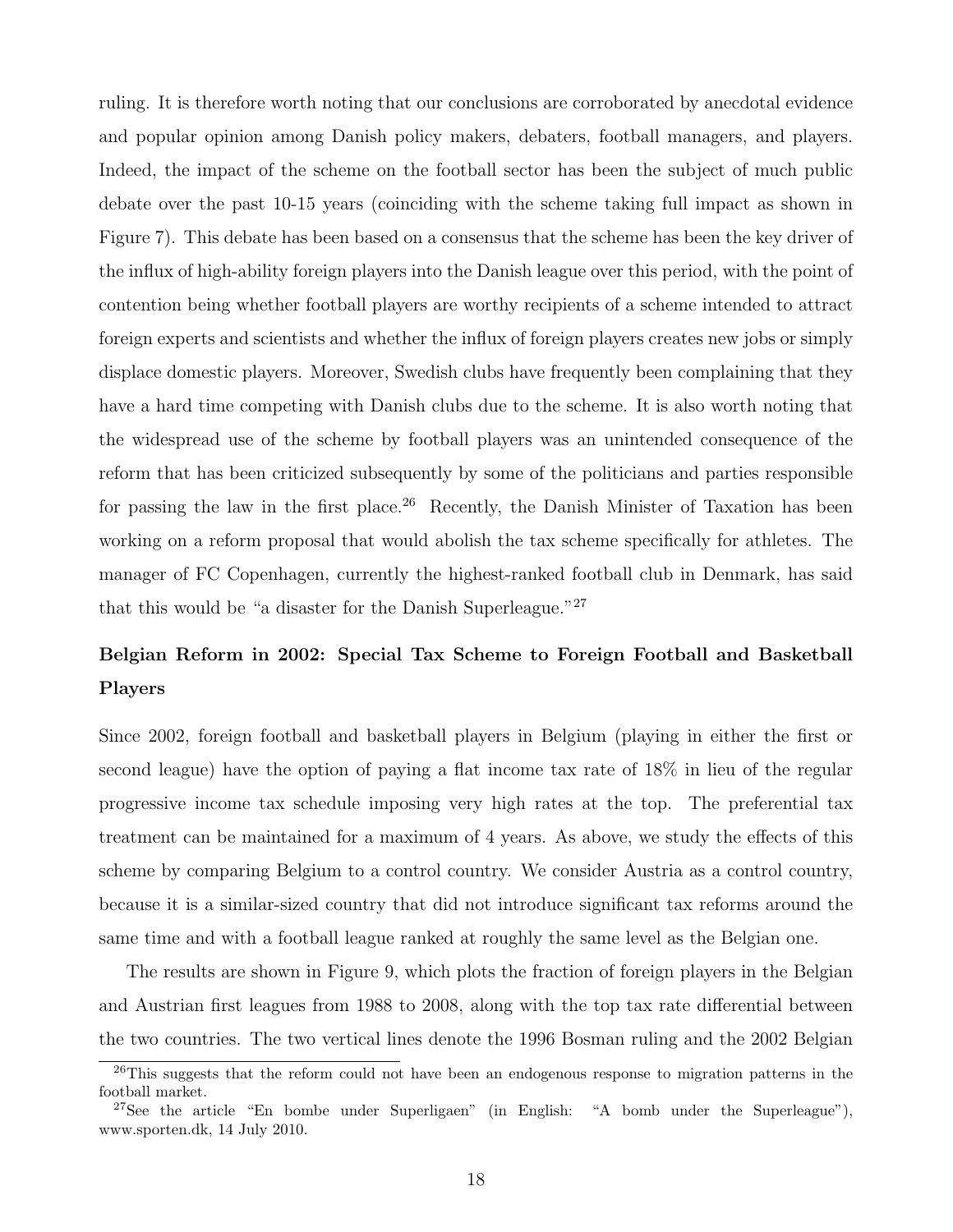ruling. It is therefore worth noting that our conclusions are corroborated by anecdotal evidence and popular opinion among Danish policy makers, debaters, football managers, and players. Indeed, the impact of the scheme on the football sector has been the subject of much public debate over the past 10-15 years (coinciding with the scheme taking full impact as shown in Figure 7). This debate has been based on a consensus that the scheme has been the key driver of the influx of high-ability foreign players into the Danish league over this period, with the point of contention being whether football players are worthy recipients of a scheme intended to attract foreign experts and scientists and whether the influx of foreign players creates new jobs or simply displace domestic players. Moreover, Swedish clubs have frequently been complaining that they have a hard time competing with Danish clubs due to the scheme. It is also worth noting that the widespread use of the scheme by football players was an unintended consequence of the reform that has been criticized subsequently by some of the politicians and parties responsible for passing the law in the first place.<sup>26</sup> Recently, the Danish Minister of Taxation has been working on a reform proposal that would abolish the tax scheme specifically for athletes. The manager of FC Copenhagen, currently the highest-ranked football club in Denmark, has said that this would be "a disaster for the Danish Superleague."<sup>27</sup>

# Belgian Reform in 2002: Special Tax Scheme to Foreign Football and Basketball Players

Since 2002, foreign football and basketball players in Belgium (playing in either the first or second league) have the option of paying a flat income tax rate of 18% in lieu of the regular progressive income tax schedule imposing very high rates at the top. The preferential tax treatment can be maintained for a maximum of 4 years. As above, we study the effects of this scheme by comparing Belgium to a control country. We consider Austria as a control country, because it is a similar-sized country that did not introduce significant tax reforms around the same time and with a football league ranked at roughly the same level as the Belgian one.

The results are shown in Figure 9, which plots the fraction of foreign players in the Belgian and Austrian first leagues from 1988 to 2008, along with the top tax rate differential between the two countries. The two vertical lines denote the 1996 Bosman ruling and the 2002 Belgian

<sup>&</sup>lt;sup>26</sup>This suggests that the reform could not have been an endogenous response to migration patterns in the football market.

<sup>&</sup>lt;sup>27</sup>See the article "En bombe under Superligaen" (in English: "A bomb under the Superleague"), www.sporten.dk, 14 July 2010.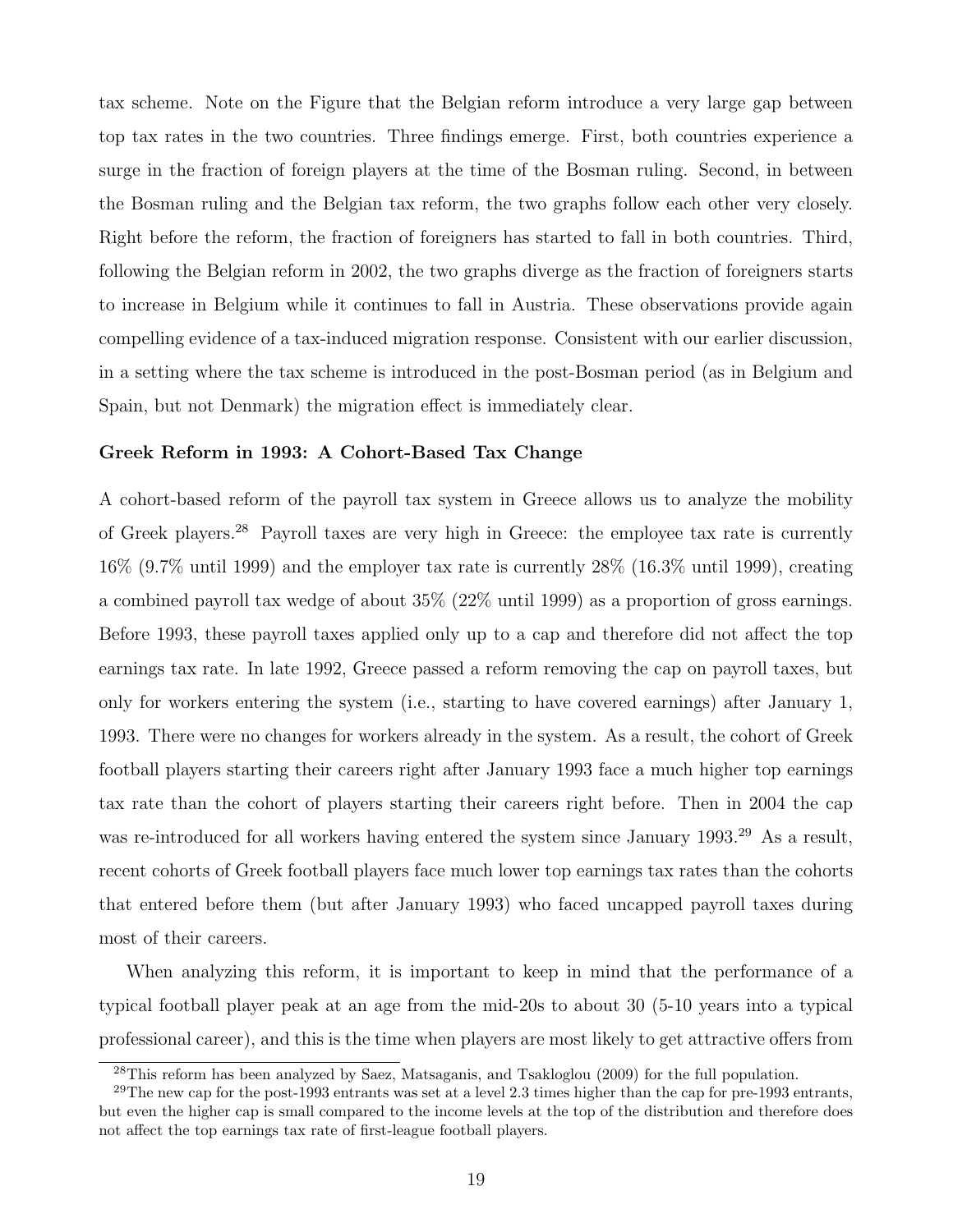tax scheme. Note on the Figure that the Belgian reform introduce a very large gap between top tax rates in the two countries. Three findings emerge. First, both countries experience a surge in the fraction of foreign players at the time of the Bosman ruling. Second, in between the Bosman ruling and the Belgian tax reform, the two graphs follow each other very closely. Right before the reform, the fraction of foreigners has started to fall in both countries. Third, following the Belgian reform in 2002, the two graphs diverge as the fraction of foreigners starts to increase in Belgium while it continues to fall in Austria. These observations provide again compelling evidence of a tax-induced migration response. Consistent with our earlier discussion, in a setting where the tax scheme is introduced in the post-Bosman period (as in Belgium and Spain, but not Denmark) the migration effect is immediately clear.

#### Greek Reform in 1993: A Cohort-Based Tax Change

A cohort-based reform of the payroll tax system in Greece allows us to analyze the mobility of Greek players.<sup>28</sup> Payroll taxes are very high in Greece: the employee tax rate is currently 16% (9.7% until 1999) and the employer tax rate is currently 28% (16.3% until 1999), creating a combined payroll tax wedge of about 35% (22% until 1999) as a proportion of gross earnings. Before 1993, these payroll taxes applied only up to a cap and therefore did not affect the top earnings tax rate. In late 1992, Greece passed a reform removing the cap on payroll taxes, but only for workers entering the system (i.e., starting to have covered earnings) after January 1, 1993. There were no changes for workers already in the system. As a result, the cohort of Greek football players starting their careers right after January 1993 face a much higher top earnings tax rate than the cohort of players starting their careers right before. Then in 2004 the cap was re-introduced for all workers having entered the system since January 1993.<sup>29</sup> As a result, recent cohorts of Greek football players face much lower top earnings tax rates than the cohorts that entered before them (but after January 1993) who faced uncapped payroll taxes during most of their careers.

When analyzing this reform, it is important to keep in mind that the performance of a typical football player peak at an age from the mid-20s to about 30 (5-10 years into a typical professional career), and this is the time when players are most likely to get attractive offers from

<sup>&</sup>lt;sup>28</sup>This reform has been analyzed by Saez, Matsaganis, and Tsakloglou (2009) for the full population.

<sup>&</sup>lt;sup>29</sup>The new cap for the post-1993 entrants was set at a level 2.3 times higher than the cap for pre-1993 entrants, but even the higher cap is small compared to the income levels at the top of the distribution and therefore does not affect the top earnings tax rate of first-league football players.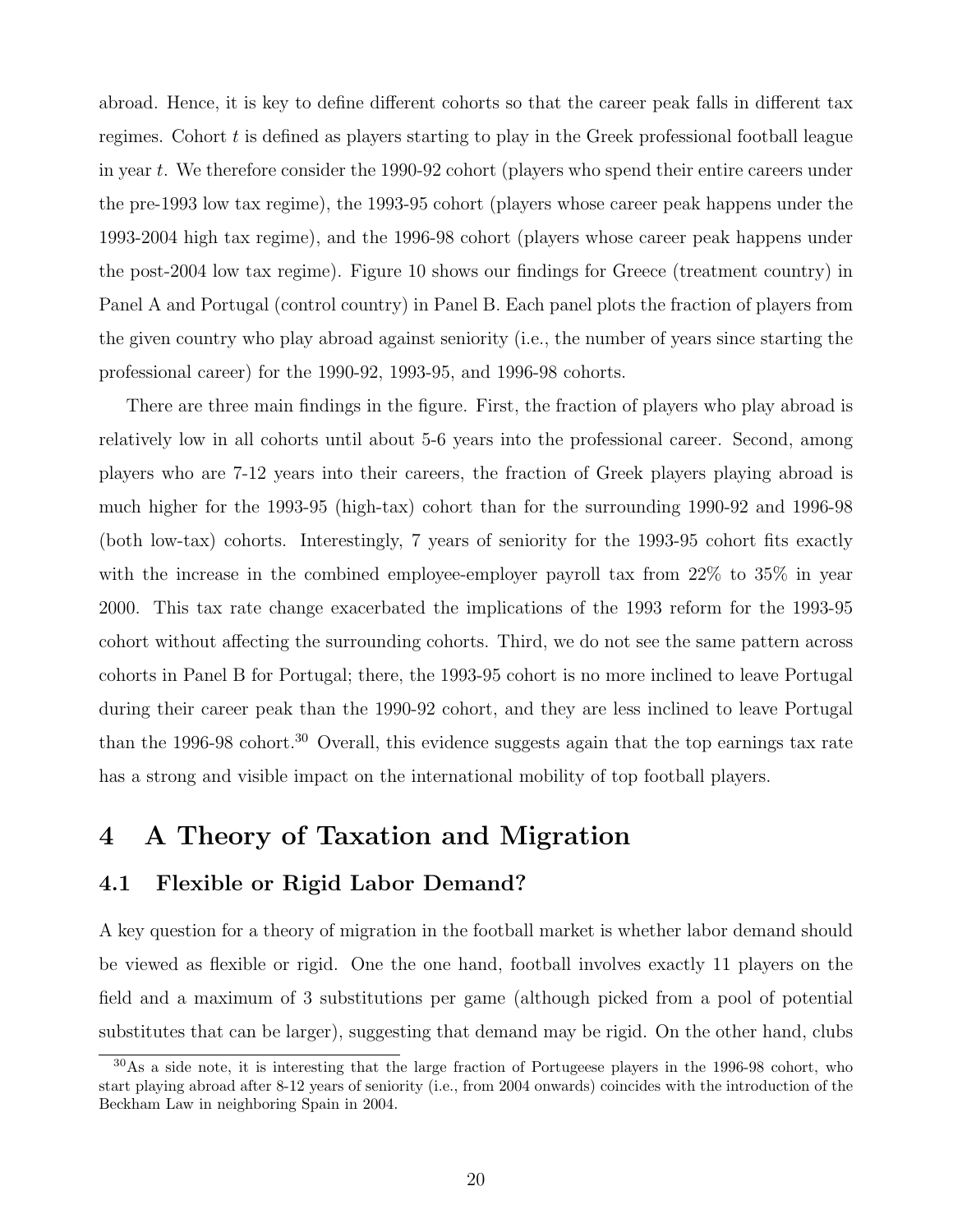abroad. Hence, it is key to define different cohorts so that the career peak falls in different tax regimes. Cohort  $t$  is defined as players starting to play in the Greek professional football league in year t. We therefore consider the 1990-92 cohort (players who spend their entire careers under the pre-1993 low tax regime), the 1993-95 cohort (players whose career peak happens under the 1993-2004 high tax regime), and the 1996-98 cohort (players whose career peak happens under the post-2004 low tax regime). Figure 10 shows our findings for Greece (treatment country) in Panel A and Portugal (control country) in Panel B. Each panel plots the fraction of players from the given country who play abroad against seniority (i.e., the number of years since starting the professional career) for the 1990-92, 1993-95, and 1996-98 cohorts.

There are three main findings in the figure. First, the fraction of players who play abroad is relatively low in all cohorts until about 5-6 years into the professional career. Second, among players who are 7-12 years into their careers, the fraction of Greek players playing abroad is much higher for the 1993-95 (high-tax) cohort than for the surrounding 1990-92 and 1996-98 (both low-tax) cohorts. Interestingly, 7 years of seniority for the 1993-95 cohort fits exactly with the increase in the combined employee-employer payroll tax from 22\% to 35\% in year 2000. This tax rate change exacerbated the implications of the 1993 reform for the 1993-95 cohort without affecting the surrounding cohorts. Third, we do not see the same pattern across cohorts in Panel B for Portugal; there, the 1993-95 cohort is no more inclined to leave Portugal during their career peak than the 1990-92 cohort, and they are less inclined to leave Portugal than the 1996-98 cohort.<sup>30</sup> Overall, this evidence suggests again that the top earnings tax rate has a strong and visible impact on the international mobility of top football players.

# 4 A Theory of Taxation and Migration

## 4.1 Flexible or Rigid Labor Demand?

A key question for a theory of migration in the football market is whether labor demand should be viewed as flexible or rigid. One the one hand, football involves exactly 11 players on the field and a maximum of 3 substitutions per game (although picked from a pool of potential substitutes that can be larger), suggesting that demand may be rigid. On the other hand, clubs

<sup>30</sup>As a side note, it is interesting that the large fraction of Portugeese players in the 1996-98 cohort, who start playing abroad after 8-12 years of seniority (i.e., from 2004 onwards) coincides with the introduction of the Beckham Law in neighboring Spain in 2004.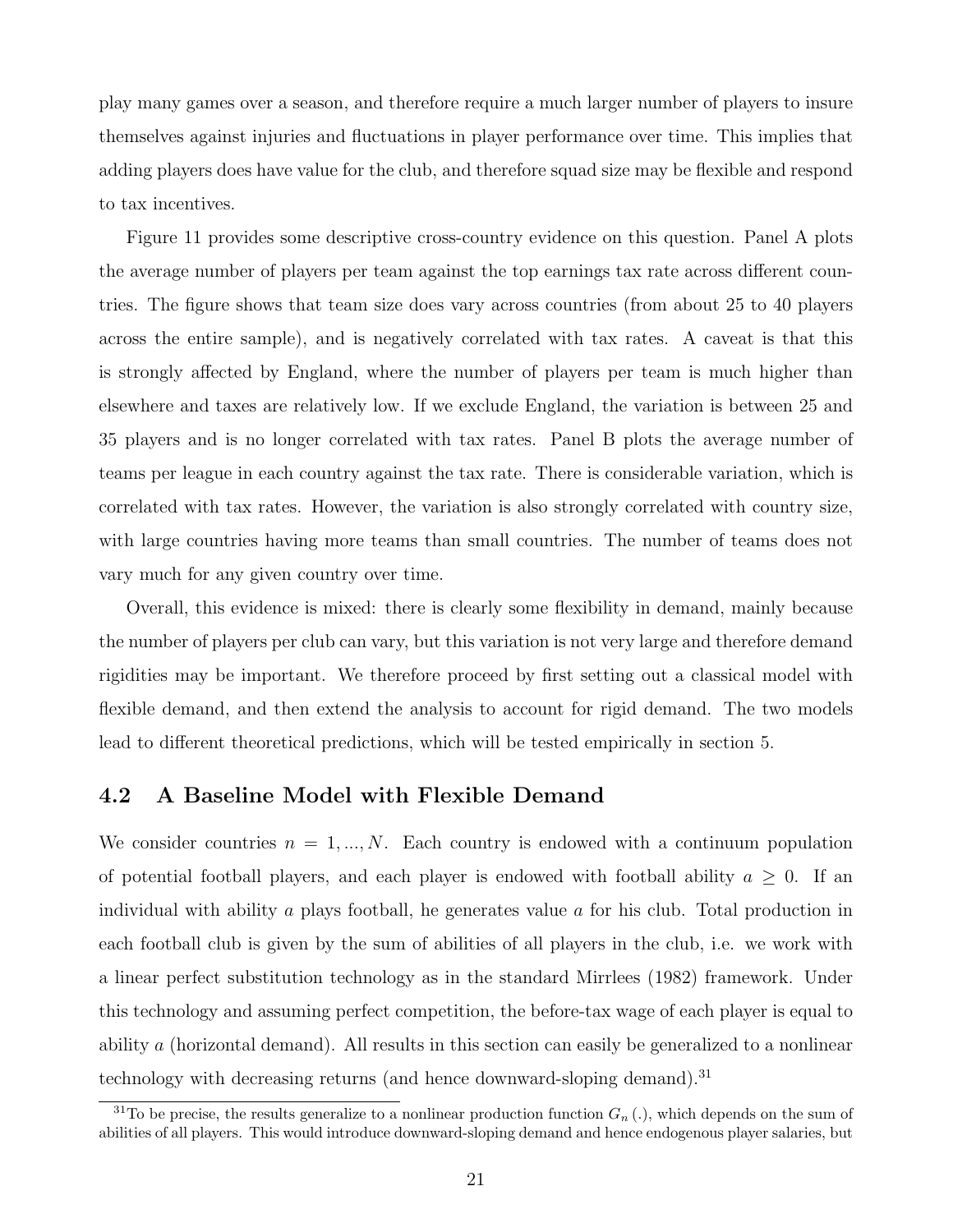play many games over a season, and therefore require a much larger number of players to insure themselves against injuries and fluctuations in player performance over time. This implies that adding players does have value for the club, and therefore squad size may be flexible and respond to tax incentives.

Figure 11 provides some descriptive cross-country evidence on this question. Panel A plots the average number of players per team against the top earnings tax rate across different countries. The figure shows that team size does vary across countries (from about 25 to 40 players across the entire sample), and is negatively correlated with tax rates. A caveat is that this is strongly affected by England, where the number of players per team is much higher than elsewhere and taxes are relatively low. If we exclude England, the variation is between 25 and 35 players and is no longer correlated with tax rates. Panel B plots the average number of teams per league in each country against the tax rate. There is considerable variation, which is correlated with tax rates. However, the variation is also strongly correlated with country size, with large countries having more teams than small countries. The number of teams does not vary much for any given country over time.

Overall, this evidence is mixed: there is clearly some flexibility in demand, mainly because the number of players per club can vary, but this variation is not very large and therefore demand rigidities may be important. We therefore proceed by first setting out a classical model with flexible demand, and then extend the analysis to account for rigid demand. The two models lead to different theoretical predictions, which will be tested empirically in section 5.

## 4.2 A Baseline Model with Flexible Demand

We consider countries  $n = 1, ..., N$ . Each country is endowed with a continuum population of potential football players, and each player is endowed with football ability  $a \geq 0$ . If an individual with ability a plays football, he generates value a for his club. Total production in each football club is given by the sum of abilities of all players in the club, i.e. we work with a linear perfect substitution technology as in the standard Mirrlees (1982) framework. Under this technology and assuming perfect competition, the before-tax wage of each player is equal to ability a (horizontal demand). All results in this section can easily be generalized to a nonlinear technology with decreasing returns (and hence downward-sloping demand).<sup>31</sup>

<sup>&</sup>lt;sup>31</sup>To be precise, the results generalize to a nonlinear production function  $G_n(.)$ , which depends on the sum of abilities of all players. This would introduce downward-sloping demand and hence endogenous player salaries, but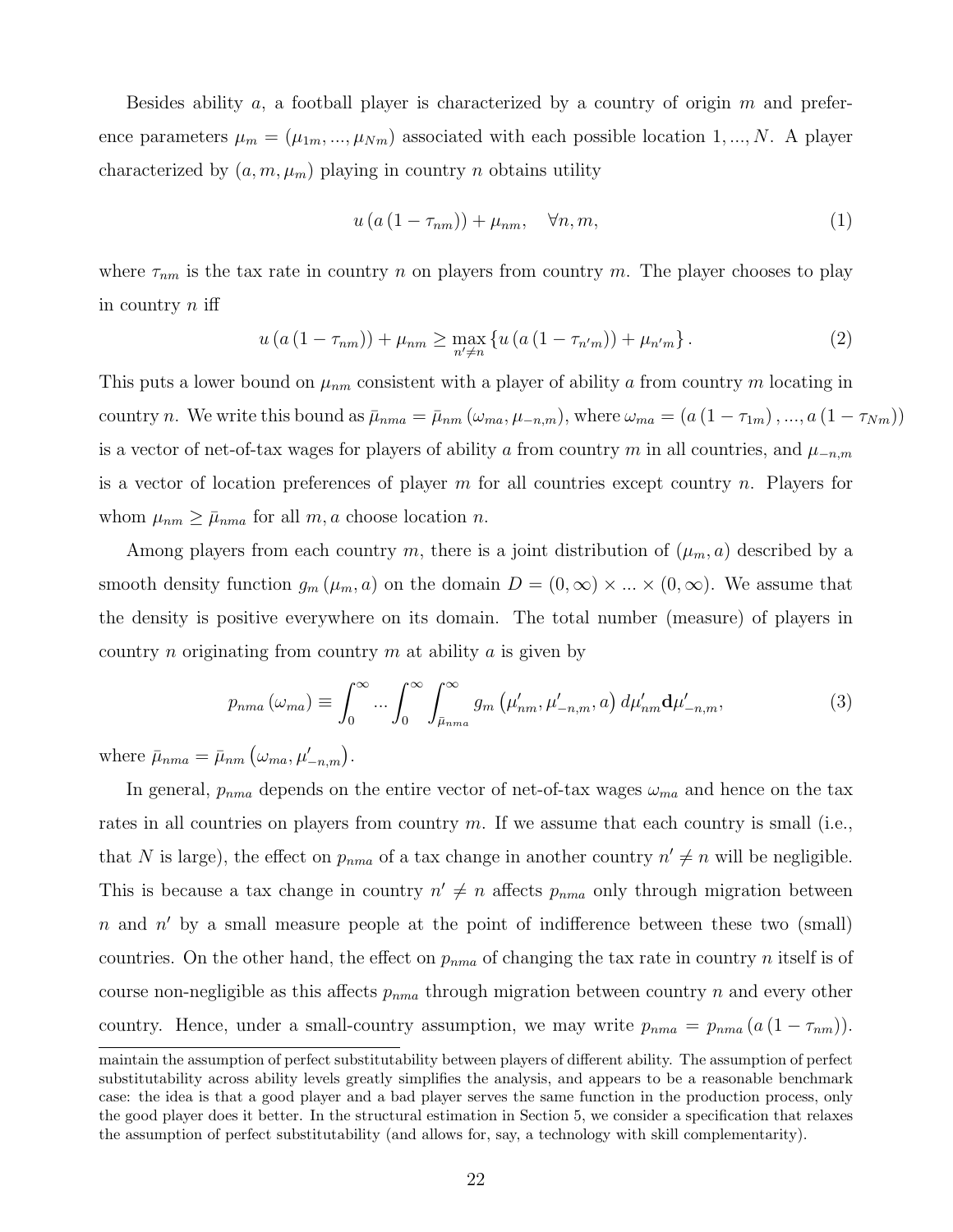Besides ability a, a football player is characterized by a country of origin  $m$  and preference parameters  $\mu_m = (\mu_{1m}, ..., \mu_{Nm})$  associated with each possible location 1, ..., N. A player characterized by  $(a, m, \mu_m)$  playing in country *n* obtains utility

$$
u\left(a\left(1-\tau_{nm}\right)\right)+\mu_{nm},\quad\forall n,m,\tag{1}
$$

where  $\tau_{nm}$  is the tax rate in country n on players from country m. The player chooses to play in country  $n$  iff

$$
u (a (1 - \tau_{nm})) + \mu_{nm} \ge \max_{n' \neq n} \{ u (a (1 - \tau_{n'm})) + \mu_{n'm} \}.
$$
 (2)

This puts a lower bound on  $\mu_{nm}$  consistent with a player of ability a from country m locating in country n. We write this bound as  $\bar{\mu}_{nma} = \bar{\mu}_{nm}(\omega_{ma}, \mu_{-n,m})$ , where  $\omega_{ma} = (a(1 - \tau_{1m}), ..., a(1 - \tau_{Nm}))$ is a vector of net-of-tax wages for players of ability a from country m in all countries, and  $\mu_{-n,m}$ is a vector of location preferences of player m for all countries except country n. Players for whom  $\mu_{nm} \geq \bar{\mu}_{nma}$  for all  $m, a$  choose location n.

Among players from each country m, there is a joint distribution of  $(\mu_m, a)$  described by a smooth density function  $g_m(\mu_m, a)$  on the domain  $D = (0, \infty) \times ... \times (0, \infty)$ . We assume that the density is positive everywhere on its domain. The total number (measure) of players in country *n* originating from country *m* at ability *a* is given by

$$
p_{nma}(\omega_{ma}) \equiv \int_0^\infty \dots \int_0^\infty \int_{\bar{\mu}_{nma}}^\infty g_m(\mu'_{nm}, \mu'_{-n,m}, a) d\mu'_{nm} d\mu'_{-n,m}, \tag{3}
$$

where  $\bar{\mu}_{nma} = \bar{\mu}_{nm} (\omega_{ma}, \mu'_{-n,m}).$ 

In general,  $p_{nma}$  depends on the entire vector of net-of-tax wages  $\omega_{ma}$  and hence on the tax rates in all countries on players from country  $m$ . If we assume that each country is small (i.e., that N is large), the effect on  $p_{nma}$  of a tax change in another country  $n' \neq n$  will be negligible. This is because a tax change in country  $n' \neq n$  affects  $p_{n m a}$  only through migration between  $n$  and  $n'$  by a small measure people at the point of indifference between these two (small) countries. On the other hand, the effect on  $p_{nma}$  of changing the tax rate in country n itself is of course non-negligible as this affects  $p_{nma}$  through migration between country n and every other country. Hence, under a small-country assumption, we may write  $p_{nma} = p_{nma} (a (1 - \tau_{nm}))$ .

maintain the assumption of perfect substitutability between players of different ability. The assumption of perfect substitutability across ability levels greatly simplifies the analysis, and appears to be a reasonable benchmark case: the idea is that a good player and a bad player serves the same function in the production process, only the good player does it better. In the structural estimation in Section 5, we consider a specification that relaxes the assumption of perfect substitutability (and allows for, say, a technology with skill complementarity).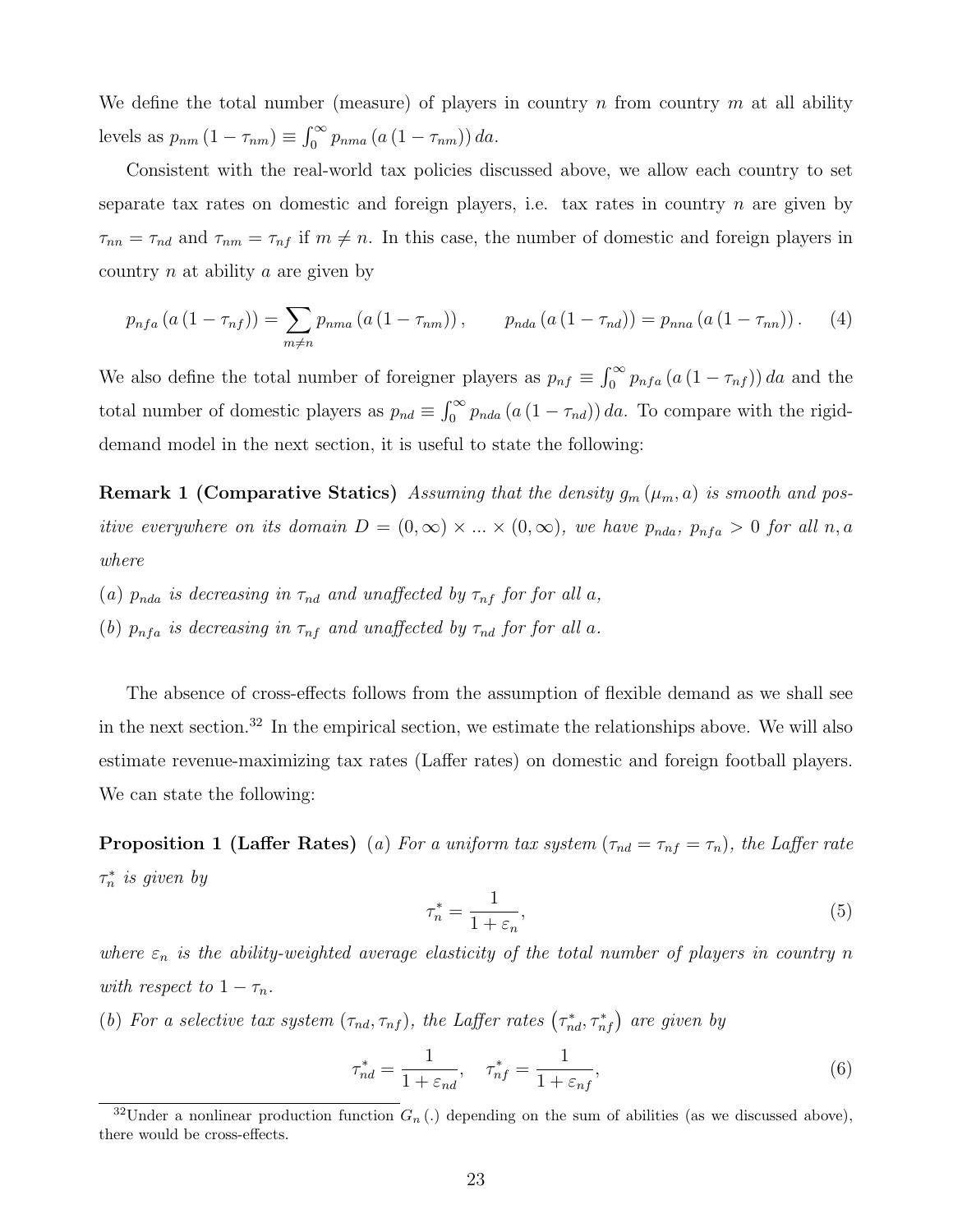We define the total number (measure) of players in country n from country m at all ability levels as  $p_{nm} (1 - \tau_{nm}) \equiv \int_0^\infty p_{nma} (a (1 - \tau_{nm})) da$ .

Consistent with the real-world tax policies discussed above, we allow each country to set separate tax rates on domestic and foreign players, i.e. tax rates in country  $n$  are given by  $\tau_{nn} = \tau_{nd}$  and  $\tau_{nm} = \tau_{nf}$  if  $m \neq n$ . In this case, the number of domestic and foreign players in country  $n$  at ability  $a$  are given by

$$
p_{nfa} (a (1 - \tau_{nf})) = \sum_{m \neq n} p_{nma} (a (1 - \tau_{nm})) , \qquad p_{nda} (a (1 - \tau_{nd})) = p_{nna} (a (1 - \tau_{nn})) . \tag{4}
$$

We also define the total number of foreigner players as  $p_{nf} \equiv \int_0^\infty p_{nf_a}(a(1 - \tau_{nf})) da$  and the total number of domestic players as  $p_{nd} \equiv \int_0^\infty p_{nda} (a (1 - \tau_{nd})) da$ . To compare with the rigiddemand model in the next section, it is useful to state the following:

**Remark 1 (Comparative Statics)** Assuming that the density  $g_m(\mu_m, a)$  is smooth and positive everywhere on its domain  $D = (0, \infty) \times ... \times (0, \infty)$ , we have  $p_{nda}$ ,  $p_{nfa} > 0$  for all  $n, a$ where

- (a)  $p_{nda}$  is decreasing in  $\tau_{nd}$  and unaffected by  $\tau_{nf}$  for for all a,
- (b)  $p_{nfa}$  is decreasing in  $\tau_{nf}$  and unaffected by  $\tau_{nd}$  for for all a.

The absence of cross-effects follows from the assumption of flexible demand as we shall see in the next section.<sup>32</sup> In the empirical section, we estimate the relationships above. We will also estimate revenue-maximizing tax rates (Laffer rates) on domestic and foreign football players. We can state the following:

**Proposition 1 (Laffer Rates)** (a) For a uniform tax system  $(\tau_{nd} = \tau_{nf} = \tau_n)$ , the Laffer rate  $\tau_n^*$  is given by

$$
\tau_n^* = \frac{1}{1 + \varepsilon_n},\tag{5}
$$

where  $\varepsilon_n$  is the ability-weighted average elasticity of the total number of players in country n with respect to  $1 - \tau_n$ .

(b) For a selective tax system  $(\tau_{nd}, \tau_{nf})$ , the Laffer rates  $(\tau_{nd}^*, \tau_{nf}^*)$  are given by

$$
\tau_{nd}^* = \frac{1}{1 + \varepsilon_{nd}}, \quad \tau_{nf}^* = \frac{1}{1 + \varepsilon_{nf}},\tag{6}
$$

<sup>&</sup>lt;sup>32</sup>Under a nonlinear production function  $G_n$ .) depending on the sum of abilities (as we discussed above), there would be cross-effects.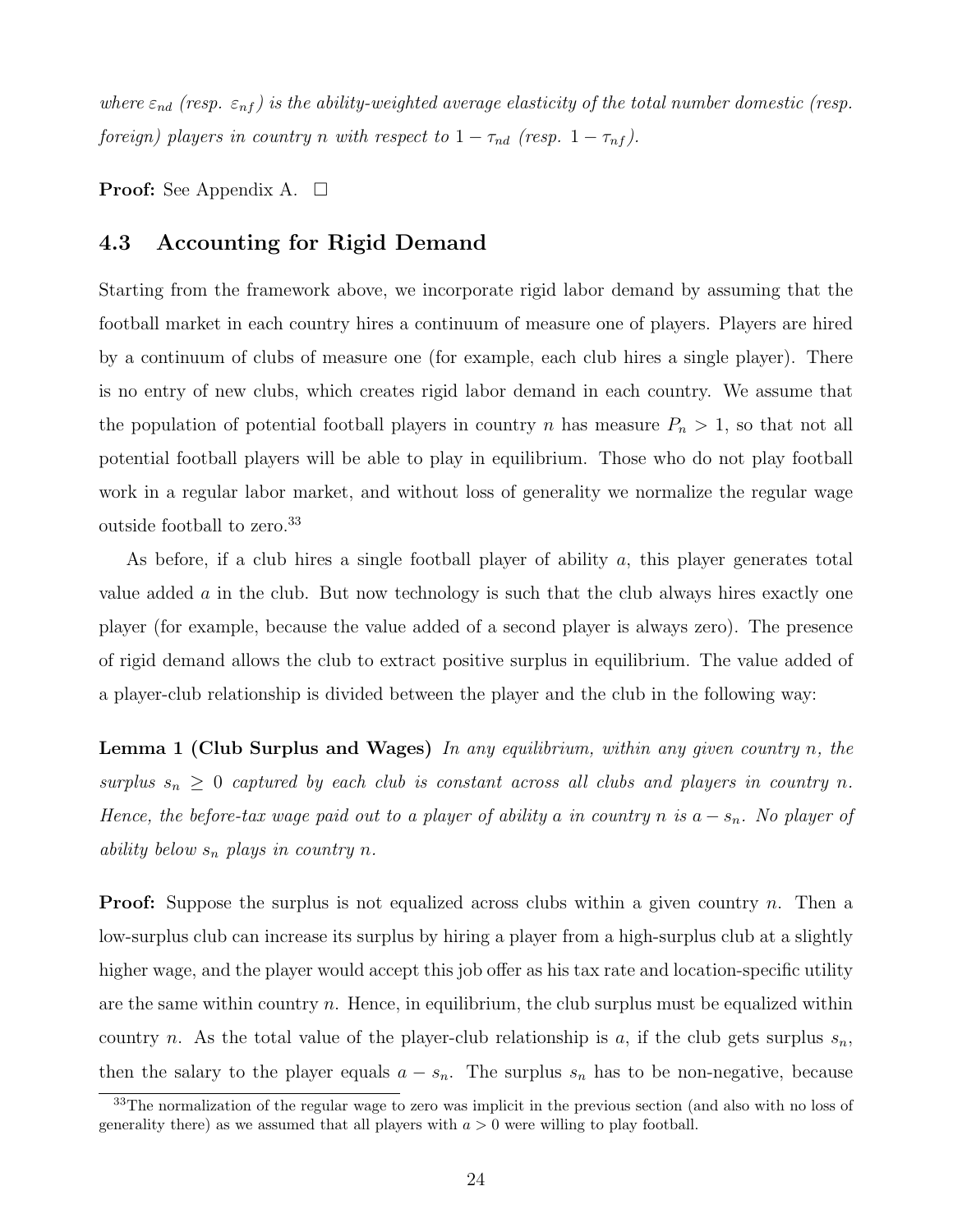where  $\varepsilon_{nd}$  (resp.  $\varepsilon_{nf}$ ) is the ability-weighted average elasticity of the total number domestic (resp. foreign) players in country n with respect to  $1 - \tau_{nd}$  (resp.  $1 - \tau_{nf}$ ).

**Proof:** See Appendix A.  $\Box$ 

### 4.3 Accounting for Rigid Demand

Starting from the framework above, we incorporate rigid labor demand by assuming that the football market in each country hires a continuum of measure one of players. Players are hired by a continuum of clubs of measure one (for example, each club hires a single player). There is no entry of new clubs, which creates rigid labor demand in each country. We assume that the population of potential football players in country n has measure  $P_n > 1$ , so that not all potential football players will be able to play in equilibrium. Those who do not play football work in a regular labor market, and without loss of generality we normalize the regular wage outside football to zero.<sup>33</sup>

As before, if a club hires a single football player of ability  $a$ , this player generates total value added  $\alpha$  in the club. But now technology is such that the club always hires exactly one player (for example, because the value added of a second player is always zero). The presence of rigid demand allows the club to extract positive surplus in equilibrium. The value added of a player-club relationship is divided between the player and the club in the following way:

**Lemma 1 (Club Surplus and Wages)** In any equilibrium, within any given country n, the surplus  $s_n \geq 0$  captured by each club is constant across all clubs and players in country n. Hence, the before-tax wage paid out to a player of ability a in country n is  $a - s_n$ . No player of ability below  $s_n$  plays in country n.

**Proof:** Suppose the surplus is not equalized across clubs within a given country n. Then a low-surplus club can increase its surplus by hiring a player from a high-surplus club at a slightly higher wage, and the player would accept this job offer as his tax rate and location-specific utility are the same within country n. Hence, in equilibrium, the club surplus must be equalized within country n. As the total value of the player-club relationship is a, if the club gets surplus  $s_n$ , then the salary to the player equals  $a - s_n$ . The surplus  $s_n$  has to be non-negative, because

<sup>&</sup>lt;sup>33</sup>The normalization of the regular wage to zero was implicit in the previous section (and also with no loss of generality there) as we assumed that all players with  $a > 0$  were willing to play football.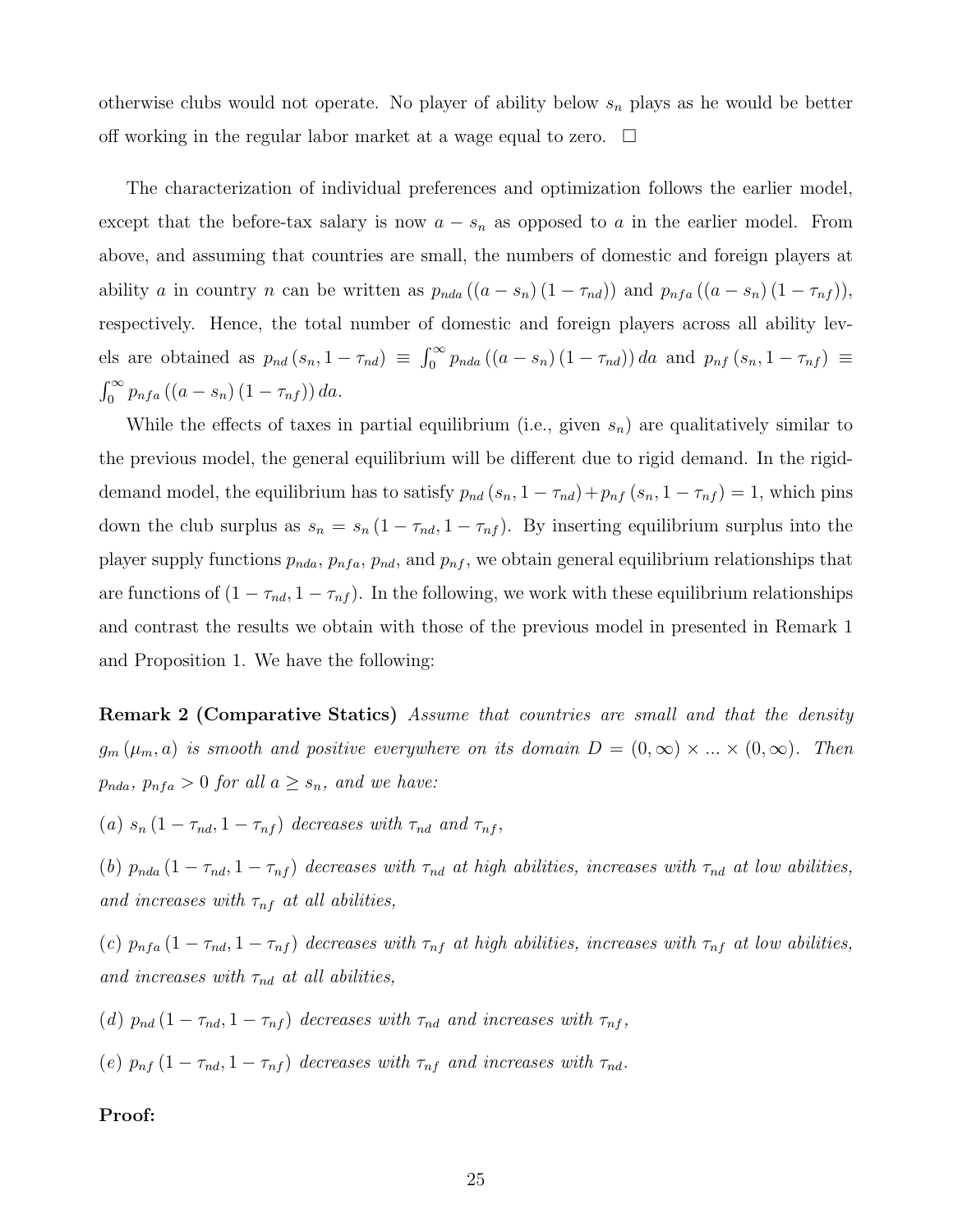otherwise clubs would not operate. No player of ability below  $s_n$  plays as he would be better off working in the regular labor market at a wage equal to zero.  $\Box$ 

The characterization of individual preferences and optimization follows the earlier model, except that the before-tax salary is now  $a - s_n$  as opposed to a in the earlier model. From above, and assuming that countries are small, the numbers of domestic and foreign players at ability a in country n can be written as  $p_{nda}((a - s_n)(1 - \tau_{nd}))$  and  $p_{nfa}((a - s_n)(1 - \tau_{nf})),$ respectively. Hence, the total number of domestic and foreign players across all ability levels are obtained as  $p_{nd}(s_n, 1 - \tau_{nd}) \equiv \int_0^\infty p_{nda} ((a - s_n) (1 - \tau_{nd})) da$  and  $p_{nf}(s_n, 1 - \tau_{nf}) \equiv$  $\int_0^\infty p_{nfa} ((a - s_n) (1 - \tau_{nf})) da.$ 

While the effects of taxes in partial equilibrium (i.e., given  $s_n$ ) are qualitatively similar to the previous model, the general equilibrium will be different due to rigid demand. In the rigiddemand model, the equilibrium has to satisfy  $p_{nd}(s_n, 1 - \tau_{nd}) + p_{nf}(s_n, 1 - \tau_{nf}) = 1$ , which pins down the club surplus as  $s_n = s_n (1 - \tau_{nd}, 1 - \tau_{nf})$ . By inserting equilibrium surplus into the player supply functions  $p_{nda}, p_{nfa}, p_{nd}$ , and  $p_{nf}$ , we obtain general equilibrium relationships that are functions of  $(1 - \tau_{nd}, 1 - \tau_{nf})$ . In the following, we work with these equilibrium relationships and contrast the results we obtain with those of the previous model in presented in Remark 1 and Proposition 1. We have the following:

**Remark 2 (Comparative Statics)** Assume that countries are small and that the density  $g_m(\mu_m, a)$  is smooth and positive everywhere on its domain  $D = (0, \infty) \times ... \times (0, \infty)$ . Then  $p_{nda}, p_{nfa} > 0$  for all  $a \geq s_n$ , and we have:

(a)  $s_n(1 - \tau_{nd}, 1 - \tau_{nf})$  decreases with  $\tau_{nd}$  and  $\tau_{nf}$ ,

(b)  $p_{nda} (1 - \tau_{nd}, 1 - \tau_{nf})$  decreases with  $\tau_{nd}$  at high abilities, increases with  $\tau_{nd}$  at low abilities, and increases with  $\tau_{nf}$  at all abilities,

(c)  $p_{nfa} (1 - \tau_{nd}, 1 - \tau_{nf})$  decreases with  $\tau_{nf}$  at high abilities, increases with  $\tau_{nf}$  at low abilities, and increases with  $\tau_{nd}$  at all abilities,

(d)  $p_{nd} (1 - \tau_{nd}, 1 - \tau_{nf})$  decreases with  $\tau_{nd}$  and increases with  $\tau_{nf}$ ,

(e)  $p_{nf}$  (1 –  $\tau_{nd}$ , 1 –  $\tau_{nf}$ ) decreases with  $\tau_{nf}$  and increases with  $\tau_{nd}$ .

#### Proof: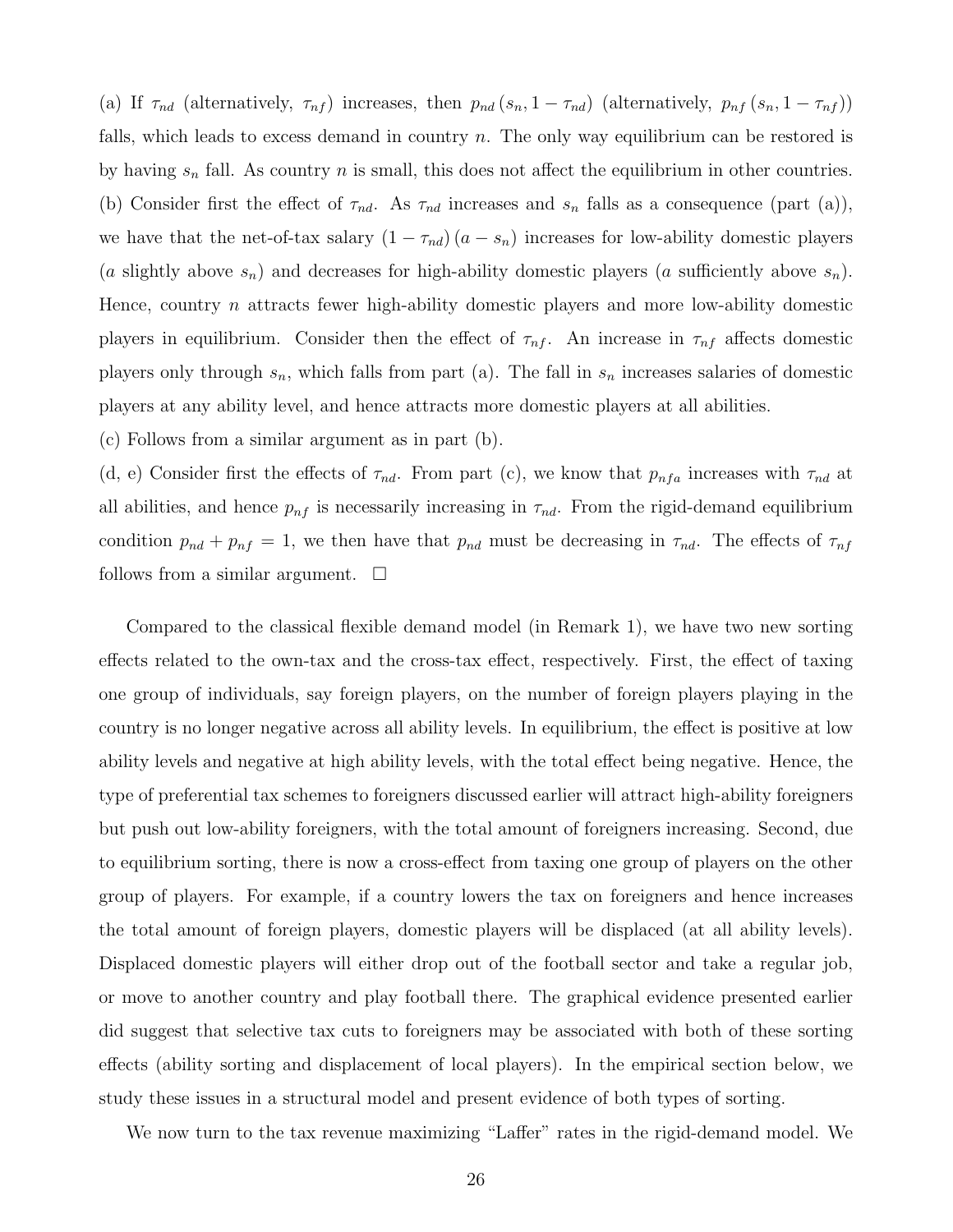(a) If  $\tau_{nd}$  (alternatively,  $\tau_{nf}$ ) increases, then  $p_{nd}(s_n, 1 - \tau_{nd})$  (alternatively,  $p_{nf}(s_n, 1 - \tau_{nf})$ ) falls, which leads to excess demand in country  $n$ . The only way equilibrium can be restored is by having  $s_n$  fall. As country n is small, this does not affect the equilibrium in other countries. (b) Consider first the effect of  $\tau_{nd}$ . As  $\tau_{nd}$  increases and  $s_n$  falls as a consequence (part (a)), we have that the net-of-tax salary  $(1 - \tau_{nd})(a - s_n)$  increases for low-ability domestic players (a slightly above  $s_n$ ) and decreases for high-ability domestic players (a sufficiently above  $s_n$ ). Hence, country n attracts fewer high-ability domestic players and more low-ability domestic players in equilibrium. Consider then the effect of  $\tau_{nf}$ . An increase in  $\tau_{nf}$  affects domestic players only through  $s_n$ , which falls from part (a). The fall in  $s_n$  increases salaries of domestic players at any ability level, and hence attracts more domestic players at all abilities.

(c) Follows from a similar argument as in part (b).

(d, e) Consider first the effects of  $\tau_{nd}$ . From part (c), we know that  $p_{nfa}$  increases with  $\tau_{nd}$  at all abilities, and hence  $p_{nf}$  is necessarily increasing in  $\tau_{nd}$ . From the rigid-demand equilibrium condition  $p_{nd} + p_{nf} = 1$ , we then have that  $p_{nd}$  must be decreasing in  $\tau_{nd}$ . The effects of  $\tau_{nf}$ follows from a similar argument.  $\Box$ 

Compared to the classical flexible demand model (in Remark 1), we have two new sorting effects related to the own-tax and the cross-tax effect, respectively. First, the effect of taxing one group of individuals, say foreign players, on the number of foreign players playing in the country is no longer negative across all ability levels. In equilibrium, the effect is positive at low ability levels and negative at high ability levels, with the total effect being negative. Hence, the type of preferential tax schemes to foreigners discussed earlier will attract high-ability foreigners but push out low-ability foreigners, with the total amount of foreigners increasing. Second, due to equilibrium sorting, there is now a cross-effect from taxing one group of players on the other group of players. For example, if a country lowers the tax on foreigners and hence increases the total amount of foreign players, domestic players will be displaced (at all ability levels). Displaced domestic players will either drop out of the football sector and take a regular job, or move to another country and play football there. The graphical evidence presented earlier did suggest that selective tax cuts to foreigners may be associated with both of these sorting effects (ability sorting and displacement of local players). In the empirical section below, we study these issues in a structural model and present evidence of both types of sorting.

We now turn to the tax revenue maximizing "Laffer" rates in the rigid-demand model. We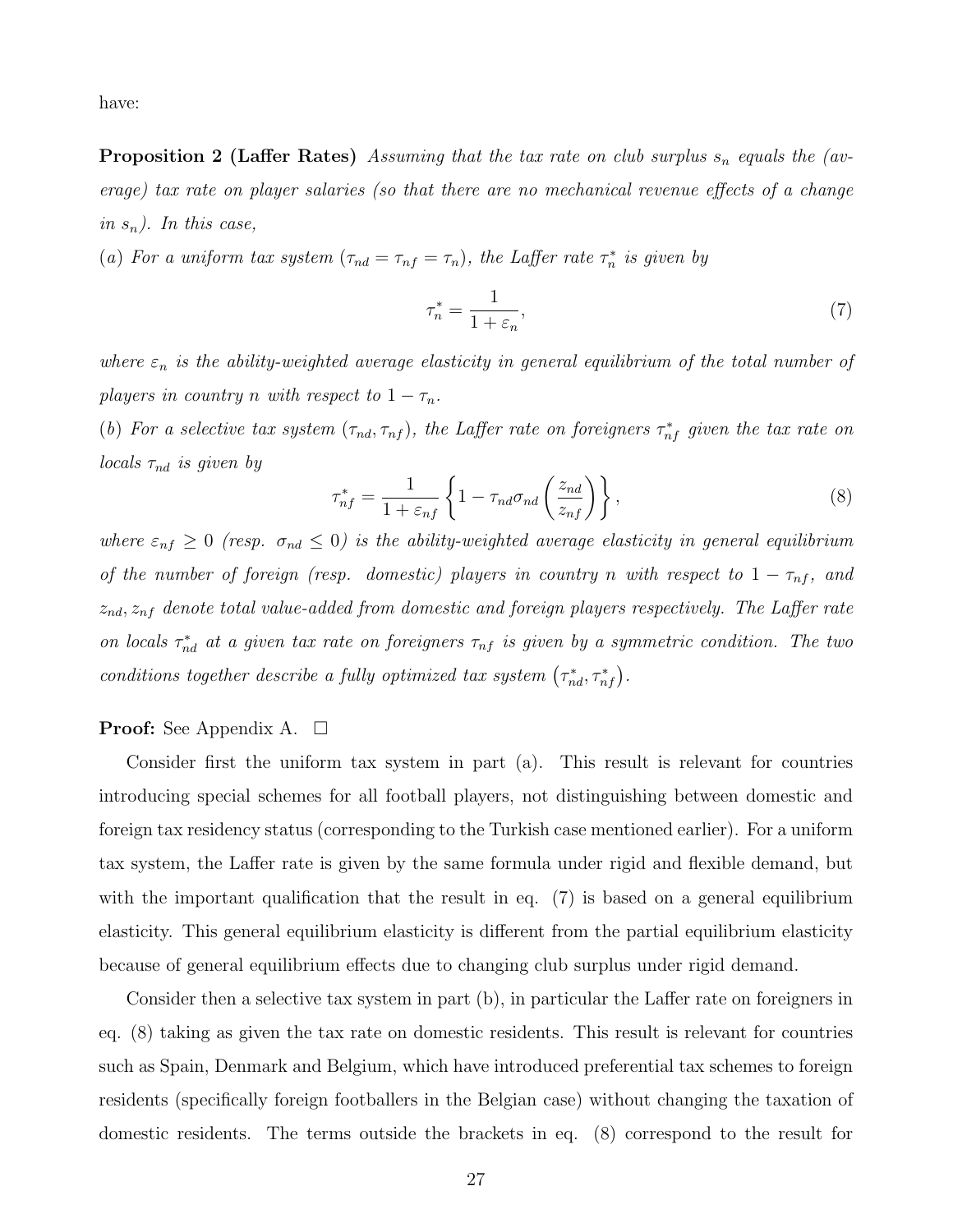have:

**Proposition 2 (Laffer Rates)** Assuming that the tax rate on club surplus  $s_n$  equals the (average) tax rate on player salaries (so that there are no mechanical revenue effects of a change in  $s_n$ ). In this case,

(a) For a uniform tax system  $(\tau_{nd} = \tau_{nf} = \tau_n)$ , the Laffer rate  $\tau_n^*$  is given by

$$
\tau_n^* = \frac{1}{1 + \varepsilon_n},\tag{7}
$$

where  $\varepsilon_n$  is the ability-weighted average elasticity in general equilibrium of the total number of players in country n with respect to  $1 - \tau_n$ .

(b) For a selective tax system  $(\tau_{nd}, \tau_{nf})$ , the Laffer rate on foreigners  $\tau_{nf}^*$  given the tax rate on locals  $\tau_{nd}$  is given by

$$
\tau_{nf}^* = \frac{1}{1 + \varepsilon_{nf}} \left\{ 1 - \tau_{nd}\sigma_{nd} \left( \frac{z_{nd}}{z_{nf}} \right) \right\},\tag{8}
$$

where  $\varepsilon_{nf} \ge 0$  (resp.  $\sigma_{nd} \le 0$ ) is the ability-weighted average elasticity in general equilibrium of the number of foreign (resp. domestic) players in country n with respect to  $1 - \tau_{nf}$ , and  $z_{nd}$ ,  $z_{nf}$  denote total value-added from domestic and foreign players respectively. The Laffer rate on locals  $\tau_{nd}^*$  at a given tax rate on foreigners  $\tau_{nf}$  is given by a symmetric condition. The two conditions together describe a fully optimized tax system  $(\tau_{nd}^*, \tau_{nf}^*)$ .

#### **Proof:** See Appendix A.  $\Box$

Consider first the uniform tax system in part (a). This result is relevant for countries introducing special schemes for all football players, not distinguishing between domestic and foreign tax residency status (corresponding to the Turkish case mentioned earlier). For a uniform tax system, the Laffer rate is given by the same formula under rigid and flexible demand, but with the important qualification that the result in eq. (7) is based on a general equilibrium elasticity. This general equilibrium elasticity is different from the partial equilibrium elasticity because of general equilibrium effects due to changing club surplus under rigid demand.

Consider then a selective tax system in part (b), in particular the Laffer rate on foreigners in eq. (8) taking as given the tax rate on domestic residents. This result is relevant for countries such as Spain, Denmark and Belgium, which have introduced preferential tax schemes to foreign residents (specifically foreign footballers in the Belgian case) without changing the taxation of domestic residents. The terms outside the brackets in eq. (8) correspond to the result for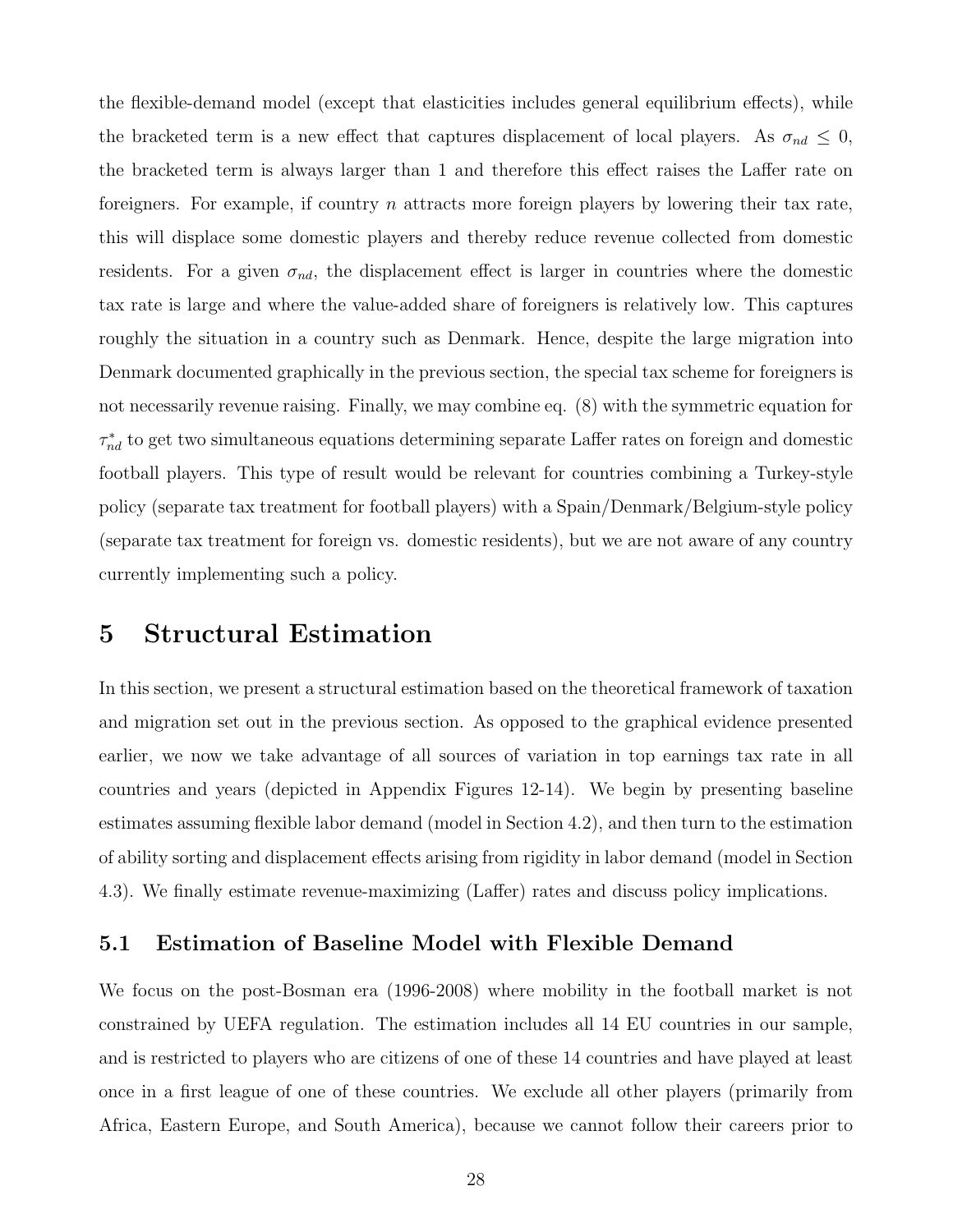the flexible-demand model (except that elasticities includes general equilibrium effects), while the bracketed term is a new effect that captures displacement of local players. As  $\sigma_{nd} \leq 0$ , the bracketed term is always larger than 1 and therefore this effect raises the Laffer rate on foreigners. For example, if country  $n$  attracts more foreign players by lowering their tax rate, this will displace some domestic players and thereby reduce revenue collected from domestic residents. For a given  $\sigma_{nd}$ , the displacement effect is larger in countries where the domestic tax rate is large and where the value-added share of foreigners is relatively low. This captures roughly the situation in a country such as Denmark. Hence, despite the large migration into Denmark documented graphically in the previous section, the special tax scheme for foreigners is not necessarily revenue raising. Finally, we may combine eq. (8) with the symmetric equation for  $\tau_{nd}^*$  to get two simultaneous equations determining separate Laffer rates on foreign and domestic football players. This type of result would be relevant for countries combining a Turkey-style policy (separate tax treatment for football players) with a Spain/Denmark/Belgium-style policy (separate tax treatment for foreign vs. domestic residents), but we are not aware of any country currently implementing such a policy.

## 5 Structural Estimation

In this section, we present a structural estimation based on the theoretical framework of taxation and migration set out in the previous section. As opposed to the graphical evidence presented earlier, we now we take advantage of all sources of variation in top earnings tax rate in all countries and years (depicted in Appendix Figures 12-14). We begin by presenting baseline estimates assuming flexible labor demand (model in Section 4.2), and then turn to the estimation of ability sorting and displacement effects arising from rigidity in labor demand (model in Section 4.3). We finally estimate revenue-maximizing (Laffer) rates and discuss policy implications.

## 5.1 Estimation of Baseline Model with Flexible Demand

We focus on the post-Bosman era (1996-2008) where mobility in the football market is not constrained by UEFA regulation. The estimation includes all 14 EU countries in our sample, and is restricted to players who are citizens of one of these 14 countries and have played at least once in a first league of one of these countries. We exclude all other players (primarily from Africa, Eastern Europe, and South America), because we cannot follow their careers prior to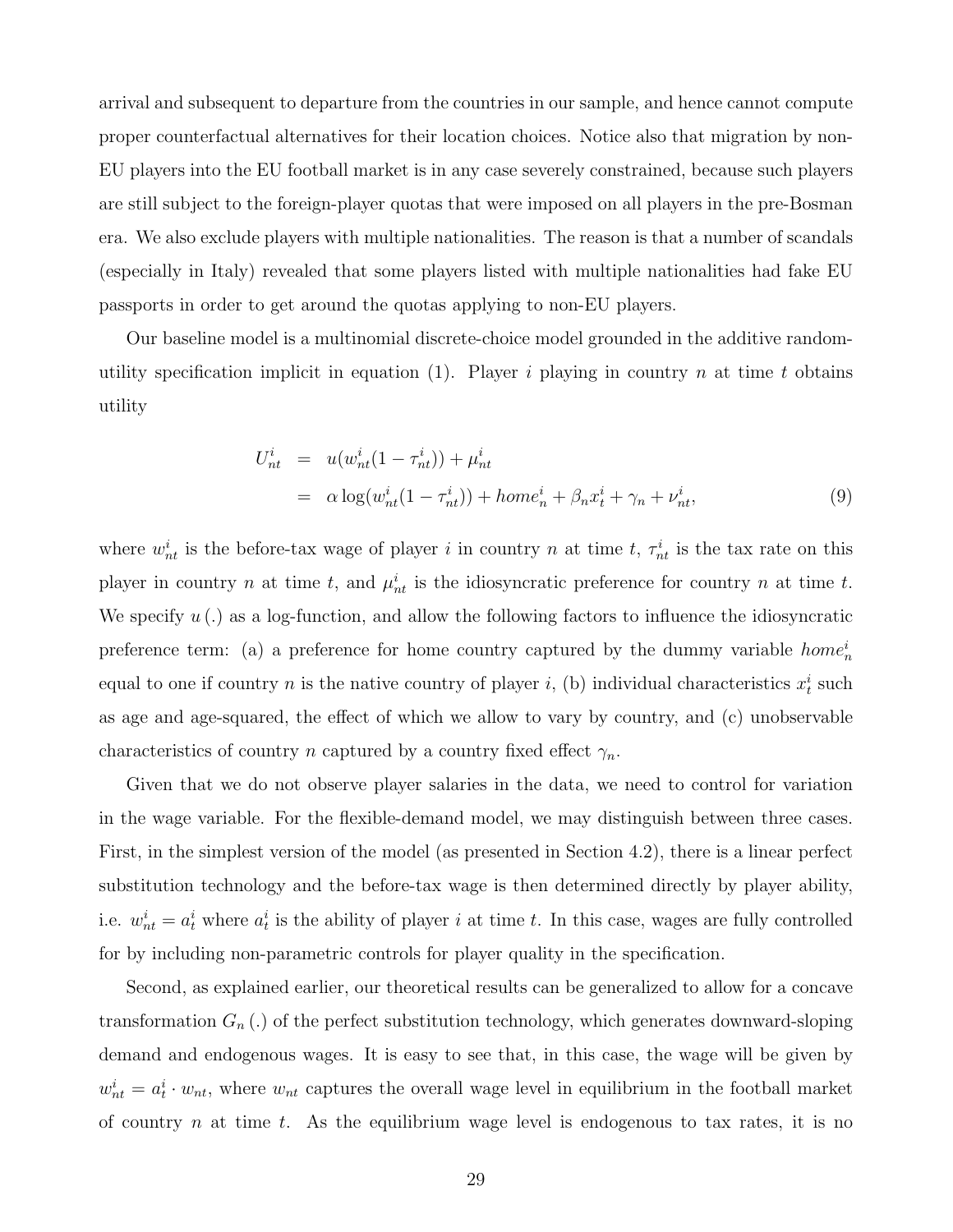arrival and subsequent to departure from the countries in our sample, and hence cannot compute proper counterfactual alternatives for their location choices. Notice also that migration by non-EU players into the EU football market is in any case severely constrained, because such players are still subject to the foreign-player quotas that were imposed on all players in the pre-Bosman era. We also exclude players with multiple nationalities. The reason is that a number of scandals (especially in Italy) revealed that some players listed with multiple nationalities had fake EU passports in order to get around the quotas applying to non-EU players.

Our baseline model is a multinomial discrete-choice model grounded in the additive randomutility specification implicit in equation (1). Player i playing in country n at time t obtains utility

$$
U_{nt}^{i} = u(w_{nt}^{i}(1 - \tau_{nt}^{i})) + \mu_{nt}^{i}
$$
  
=  $\alpha \log(w_{nt}^{i}(1 - \tau_{nt}^{i})) + home_{n}^{i} + \beta_{n}x_{t}^{i} + \gamma_{n} + \nu_{nt}^{i},$  (9)

where  $w_{nt}^{i}$  is the before-tax wage of player i in country n at time t,  $\tau_{nt}^{i}$  is the tax rate on this player in country n at time t, and  $\mu_{nt}^i$  is the idiosyncratic preference for country n at time t. We specify  $u(.)$  as a log-function, and allow the following factors to influence the idiosyncratic preference term: (a) a preference for home country captured by the dummy variable  $home<sub>n</sub><sup>i</sup>$ equal to one if country *n* is the native country of player *i*, (b) individual characteristics  $x_t^i$  such as age and age-squared, the effect of which we allow to vary by country, and (c) unobservable characteristics of country n captured by a country fixed effect  $\gamma_n$ .

Given that we do not observe player salaries in the data, we need to control for variation in the wage variable. For the flexible-demand model, we may distinguish between three cases. First, in the simplest version of the model (as presented in Section 4.2), there is a linear perfect substitution technology and the before-tax wage is then determined directly by player ability, i.e.  $w_{nt}^{i} = a_{t}^{i}$  where  $a_{t}^{i}$  is the ability of player i at time t. In this case, wages are fully controlled for by including non-parametric controls for player quality in the specification.

Second, as explained earlier, our theoretical results can be generalized to allow for a concave transformation  $G_n(.)$  of the perfect substitution technology, which generates downward-sloping demand and endogenous wages. It is easy to see that, in this case, the wage will be given by  $w_{nt}^i = a_t^i \cdot w_{nt}$ , where  $w_{nt}$  captures the overall wage level in equilibrium in the football market of country n at time t. As the equilibrium wage level is endogenous to tax rates, it is no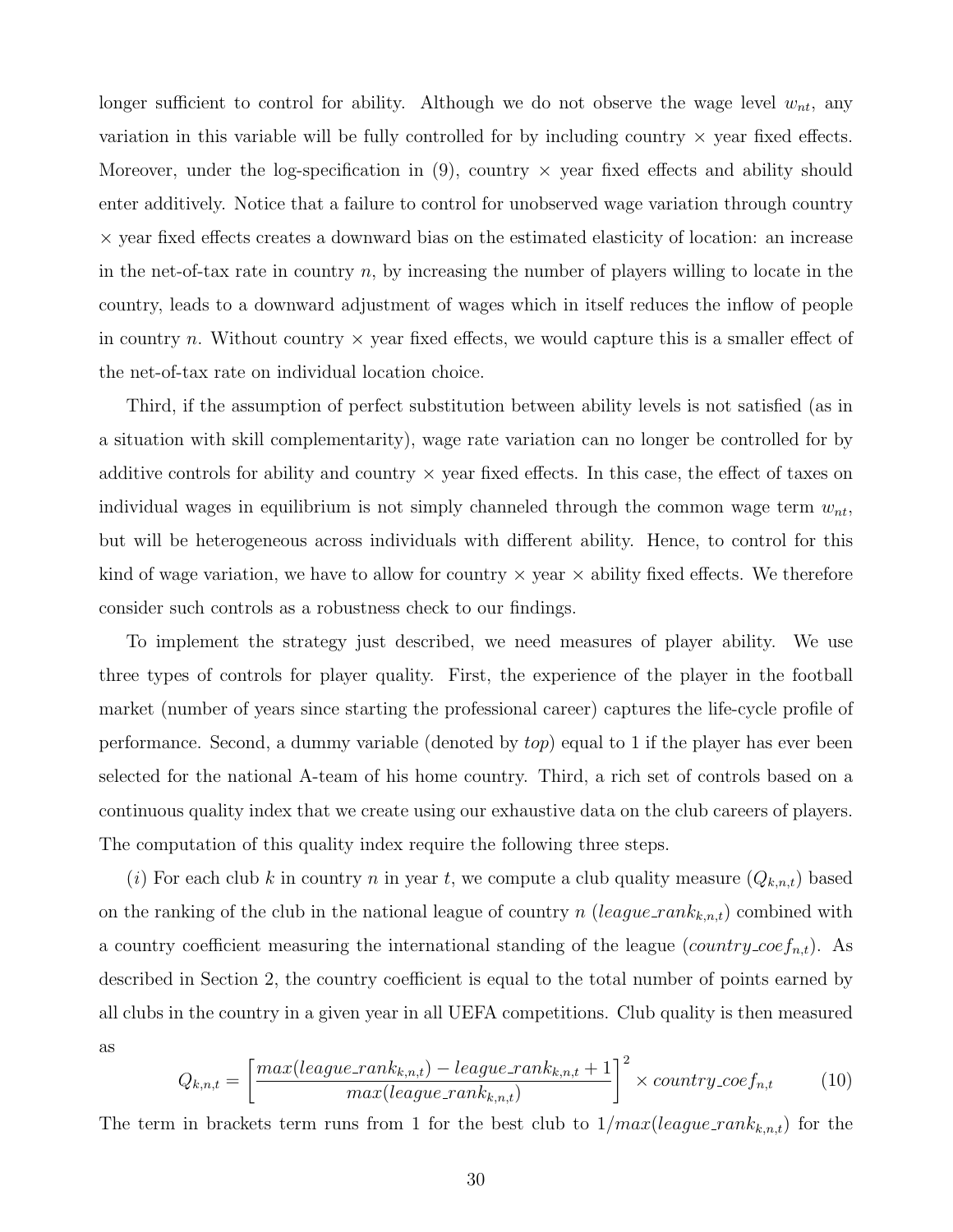longer sufficient to control for ability. Although we do not observe the wage level  $w_{nt}$ , any variation in this variable will be fully controlled for by including country  $\times$  year fixed effects. Moreover, under the log-specification in  $(9)$ , country  $\times$  year fixed effects and ability should enter additively. Notice that a failure to control for unobserved wage variation through country × year fixed effects creates a downward bias on the estimated elasticity of location: an increase in the net-of-tax rate in country  $n$ , by increasing the number of players willing to locate in the country, leads to a downward adjustment of wages which in itself reduces the inflow of people in country n. Without country  $\times$  year fixed effects, we would capture this is a smaller effect of the net-of-tax rate on individual location choice.

Third, if the assumption of perfect substitution between ability levels is not satisfied (as in a situation with skill complementarity), wage rate variation can no longer be controlled for by additive controls for ability and country  $\times$  year fixed effects. In this case, the effect of taxes on individual wages in equilibrium is not simply channeled through the common wage term  $w_{nt}$ , but will be heterogeneous across individuals with different ability. Hence, to control for this kind of wage variation, we have to allow for country  $\times$  year  $\times$  ability fixed effects. We therefore consider such controls as a robustness check to our findings.

To implement the strategy just described, we need measures of player ability. We use three types of controls for player quality. First, the experience of the player in the football market (number of years since starting the professional career) captures the life-cycle profile of performance. Second, a dummy variable (denoted by top) equal to 1 if the player has ever been selected for the national A-team of his home country. Third, a rich set of controls based on a continuous quality index that we create using our exhaustive data on the club careers of players. The computation of this quality index require the following three steps.

(i) For each club k in country n in year t, we compute a club quality measure  $(Q_{k,n,t})$  based on the ranking of the club in the national league of country n (league\_ran $k_{k,n,t}$ ) combined with a country coefficient measuring the international standing of the league  $(country\_{coeffn,t})$ . As described in Section 2, the country coefficient is equal to the total number of points earned by all clubs in the country in a given year in all UEFA competitions. Club quality is then measured as

$$
Q_{k,n,t} = \left[\frac{max(league\_rank_{k,n,t}) - league\_rank_{k,n,t} + 1}{max(league\_rank_{k,n,t})}\right]^2 \times country\_coef_{n,t}
$$
 (10)

The term in brackets term runs from 1 for the best club to  $1/max(league\_rank_{k,n,t})$  for the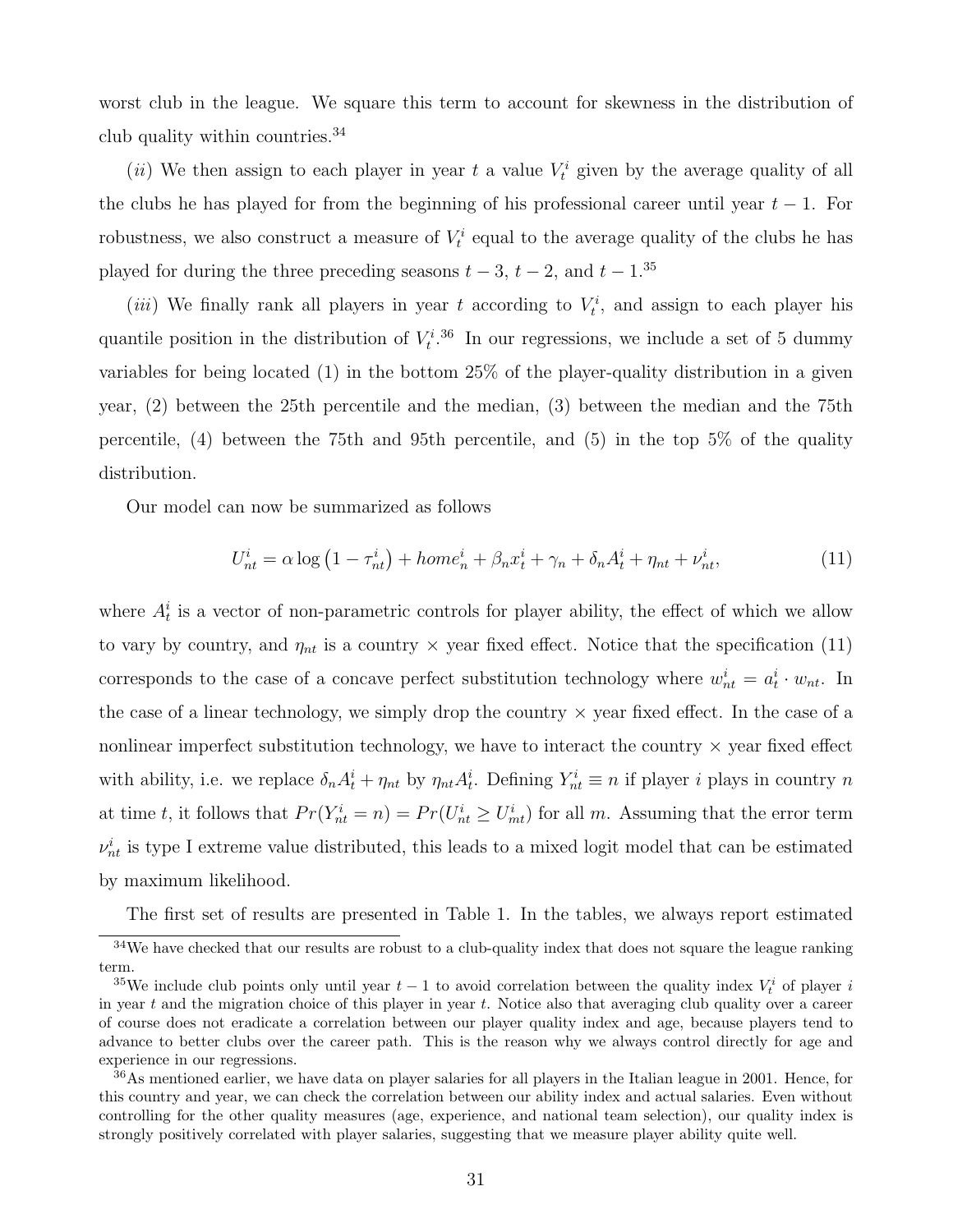worst club in the league. We square this term to account for skewness in the distribution of club quality within countries.<sup>34</sup>

(*ii*) We then assign to each player in year t a value  $V_t^i$  given by the average quality of all the clubs he has played for from the beginning of his professional career until year  $t - 1$ . For robustness, we also construct a measure of  $V_t^i$  equal to the average quality of the clubs he has played for during the three preceding seasons  $t - 3$ ,  $t - 2$ , and  $t - 1$ .<sup>35</sup>

(*iii*) We finally rank all players in year t according to  $V_t^i$ , and assign to each player his quantile position in the distribution of  $V_t^{i,36}$  In our regressions, we include a set of 5 dummy variables for being located (1) in the bottom 25% of the player-quality distribution in a given year, (2) between the 25th percentile and the median, (3) between the median and the 75th percentile, (4) between the 75th and 95th percentile, and (5) in the top 5% of the quality distribution.

Our model can now be summarized as follows

$$
U_{nt}^i = \alpha \log \left( 1 - \tau_{nt}^i \right) + home_n^i + \beta_n x_t^i + \gamma_n + \delta_n A_t^i + \eta_{nt} + \nu_{nt}^i, \tag{11}
$$

where  $A_t^i$  is a vector of non-parametric controls for player ability, the effect of which we allow to vary by country, and  $\eta_{nt}$  is a country  $\times$  year fixed effect. Notice that the specification (11) corresponds to the case of a concave perfect substitution technology where  $w_{nt}^i = a_t^i \cdot w_{nt}$ . In the case of a linear technology, we simply drop the country  $\times$  year fixed effect. In the case of a nonlinear imperfect substitution technology, we have to interact the country  $\times$  year fixed effect with ability, i.e. we replace  $\delta_n A_t^i + \eta_{nt}$  by  $\eta_{nt} A_t^i$ . Defining  $Y_{nt}^i \equiv n$  if player *i* plays in country *n* at time t, it follows that  $Pr(Y_{nt}^i = n) = Pr(U_{nt}^i \geq U_{mt}^i)$  for all m. Assuming that the error term  $\nu_{nt}^{i}$  is type I extreme value distributed, this leads to a mixed logit model that can be estimated by maximum likelihood.

The first set of results are presented in Table 1. In the tables, we always report estimated

<sup>&</sup>lt;sup>34</sup>We have checked that our results are robust to a club-quality index that does not square the league ranking term.

<sup>&</sup>lt;sup>35</sup>We include club points only until year  $t-1$  to avoid correlation between the quality index  $V_t^i$  of player i in year t and the migration choice of this player in year t. Notice also that averaging club quality over a career of course does not eradicate a correlation between our player quality index and age, because players tend to advance to better clubs over the career path. This is the reason why we always control directly for age and experience in our regressions.

 $36\text{As mentioned earlier},$  we have data on player salaries for all players in the Italian league in 2001. Hence, for this country and year, we can check the correlation between our ability index and actual salaries. Even without controlling for the other quality measures (age, experience, and national team selection), our quality index is strongly positively correlated with player salaries, suggesting that we measure player ability quite well.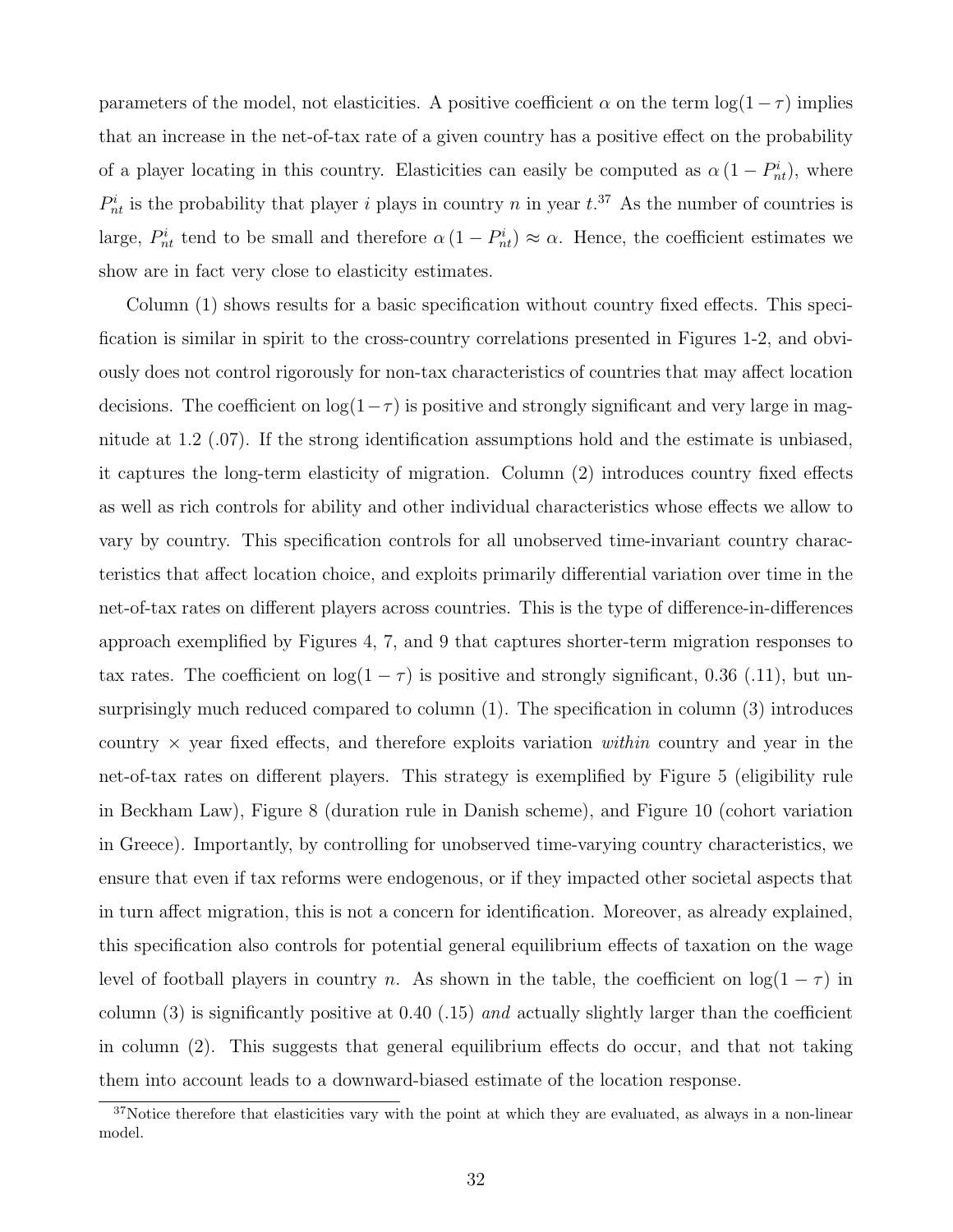parameters of the model, not elasticities. A positive coefficient  $\alpha$  on the term  $\log(1-\tau)$  implies that an increase in the net-of-tax rate of a given country has a positive effect on the probability of a player locating in this country. Elasticities can easily be computed as  $\alpha (1 - P_{nt}^i)$ , where  $P_{nt}^{i}$  is the probability that player i plays in country n in year  $t^{37}$ . As the number of countries is large,  $P_{nt}^{i}$  tend to be small and therefore  $\alpha (1 - P_{nt}^{i}) \approx \alpha$ . Hence, the coefficient estimates we show are in fact very close to elasticity estimates.

Column (1) shows results for a basic specification without country fixed effects. This specification is similar in spirit to the cross-country correlations presented in Figures 1-2, and obviously does not control rigorously for non-tax characteristics of countries that may affect location decisions. The coefficient on  $log(1-\tau)$  is positive and strongly significant and very large in magnitude at 1.2 (.07). If the strong identification assumptions hold and the estimate is unbiased, it captures the long-term elasticity of migration. Column (2) introduces country fixed effects as well as rich controls for ability and other individual characteristics whose effects we allow to vary by country. This specification controls for all unobserved time-invariant country characteristics that affect location choice, and exploits primarily differential variation over time in the net-of-tax rates on different players across countries. This is the type of difference-in-differences approach exemplified by Figures 4, 7, and 9 that captures shorter-term migration responses to tax rates. The coefficient on  $log(1 - \tau)$  is positive and strongly significant, 0.36 (.11), but unsurprisingly much reduced compared to column (1). The specification in column (3) introduces country  $\times$  year fixed effects, and therefore exploits variation within country and year in the net-of-tax rates on different players. This strategy is exemplified by Figure 5 (eligibility rule in Beckham Law), Figure 8 (duration rule in Danish scheme), and Figure 10 (cohort variation in Greece). Importantly, by controlling for unobserved time-varying country characteristics, we ensure that even if tax reforms were endogenous, or if they impacted other societal aspects that in turn affect migration, this is not a concern for identification. Moreover, as already explained, this specification also controls for potential general equilibrium effects of taxation on the wage level of football players in country n. As shown in the table, the coefficient on  $log(1 - \tau)$  in column  $(3)$  is significantly positive at 0.40 (.15) and actually slightly larger than the coefficient in column (2). This suggests that general equilibrium effects do occur, and that not taking them into account leads to a downward-biased estimate of the location response.

<sup>&</sup>lt;sup>37</sup>Notice therefore that elasticities vary with the point at which they are evaluated, as always in a non-linear model.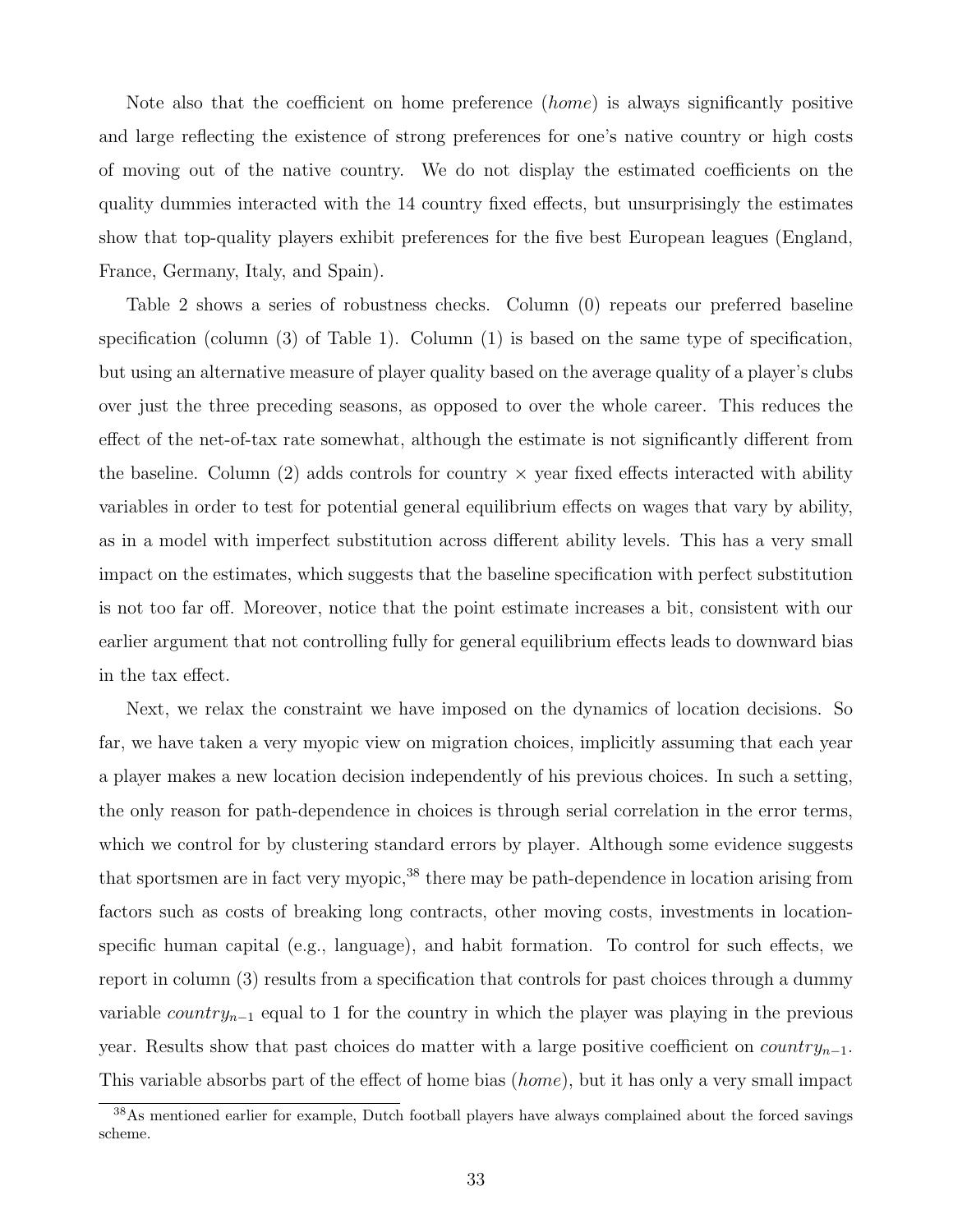Note also that the coefficient on home preference (home) is always significantly positive and large reflecting the existence of strong preferences for one's native country or high costs of moving out of the native country. We do not display the estimated coefficients on the quality dummies interacted with the 14 country fixed effects, but unsurprisingly the estimates show that top-quality players exhibit preferences for the five best European leagues (England, France, Germany, Italy, and Spain).

Table 2 shows a series of robustness checks. Column (0) repeats our preferred baseline specification (column (3) of Table 1). Column (1) is based on the same type of specification, but using an alternative measure of player quality based on the average quality of a player's clubs over just the three preceding seasons, as opposed to over the whole career. This reduces the effect of the net-of-tax rate somewhat, although the estimate is not significantly different from the baseline. Column (2) adds controls for country  $\times$  year fixed effects interacted with ability variables in order to test for potential general equilibrium effects on wages that vary by ability, as in a model with imperfect substitution across different ability levels. This has a very small impact on the estimates, which suggests that the baseline specification with perfect substitution is not too far off. Moreover, notice that the point estimate increases a bit, consistent with our earlier argument that not controlling fully for general equilibrium effects leads to downward bias in the tax effect.

Next, we relax the constraint we have imposed on the dynamics of location decisions. So far, we have taken a very myopic view on migration choices, implicitly assuming that each year a player makes a new location decision independently of his previous choices. In such a setting, the only reason for path-dependence in choices is through serial correlation in the error terms, which we control for by clustering standard errors by player. Although some evidence suggests that sportsmen are in fact very myopic,<sup>38</sup> there may be path-dependence in location arising from factors such as costs of breaking long contracts, other moving costs, investments in locationspecific human capital (e.g., language), and habit formation. To control for such effects, we report in column (3) results from a specification that controls for past choices through a dummy variable *country*<sub>n−1</sub> equal to 1 for the country in which the player was playing in the previous year. Results show that past choices do matter with a large positive coefficient on *country*<sub>n−1</sub>. This variable absorbs part of the effect of home bias (home), but it has only a very small impact

<sup>&</sup>lt;sup>38</sup>As mentioned earlier for example, Dutch football players have always complained about the forced savings scheme.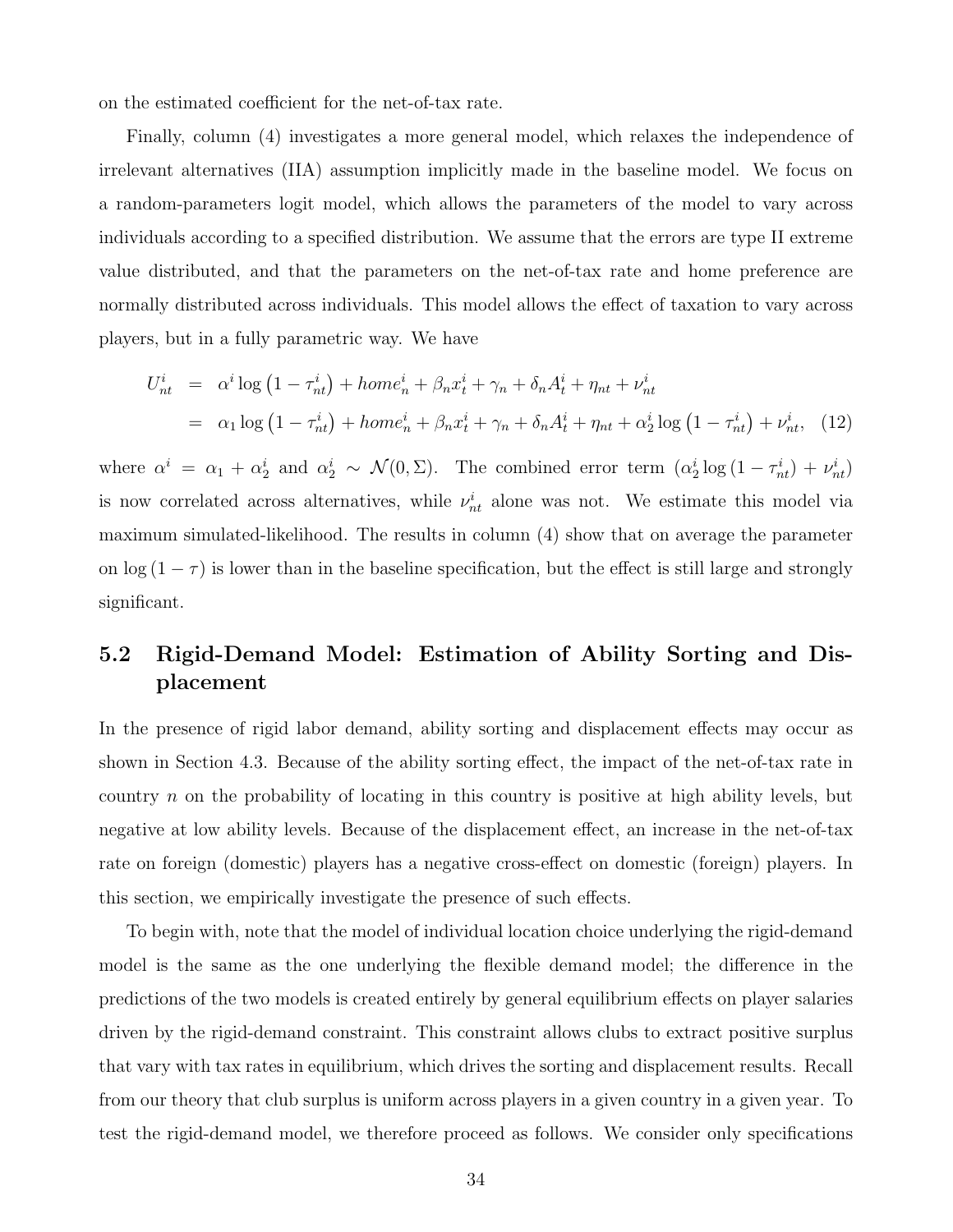on the estimated coefficient for the net-of-tax rate.

Finally, column (4) investigates a more general model, which relaxes the independence of irrelevant alternatives (IIA) assumption implicitly made in the baseline model. We focus on a random-parameters logit model, which allows the parameters of the model to vary across individuals according to a specified distribution. We assume that the errors are type II extreme value distributed, and that the parameters on the net-of-tax rate and home preference are normally distributed across individuals. This model allows the effect of taxation to vary across players, but in a fully parametric way. We have

$$
U_{nt}^{i} = \alpha^{i} \log (1 - \tau_{nt}^{i}) + home_{n}^{i} + \beta_{n} x_{t}^{i} + \gamma_{n} + \delta_{n} A_{t}^{i} + \eta_{nt} + \nu_{nt}^{i}
$$
  
=  $\alpha_{1} \log (1 - \tau_{nt}^{i}) + home_{n}^{i} + \beta_{n} x_{t}^{i} + \gamma_{n} + \delta_{n} A_{t}^{i} + \eta_{nt} + \alpha_{2}^{i} \log (1 - \tau_{nt}^{i}) + \nu_{nt}^{i},$  (12)

where  $\alpha^i = \alpha_1 + \alpha_2^i$  and  $\alpha_2^i \sim \mathcal{N}(0, \Sigma)$ . The combined error term  $(\alpha_2^i \log(1 - \tau_{nt}^i) + \nu_{nt}^i)$ is now correlated across alternatives, while  $\nu_{nt}^{i}$  alone was not. We estimate this model via maximum simulated-likelihood. The results in column (4) show that on average the parameter on  $\log(1-\tau)$  is lower than in the baseline specification, but the effect is still large and strongly significant.

## 5.2 Rigid-Demand Model: Estimation of Ability Sorting and Displacement

In the presence of rigid labor demand, ability sorting and displacement effects may occur as shown in Section 4.3. Because of the ability sorting effect, the impact of the net-of-tax rate in country n on the probability of locating in this country is positive at high ability levels, but negative at low ability levels. Because of the displacement effect, an increase in the net-of-tax rate on foreign (domestic) players has a negative cross-effect on domestic (foreign) players. In this section, we empirically investigate the presence of such effects.

To begin with, note that the model of individual location choice underlying the rigid-demand model is the same as the one underlying the flexible demand model; the difference in the predictions of the two models is created entirely by general equilibrium effects on player salaries driven by the rigid-demand constraint. This constraint allows clubs to extract positive surplus that vary with tax rates in equilibrium, which drives the sorting and displacement results. Recall from our theory that club surplus is uniform across players in a given country in a given year. To test the rigid-demand model, we therefore proceed as follows. We consider only specifications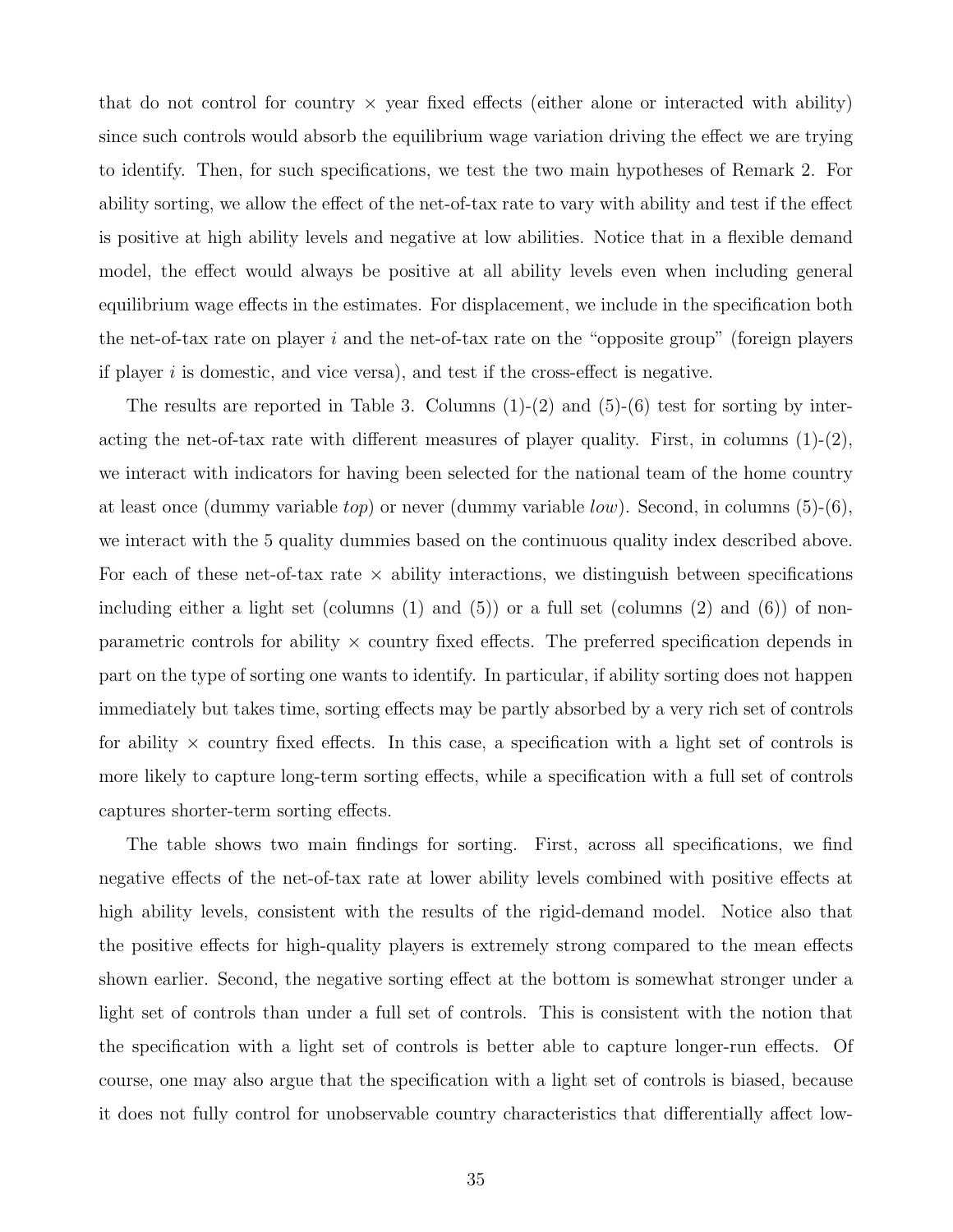that do not control for country  $\times$  year fixed effects (either alone or interacted with ability) since such controls would absorb the equilibrium wage variation driving the effect we are trying to identify. Then, for such specifications, we test the two main hypotheses of Remark 2. For ability sorting, we allow the effect of the net-of-tax rate to vary with ability and test if the effect is positive at high ability levels and negative at low abilities. Notice that in a flexible demand model, the effect would always be positive at all ability levels even when including general equilibrium wage effects in the estimates. For displacement, we include in the specification both the net-of-tax rate on player  $i$  and the net-of-tax rate on the "opposite group" (foreign players if player  $i$  is domestic, and vice versa), and test if the cross-effect is negative.

The results are reported in Table 3. Columns  $(1)-(2)$  and  $(5)-(6)$  test for sorting by interacting the net-of-tax rate with different measures of player quality. First, in columns  $(1)-(2)$ , we interact with indicators for having been selected for the national team of the home country at least once (dummy variable *top*) or never (dummy variable *low*). Second, in columns (5)-(6), we interact with the 5 quality dummies based on the continuous quality index described above. For each of these net-of-tax rate  $\times$  ability interactions, we distinguish between specifications including either a light set (columns  $(1)$  and  $(5)$ ) or a full set (columns  $(2)$  and  $(6)$ ) of nonparametric controls for ability  $\times$  country fixed effects. The preferred specification depends in part on the type of sorting one wants to identify. In particular, if ability sorting does not happen immediately but takes time, sorting effects may be partly absorbed by a very rich set of controls for ability  $\times$  country fixed effects. In this case, a specification with a light set of controls is more likely to capture long-term sorting effects, while a specification with a full set of controls captures shorter-term sorting effects.

The table shows two main findings for sorting. First, across all specifications, we find negative effects of the net-of-tax rate at lower ability levels combined with positive effects at high ability levels, consistent with the results of the rigid-demand model. Notice also that the positive effects for high-quality players is extremely strong compared to the mean effects shown earlier. Second, the negative sorting effect at the bottom is somewhat stronger under a light set of controls than under a full set of controls. This is consistent with the notion that the specification with a light set of controls is better able to capture longer-run effects. Of course, one may also argue that the specification with a light set of controls is biased, because it does not fully control for unobservable country characteristics that differentially affect low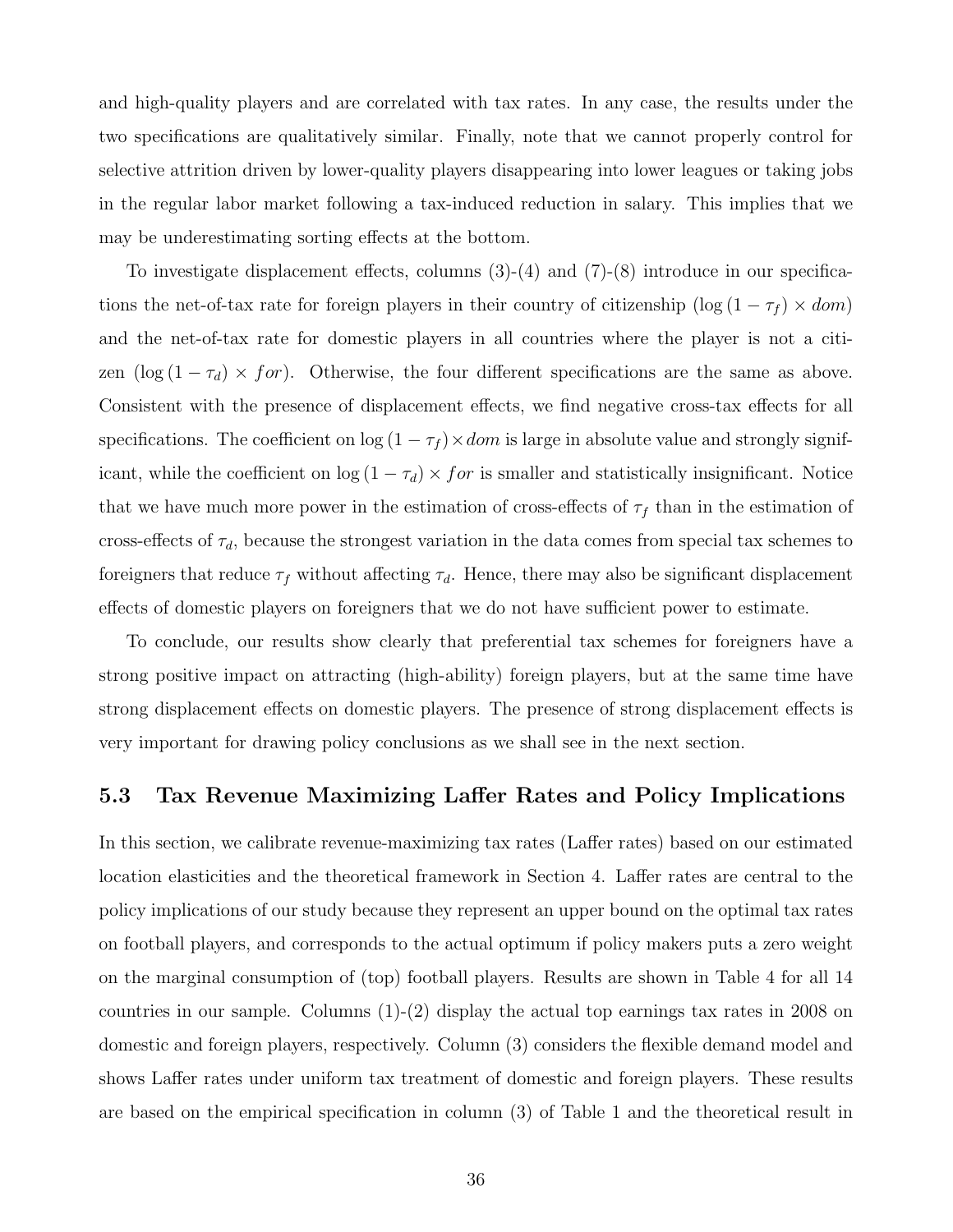and high-quality players and are correlated with tax rates. In any case, the results under the two specifications are qualitatively similar. Finally, note that we cannot properly control for selective attrition driven by lower-quality players disappearing into lower leagues or taking jobs in the regular labor market following a tax-induced reduction in salary. This implies that we may be underestimating sorting effects at the bottom.

To investigate displacement effects, columns  $(3)-(4)$  and  $(7)-(8)$  introduce in our specifications the net-of-tax rate for foreign players in their country of citizenship (log  $(1 - \tau_f) \times dom$ ) and the net-of-tax rate for domestic players in all countries where the player is not a citizen (log (1 −  $\tau_d$ ) × for). Otherwise, the four different specifications are the same as above. Consistent with the presence of displacement effects, we find negative cross-tax effects for all specifications. The coefficient on  $\log(1 - \tau_f) \times dom$  is large in absolute value and strongly significant, while the coefficient on  $\log(1 - \tau_d) \times for$  is smaller and statistically insignificant. Notice that we have much more power in the estimation of cross-effects of  $\tau_f$  than in the estimation of cross-effects of  $\tau_d$ , because the strongest variation in the data comes from special tax schemes to foreigners that reduce  $\tau_f$  without affecting  $\tau_d$ . Hence, there may also be significant displacement effects of domestic players on foreigners that we do not have sufficient power to estimate.

To conclude, our results show clearly that preferential tax schemes for foreigners have a strong positive impact on attracting (high-ability) foreign players, but at the same time have strong displacement effects on domestic players. The presence of strong displacement effects is very important for drawing policy conclusions as we shall see in the next section.

## 5.3 Tax Revenue Maximizing Laffer Rates and Policy Implications

In this section, we calibrate revenue-maximizing tax rates (Laffer rates) based on our estimated location elasticities and the theoretical framework in Section 4. Laffer rates are central to the policy implications of our study because they represent an upper bound on the optimal tax rates on football players, and corresponds to the actual optimum if policy makers puts a zero weight on the marginal consumption of (top) football players. Results are shown in Table 4 for all 14 countries in our sample. Columns  $(1)-(2)$  display the actual top earnings tax rates in 2008 on domestic and foreign players, respectively. Column (3) considers the flexible demand model and shows Laffer rates under uniform tax treatment of domestic and foreign players. These results are based on the empirical specification in column (3) of Table 1 and the theoretical result in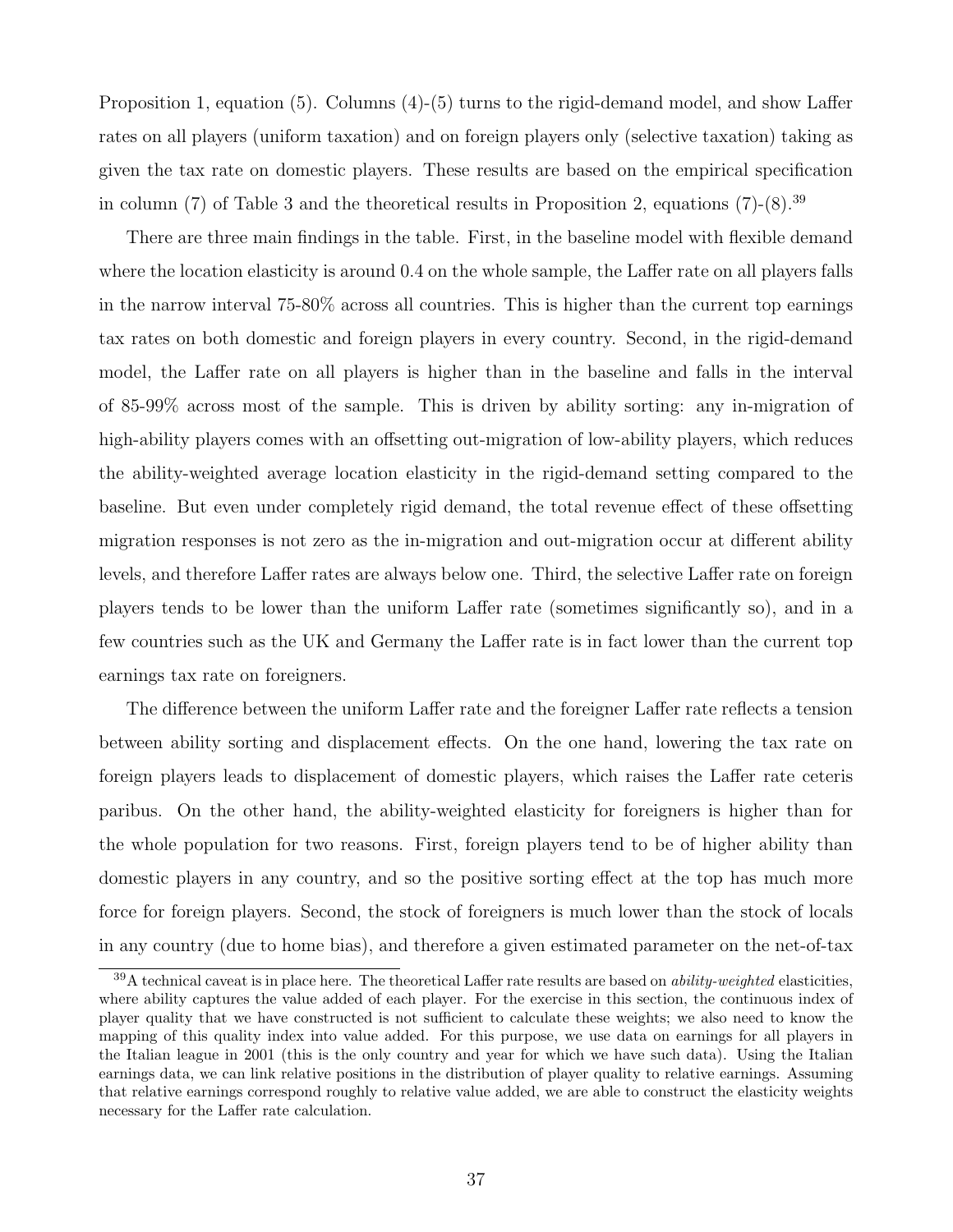Proposition 1, equation (5). Columns (4)-(5) turns to the rigid-demand model, and show Laffer rates on all players (uniform taxation) and on foreign players only (selective taxation) taking as given the tax rate on domestic players. These results are based on the empirical specification in column (7) of Table 3 and the theoretical results in Proposition 2, equations  $(7)-(8)$ .<sup>39</sup>

There are three main findings in the table. First, in the baseline model with flexible demand where the location elasticity is around 0.4 on the whole sample, the Laffer rate on all players falls in the narrow interval 75-80% across all countries. This is higher than the current top earnings tax rates on both domestic and foreign players in every country. Second, in the rigid-demand model, the Laffer rate on all players is higher than in the baseline and falls in the interval of 85-99% across most of the sample. This is driven by ability sorting: any in-migration of high-ability players comes with an offsetting out-migration of low-ability players, which reduces the ability-weighted average location elasticity in the rigid-demand setting compared to the baseline. But even under completely rigid demand, the total revenue effect of these offsetting migration responses is not zero as the in-migration and out-migration occur at different ability levels, and therefore Laffer rates are always below one. Third, the selective Laffer rate on foreign players tends to be lower than the uniform Laffer rate (sometimes significantly so), and in a few countries such as the UK and Germany the Laffer rate is in fact lower than the current top earnings tax rate on foreigners.

The difference between the uniform Laffer rate and the foreigner Laffer rate reflects a tension between ability sorting and displacement effects. On the one hand, lowering the tax rate on foreign players leads to displacement of domestic players, which raises the Laffer rate ceteris paribus. On the other hand, the ability-weighted elasticity for foreigners is higher than for the whole population for two reasons. First, foreign players tend to be of higher ability than domestic players in any country, and so the positive sorting effect at the top has much more force for foreign players. Second, the stock of foreigners is much lower than the stock of locals in any country (due to home bias), and therefore a given estimated parameter on the net-of-tax

 $39A$  technical caveat is in place here. The theoretical Laffer rate results are based on *ability-weighted* elasticities, where ability captures the value added of each player. For the exercise in this section, the continuous index of player quality that we have constructed is not sufficient to calculate these weights; we also need to know the mapping of this quality index into value added. For this purpose, we use data on earnings for all players in the Italian league in 2001 (this is the only country and year for which we have such data). Using the Italian earnings data, we can link relative positions in the distribution of player quality to relative earnings. Assuming that relative earnings correspond roughly to relative value added, we are able to construct the elasticity weights necessary for the Laffer rate calculation.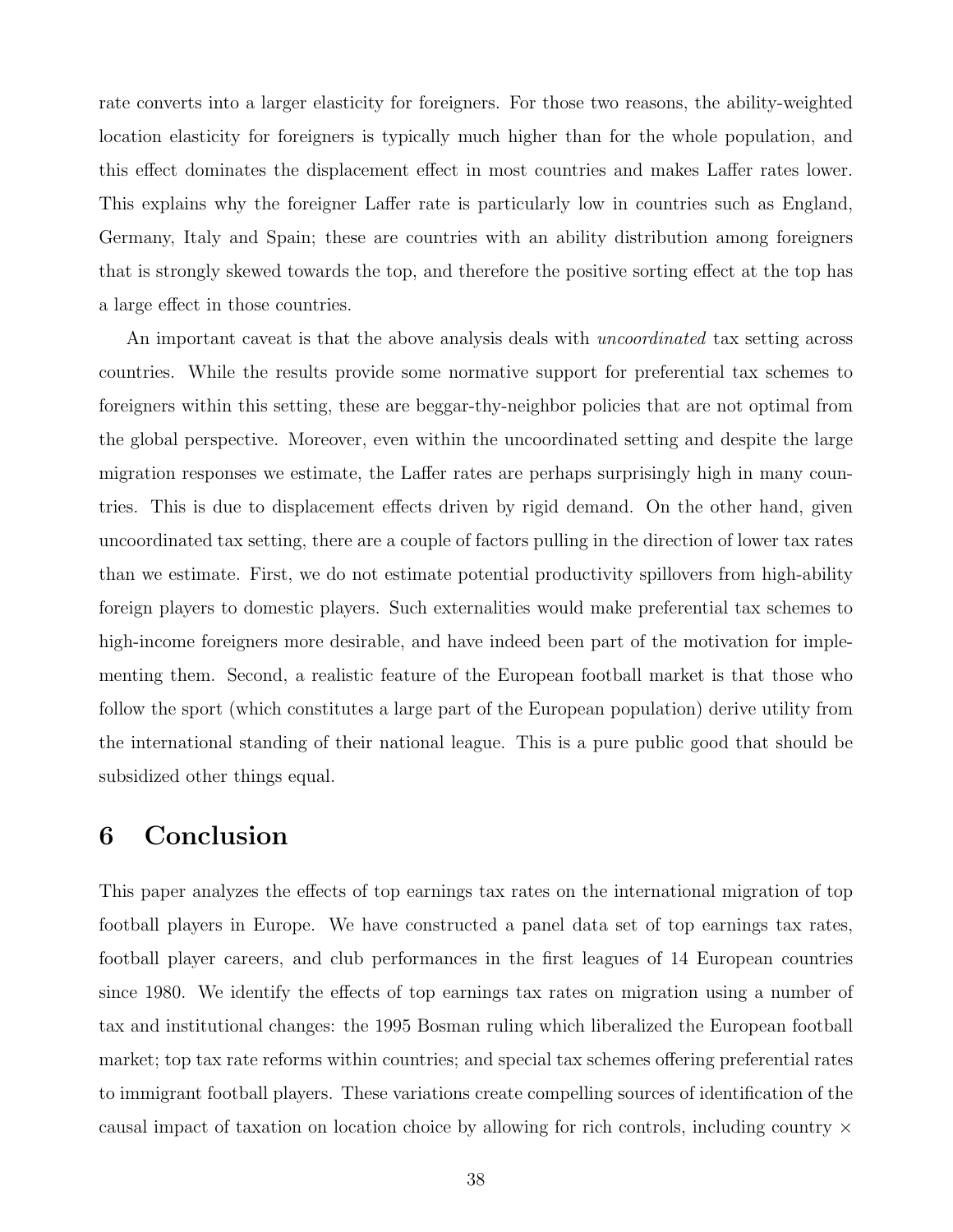rate converts into a larger elasticity for foreigners. For those two reasons, the ability-weighted location elasticity for foreigners is typically much higher than for the whole population, and this effect dominates the displacement effect in most countries and makes Laffer rates lower. This explains why the foreigner Laffer rate is particularly low in countries such as England, Germany, Italy and Spain; these are countries with an ability distribution among foreigners that is strongly skewed towards the top, and therefore the positive sorting effect at the top has a large effect in those countries.

An important caveat is that the above analysis deals with *uncoordinated* tax setting across countries. While the results provide some normative support for preferential tax schemes to foreigners within this setting, these are beggar-thy-neighbor policies that are not optimal from the global perspective. Moreover, even within the uncoordinated setting and despite the large migration responses we estimate, the Laffer rates are perhaps surprisingly high in many countries. This is due to displacement effects driven by rigid demand. On the other hand, given uncoordinated tax setting, there are a couple of factors pulling in the direction of lower tax rates than we estimate. First, we do not estimate potential productivity spillovers from high-ability foreign players to domestic players. Such externalities would make preferential tax schemes to high-income foreigners more desirable, and have indeed been part of the motivation for implementing them. Second, a realistic feature of the European football market is that those who follow the sport (which constitutes a large part of the European population) derive utility from the international standing of their national league. This is a pure public good that should be subsidized other things equal.

# 6 Conclusion

This paper analyzes the effects of top earnings tax rates on the international migration of top football players in Europe. We have constructed a panel data set of top earnings tax rates, football player careers, and club performances in the first leagues of 14 European countries since 1980. We identify the effects of top earnings tax rates on migration using a number of tax and institutional changes: the 1995 Bosman ruling which liberalized the European football market; top tax rate reforms within countries; and special tax schemes offering preferential rates to immigrant football players. These variations create compelling sources of identification of the causal impact of taxation on location choice by allowing for rich controls, including country  $\times$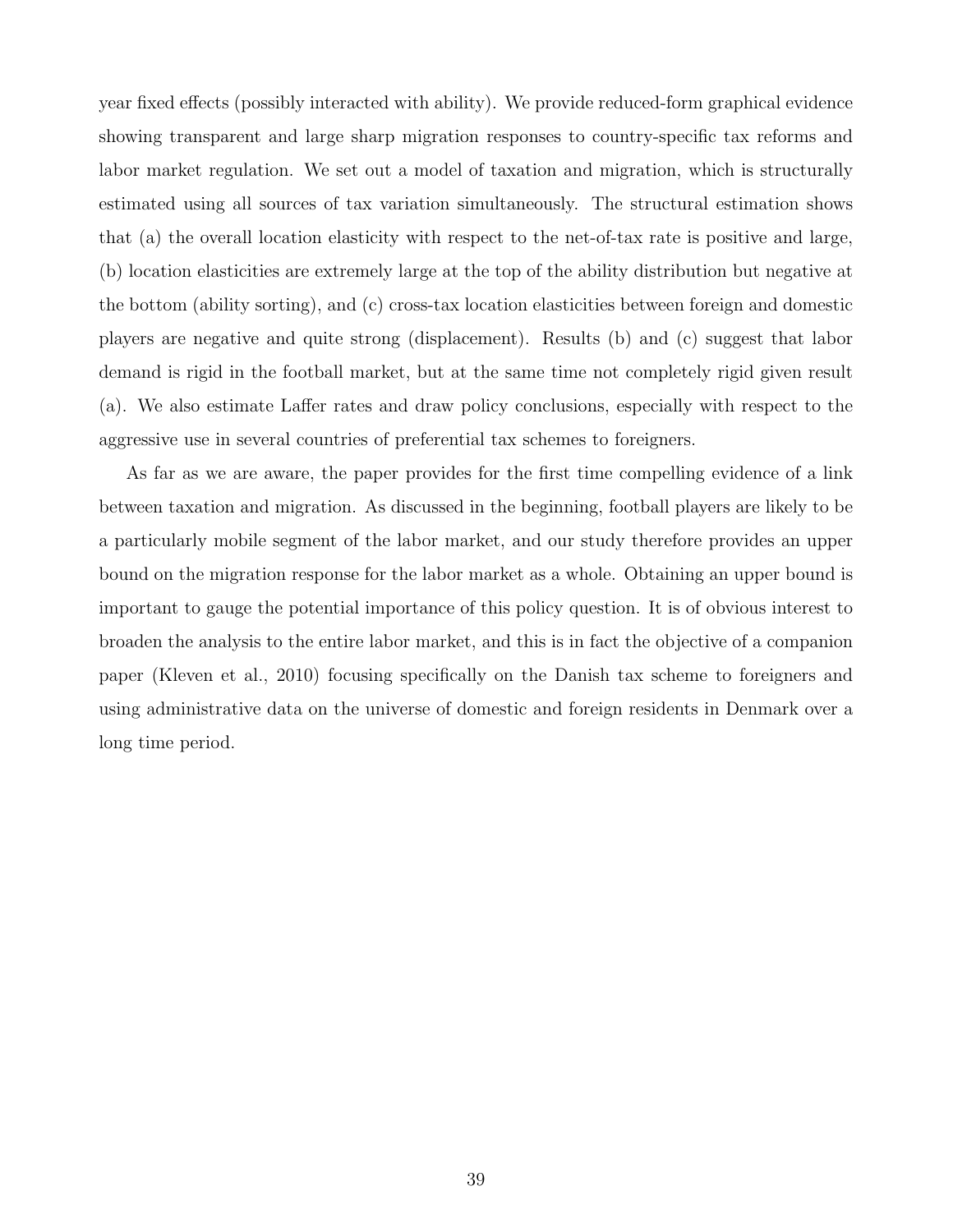year fixed effects (possibly interacted with ability). We provide reduced-form graphical evidence showing transparent and large sharp migration responses to country-specific tax reforms and labor market regulation. We set out a model of taxation and migration, which is structurally estimated using all sources of tax variation simultaneously. The structural estimation shows that (a) the overall location elasticity with respect to the net-of-tax rate is positive and large, (b) location elasticities are extremely large at the top of the ability distribution but negative at the bottom (ability sorting), and (c) cross-tax location elasticities between foreign and domestic players are negative and quite strong (displacement). Results (b) and (c) suggest that labor demand is rigid in the football market, but at the same time not completely rigid given result (a). We also estimate Laffer rates and draw policy conclusions, especially with respect to the aggressive use in several countries of preferential tax schemes to foreigners.

As far as we are aware, the paper provides for the first time compelling evidence of a link between taxation and migration. As discussed in the beginning, football players are likely to be a particularly mobile segment of the labor market, and our study therefore provides an upper bound on the migration response for the labor market as a whole. Obtaining an upper bound is important to gauge the potential importance of this policy question. It is of obvious interest to broaden the analysis to the entire labor market, and this is in fact the objective of a companion paper (Kleven et al., 2010) focusing specifically on the Danish tax scheme to foreigners and using administrative data on the universe of domestic and foreign residents in Denmark over a long time period.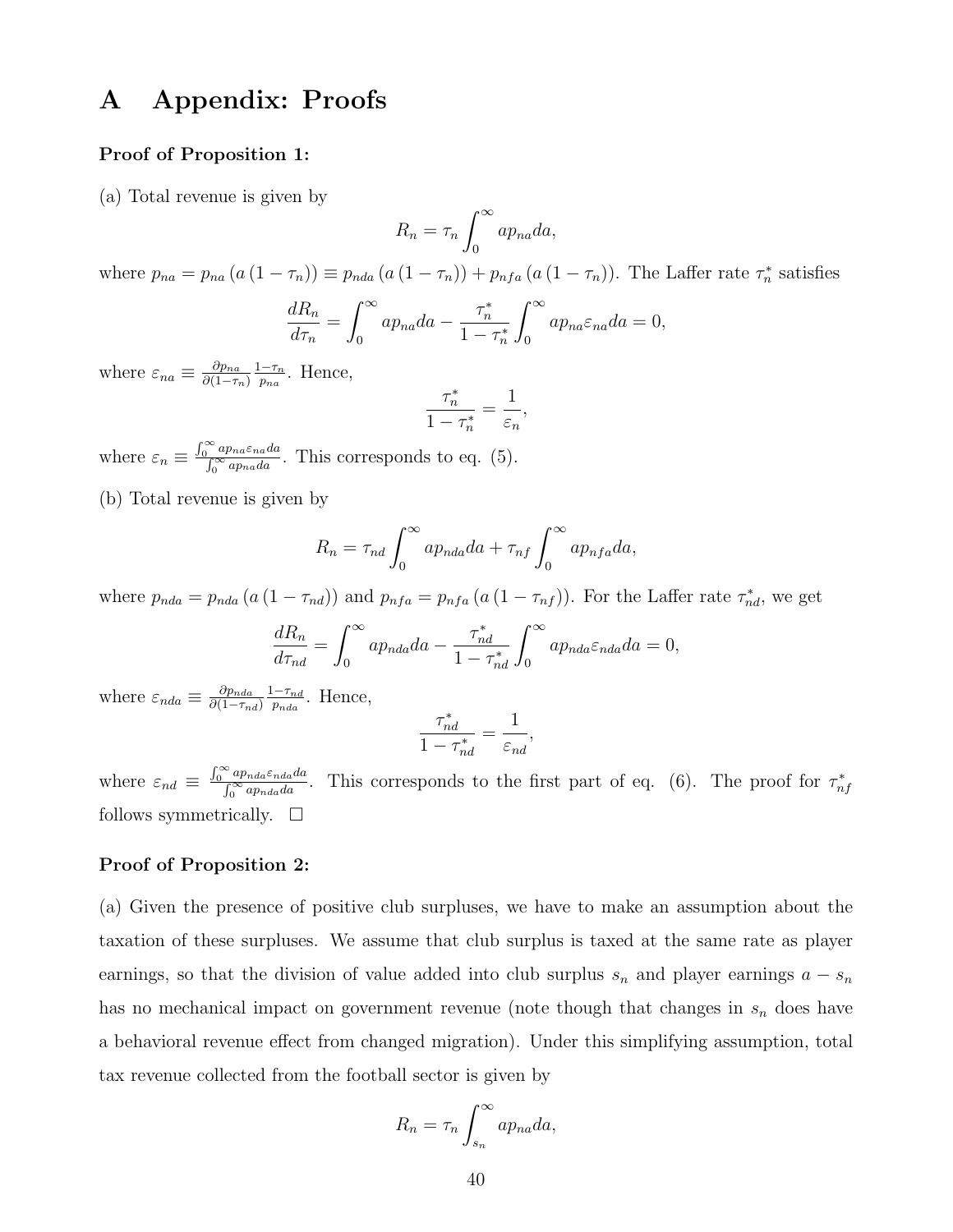# A Appendix: Proofs

### Proof of Proposition 1:

(a) Total revenue is given by

$$
R_n = \tau_n \int_0^\infty a p_{na} da,
$$

where  $p_{na} = p_{na} (a (1 - \tau_n)) \equiv p_{nda} (a (1 - \tau_n)) + p_{nfa} (a (1 - \tau_n))$ . The Laffer rate  $\tau_n^*$  satisfies

$$
\frac{dR_n}{d\tau_n} = \int_0^\infty a p_{na} da - \frac{\tau_n^*}{1 - \tau_n^*} \int_0^\infty a p_{na} \varepsilon_{na} da = 0,
$$

where  $\varepsilon_{na} \equiv \frac{\partial p_{na}}{\partial (1-\tau)}$  $\partial(1-\tau_n)$  $\frac{1-\tau_n}{n}$  $\frac{-\tau_n}{p_{na}}$ . Hence,

$$
\frac{\tau_n^*}{1 - \tau_n^*} = \frac{1}{\varepsilon_n},
$$

where  $\varepsilon_n \equiv \frac{\int_0^\infty ap_{na}\varepsilon_{na}da}{\int_0^\infty ap_{na}da}$  $\frac{up_{na}\varepsilon_{nad}}{\int_0^\infty ap_{na}da}$ . This corresponds to eq. (5).

(b) Total revenue is given by

$$
R_n = \tau_{nd} \int_0^\infty a p_{nda} da + \tau_{nf} \int_0^\infty a p_{nfa} da,
$$

where  $p_{nda} = p_{nda} (a (1 - \tau_{nd}))$  and  $p_{nfa} = p_{nfa} (a (1 - \tau_{nf}))$ . For the Laffer rate  $\tau_{nd}^*$ , we get

$$
\frac{dR_n}{d\tau_{nd}} = \int_0^\infty a p_{nda} da - \frac{\tau_{nd}^*}{1 - \tau_{nd}^*} \int_0^\infty a p_{nda} \varepsilon_{nda} da = 0,
$$

where  $\varepsilon_{nda} \equiv \frac{\partial p_{nda}}{\partial (1-\tau_{n})}$  $\partial (1-\tau_{nd})$  $1-\tau_{nd}$  $\frac{1-\tau_{nd}}{p_{nda}}$ . Hence,

$$
\frac{\tau^*_{nd}}{1-\tau^*_{nd}} = \frac{1}{\varepsilon_{nd}},
$$

where  $\varepsilon_{nd} \equiv \frac{\int_0^\infty ap_{nda} \varepsilon_{nda} da}{\int_0^\infty ap_{nda} da}$ <sup>• ap<sub>nda</sub> $\varepsilon_{nda}$  and and and the first part of eq. (6). The proof for  $\tau_{nf}^*$ </sup> follows symmetrically.  $\square$ 

#### Proof of Proposition 2:

(a) Given the presence of positive club surpluses, we have to make an assumption about the taxation of these surpluses. We assume that club surplus is taxed at the same rate as player earnings, so that the division of value added into club surplus  $s_n$  and player earnings  $a - s_n$ has no mechanical impact on government revenue (note though that changes in  $s_n$  does have a behavioral revenue effect from changed migration). Under this simplifying assumption, total tax revenue collected from the football sector is given by

$$
R_n = \tau_n \int_{s_n}^{\infty} a p_{na} da,
$$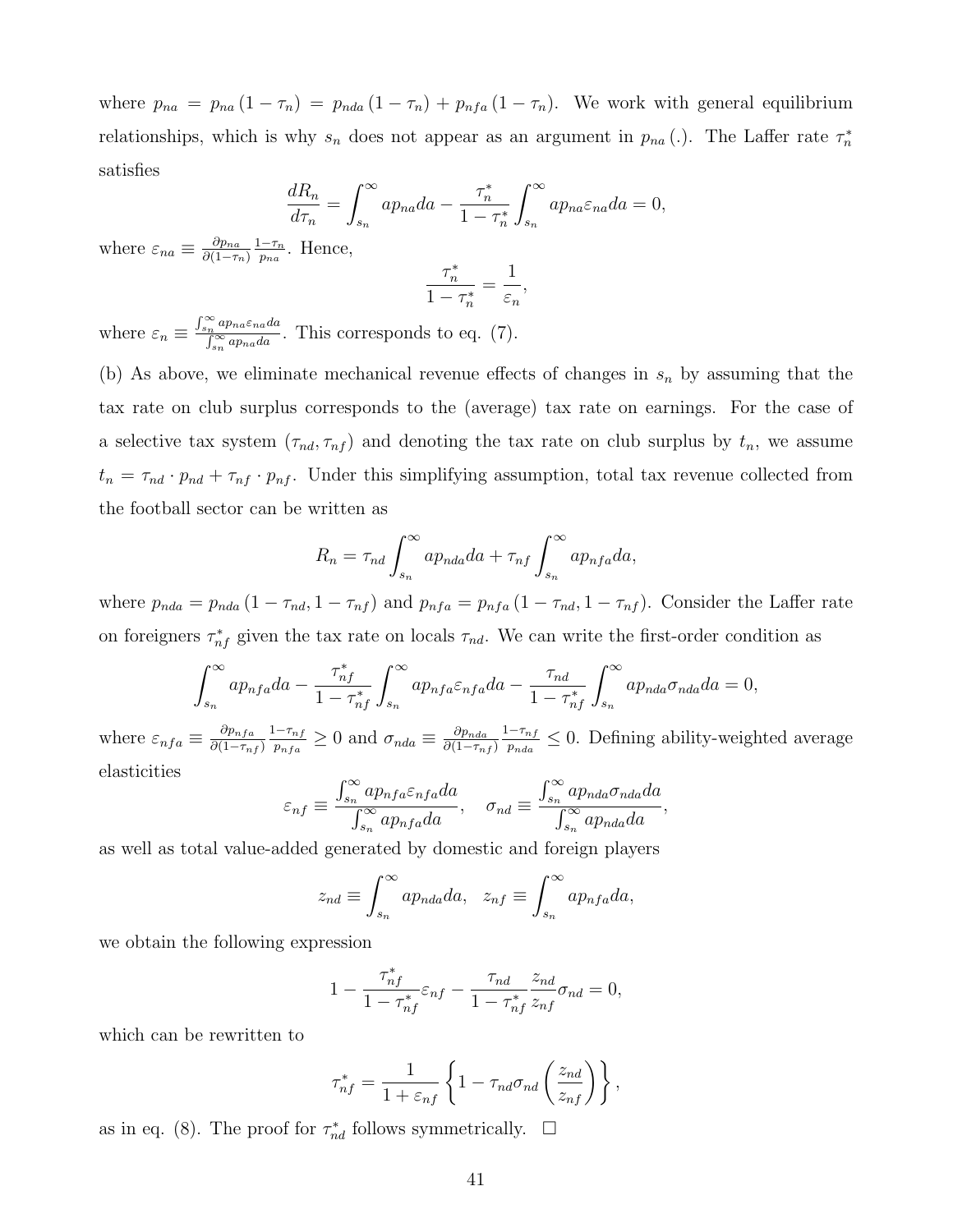where  $p_{na} = p_{na} (1 - \tau_n) = p_{nda} (1 - \tau_n) + p_{nfa} (1 - \tau_n)$ . We work with general equilibrium relationships, which is why  $s_n$  does not appear as an argument in  $p_{na}$  (.). The Laffer rate  $\tau_n^*$ satisfies

$$
\frac{dR_n}{d\tau_n} = \int_{s_n}^{\infty} a p_{na} da - \frac{\tau_n^*}{1 - \tau_n^*} \int_{s_n}^{\infty} a p_{na} \varepsilon_{na} da = 0,
$$

where  $\varepsilon_{na} \equiv \frac{\partial p_{na}}{\partial (1-\tau_a)}$  $\partial(1-\tau_n)$  $1-\tau_n$  $\frac{-\tau_n}{p_{na}}$ . Hence,

$$
\frac{\tau_n^*}{1 - \tau_n^*} = \frac{1}{\varepsilon_n}
$$

,

where  $\varepsilon_n \equiv \frac{\int_{s_n}^{\infty} a p_{na} \varepsilon_{na} da}{\int_{s_n}^{\infty} a p_{na} da}$  $\int_{\frac{R}{\delta_n}}^{\frac{np_{na}c_{na}a}{\alpha}} P_{na}d\alpha}$ . This corresponds to eq. (7).

(b) As above, we eliminate mechanical revenue effects of changes in  $s_n$  by assuming that the tax rate on club surplus corresponds to the (average) tax rate on earnings. For the case of a selective tax system  $(\tau_{nd}, \tau_{nf})$  and denoting the tax rate on club surplus by  $t_n$ , we assume  $t_n = \tau_{nd} \cdot p_{nd} + \tau_{nf} \cdot p_{nf}$ . Under this simplifying assumption, total tax revenue collected from the football sector can be written as

$$
R_n = \tau_{nd} \int_{s_n}^{\infty} a p_{nda} da + \tau_{nf} \int_{s_n}^{\infty} a p_{nfa} da,
$$

where  $p_{nda} = p_{nda} (1 - \tau_{nd}, 1 - \tau_{nf})$  and  $p_{nfa} = p_{nfa} (1 - \tau_{nd}, 1 - \tau_{nf})$ . Consider the Laffer rate on foreigners  $\tau_{nf}^*$  given the tax rate on locals  $\tau_{nd}$ . We can write the first-order condition as

$$
\int_{s_n}^{\infty} a p_{nfa} da - \frac{\tau_{nf}^*}{1 - \tau_{nf}^*} \int_{s_n}^{\infty} a p_{nfa} \varepsilon_{nfa} da - \frac{\tau_{nd}}{1 - \tau_{nf}^*} \int_{s_n}^{\infty} a p_{nda} \sigma_{nda} da = 0,
$$

where  $\varepsilon_{nfa} \equiv \frac{\partial p_{nfa}}{\partial (1-\tau_n)}$  $\partial (1{-}\tau_{nf})$  $1-\tau_{nf}$  $\frac{1-\tau_{nf}}{p_{nfa}} \geq 0$  and  $\sigma_{nda} \equiv \frac{\partial p_{nda}}{\partial (1-\tau_{nfa})}$  $\partial (1-\tau_{nf})$  $1-\tau_{nf}$  $\frac{-\tau_{nf}}{p_{nda}} \leq 0$ . Defining ability-weighted average elasticities

$$
\varepsilon_{nf} \equiv \frac{\int_{s_n}^{\infty} a p_{nf a} \varepsilon_{nf a} da}{\int_{s_n}^{\infty} a p_{nf a} da}, \quad \sigma_{nd} \equiv \frac{\int_{s_n}^{\infty} a p_{nd a} \sigma_{nd a} da}{\int_{s_n}^{\infty} a p_{nd a} da},
$$

as well as total value-added generated by domestic and foreign players

$$
z_{nd} \equiv \int_{s_n}^{\infty} ap_{nda} da, \quad z_{nf} \equiv \int_{s_n}^{\infty} ap_{nfa} da,
$$

we obtain the following expression

$$
1 - \frac{\tau_{nf}^*}{1 - \tau_{nf}^*} \varepsilon_{nf} - \frac{\tau_{nd}}{1 - \tau_{nf}^*} \frac{z_{nd}}{z_{nf}} \sigma_{nd} = 0,
$$

which can be rewritten to

$$
\tau_{nf}^* = \frac{1}{1 + \varepsilon_{nf}} \left\{ 1 - \tau_{nd} \sigma_{nd} \left( \frac{z_{nd}}{z_{nf}} \right) \right\},\,
$$

as in eq. (8). The proof for  $\tau_{nd}^*$  follows symmetrically.  $\Box$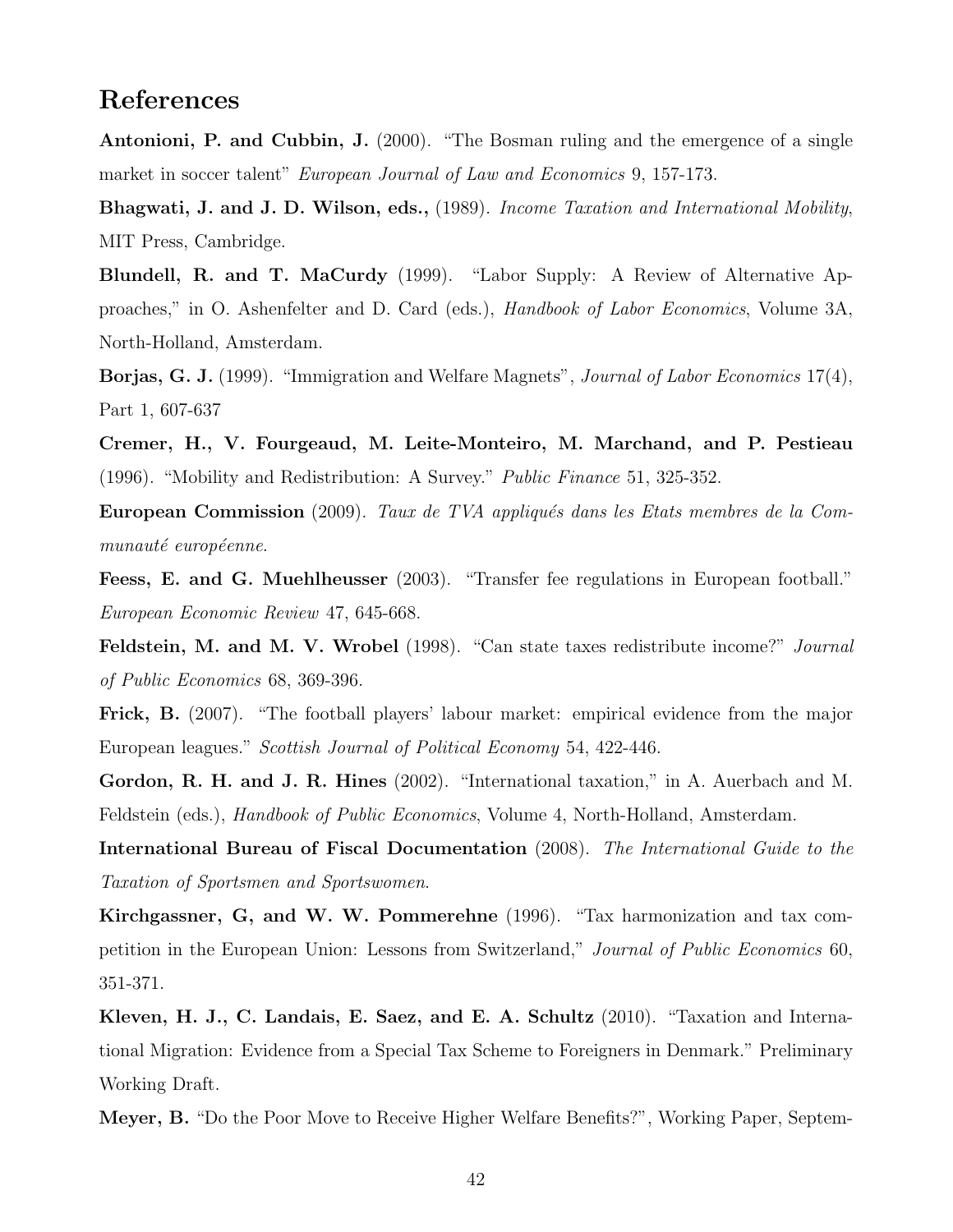# References

Antonioni, P. and Cubbin, J. (2000). "The Bosman ruling and the emergence of a single market in soccer talent" *European Journal of Law and Economics* 9, 157-173.

Bhagwati, J. and J. D. Wilson, eds., (1989). Income Taxation and International Mobility, MIT Press, Cambridge.

Blundell, R. and T. MaCurdy (1999). "Labor Supply: A Review of Alternative Approaches," in O. Ashenfelter and D. Card (eds.), Handbook of Labor Economics, Volume 3A, North-Holland, Amsterdam.

Borjas, G. J. (1999). "Immigration and Welfare Magnets", Journal of Labor Economics 17(4), Part 1, 607-637

Cremer, H., V. Fourgeaud, M. Leite-Monteiro, M. Marchand, and P. Pestieau (1996). "Mobility and Redistribution: A Survey." Public Finance 51, 325-352.

European Commission (2009). Taux de TVA appliqués dans les Etats membres de la Communauté européenne.

Feess, E. and G. Muehlheusser (2003). "Transfer fee regulations in European football." European Economic Review 47, 645-668.

Feldstein, M. and M. V. Wrobel (1998). "Can state taxes redistribute income?" Journal of Public Economics 68, 369-396.

Frick, B. (2007). "The football players' labour market: empirical evidence from the major European leagues." Scottish Journal of Political Economy 54, 422-446.

Gordon, R. H. and J. R. Hines (2002). "International taxation," in A. Auerbach and M. Feldstein (eds.), Handbook of Public Economics, Volume 4, North-Holland, Amsterdam.

International Bureau of Fiscal Documentation (2008). The International Guide to the Taxation of Sportsmen and Sportswomen.

Kirchgassner, G, and W. W. Pommerehne (1996). "Tax harmonization and tax competition in the European Union: Lessons from Switzerland," Journal of Public Economics 60, 351-371.

Kleven, H. J., C. Landais, E. Saez, and E. A. Schultz (2010). "Taxation and International Migration: Evidence from a Special Tax Scheme to Foreigners in Denmark." Preliminary Working Draft.

Meyer, B. "Do the Poor Move to Receive Higher Welfare Benefits?", Working Paper, Septem-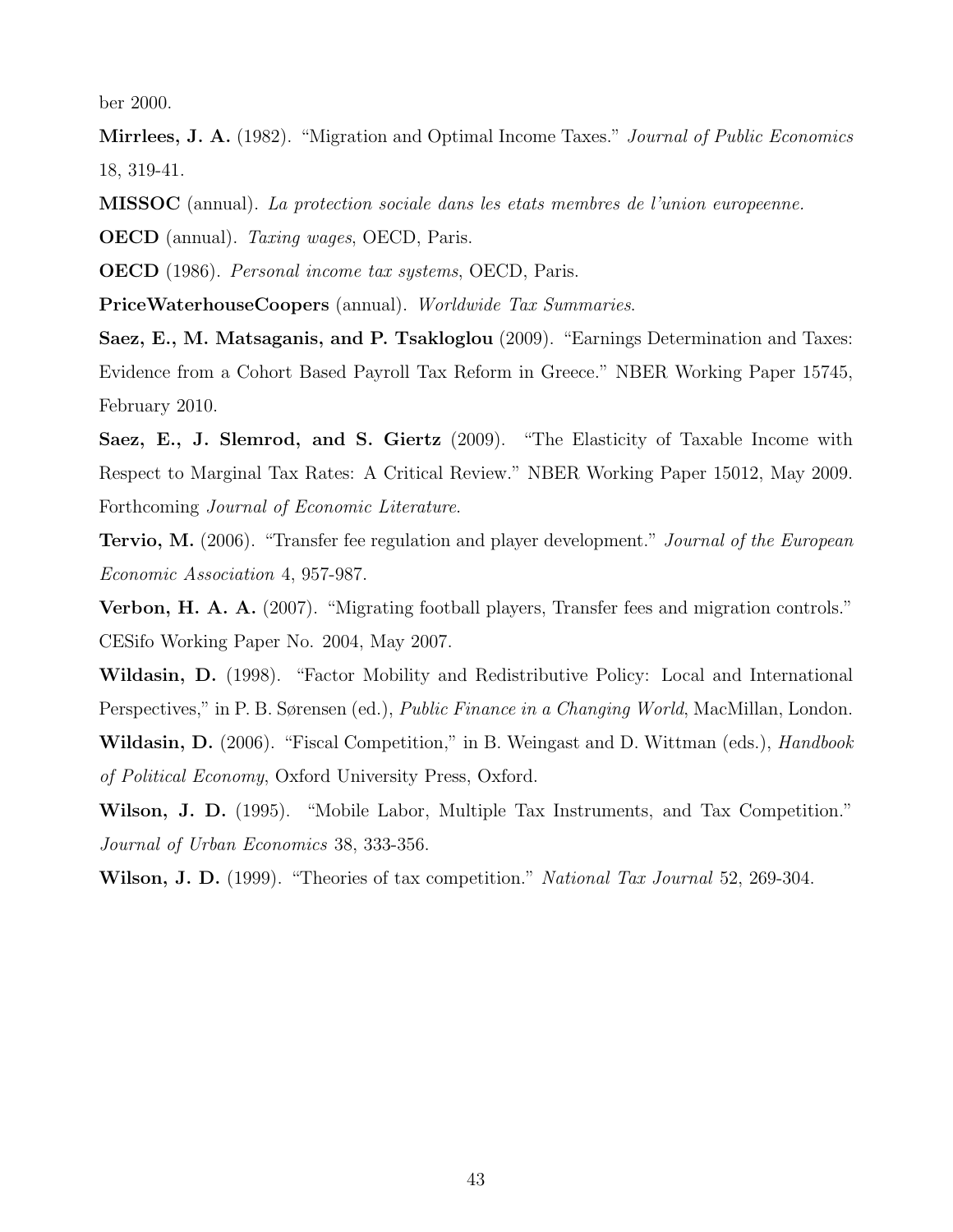ber 2000.

Mirrlees, J. A. (1982). "Migration and Optimal Income Taxes." *Journal of Public Economics* 18, 319-41.

MISSOC (annual). La protection sociale dans les etats membres de l'union europeenne.

OECD (annual). Taxing wages, OECD, Paris.

OECD (1986). Personal income tax systems, OECD, Paris.

PriceWaterhouseCoopers (annual). Worldwide Tax Summaries.

Saez, E., M. Matsaganis, and P. Tsakloglou (2009). "Earnings Determination and Taxes: Evidence from a Cohort Based Payroll Tax Reform in Greece." NBER Working Paper 15745, February 2010.

Saez, E., J. Slemrod, and S. Giertz (2009). "The Elasticity of Taxable Income with Respect to Marginal Tax Rates: A Critical Review." NBER Working Paper 15012, May 2009. Forthcoming Journal of Economic Literature.

**Tervio, M.** (2006). "Transfer fee regulation and player development." *Journal of the European* Economic Association 4, 957-987.

Verbon, H. A. A. (2007). "Migrating football players, Transfer fees and migration controls." CESifo Working Paper No. 2004, May 2007.

Wildasin, D. (1998). "Factor Mobility and Redistributive Policy: Local and International Perspectives," in P. B. Sørensen (ed.), *Public Finance in a Changing World*, MacMillan, London.

Wildasin, D. (2006). "Fiscal Competition," in B. Weingast and D. Wittman (eds.), *Handbook* of Political Economy, Oxford University Press, Oxford.

Wilson, J. D. (1995). "Mobile Labor, Multiple Tax Instruments, and Tax Competition." Journal of Urban Economics 38, 333-356.

Wilson, J. D. (1999). "Theories of tax competition." National Tax Journal 52, 269-304.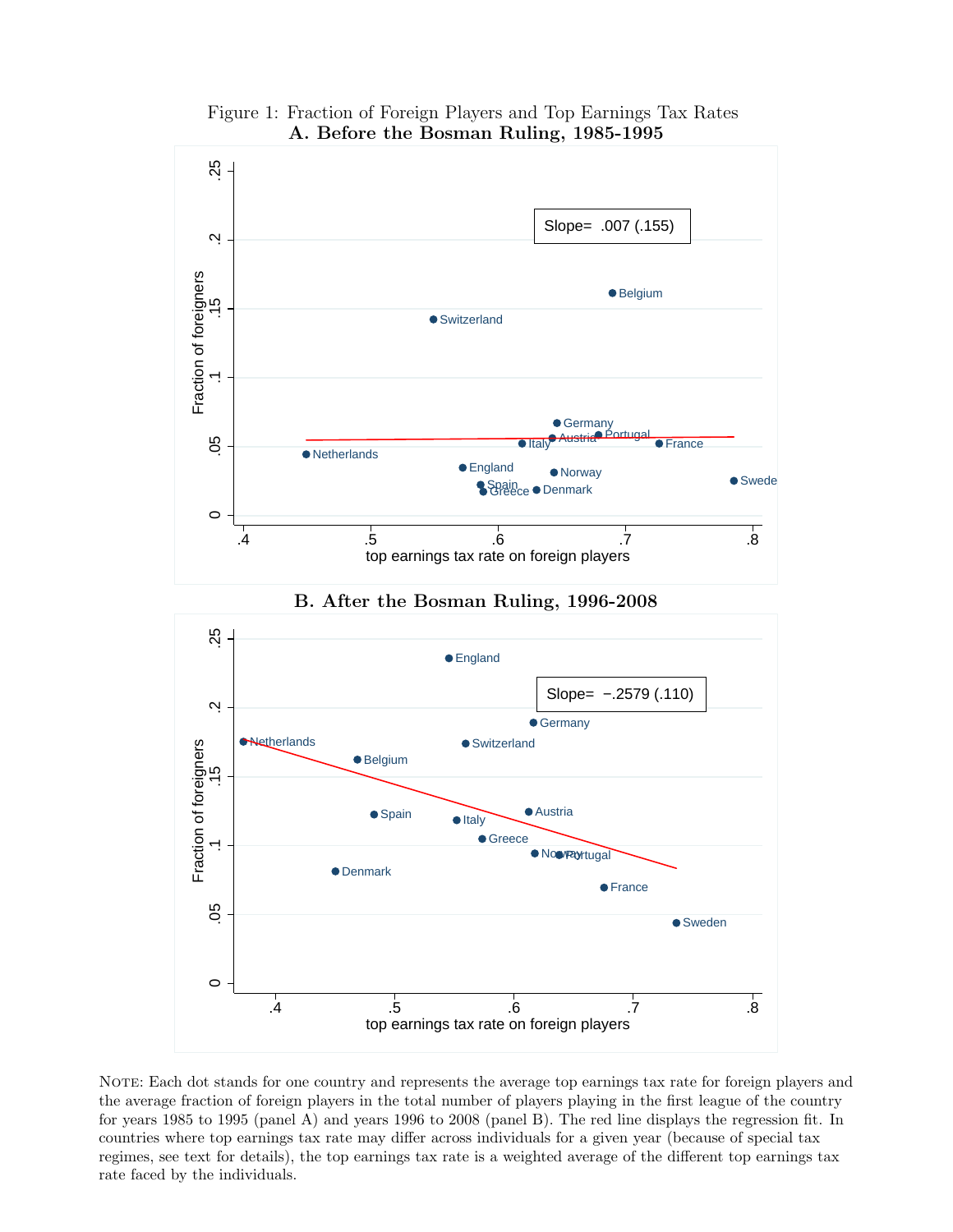

Figure 1: Fraction of Foreign Players and Top Earnings Tax Rates A. Before the Bosman Ruling, 1985-1995

B. After the Bosman Ruling, 1996-2008



NOTE: Each dot stands for one country and represents the average top earnings tax rate for foreign players and the average fraction of foreign players in the total number of players playing in the first league of the country for years 1985 to 1995 (panel A) and years 1996 to 2008 (panel B). The red line displays the regression fit. In countries where top earnings tax rate may differ across individuals for a given year (because of special tax regimes, see text for details), the top earnings tax rate is a weighted average of the different top earnings tax rate faced by the individuals.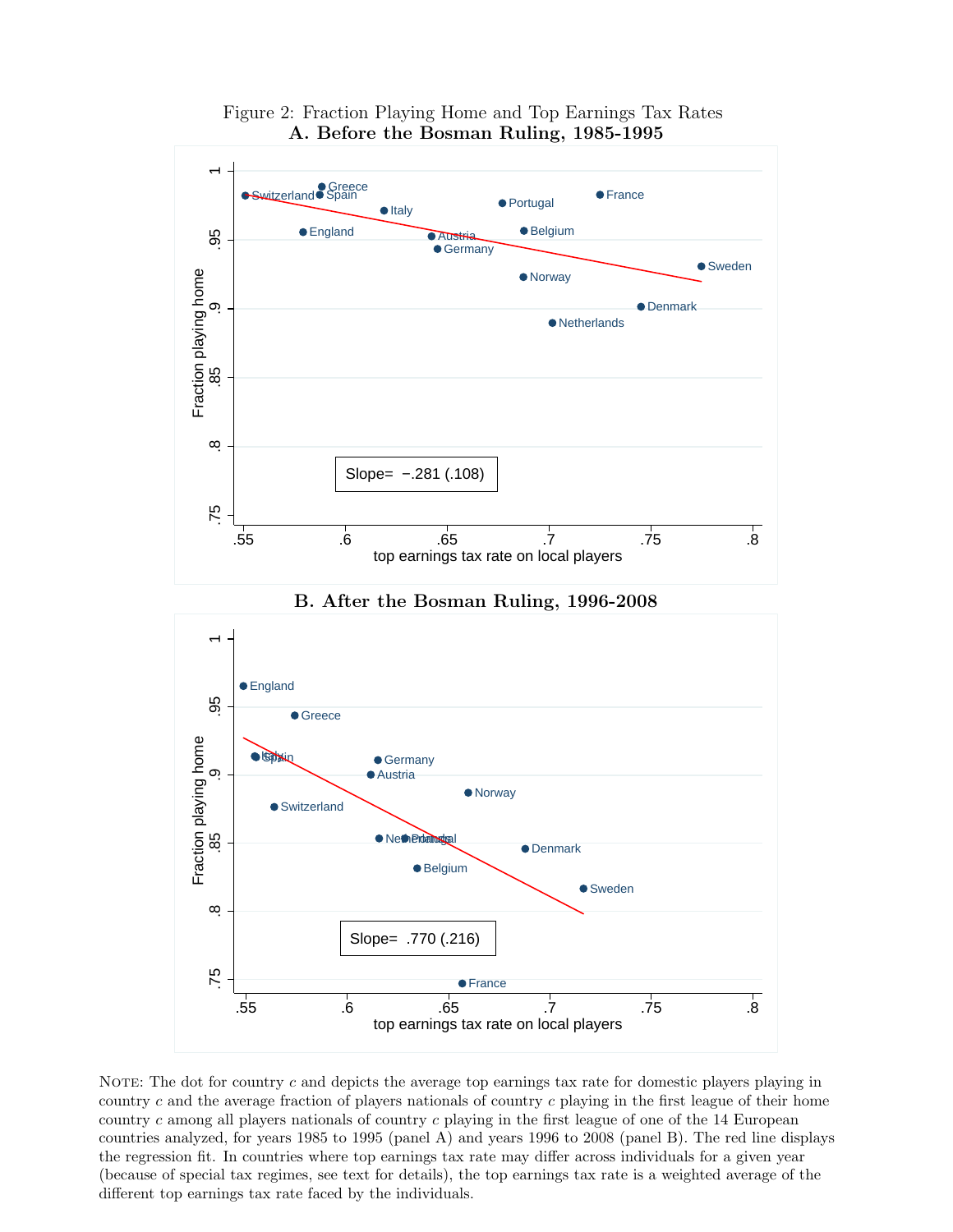

Figure 2: Fraction Playing Home and Top Earnings Tax Rates A. Before the Bosman Ruling, 1985-1995



B. After the Bosman Ruling, 1996-2008

NOTE: The dot for country  $c$  and depicts the average top earnings tax rate for domestic players playing in country c and the average fraction of players nationals of country c playing in the first league of their home country c among all players nationals of country  $c$  playing in the first league of one of the 14 European countries analyzed, for years 1985 to 1995 (panel A) and years 1996 to 2008 (panel B). The red line displays the regression fit. In countries where top earnings tax rate may differ across individuals for a given year (because of special tax regimes, see text for details), the top earnings tax rate is a weighted average of the different top earnings tax rate faced by the individuals.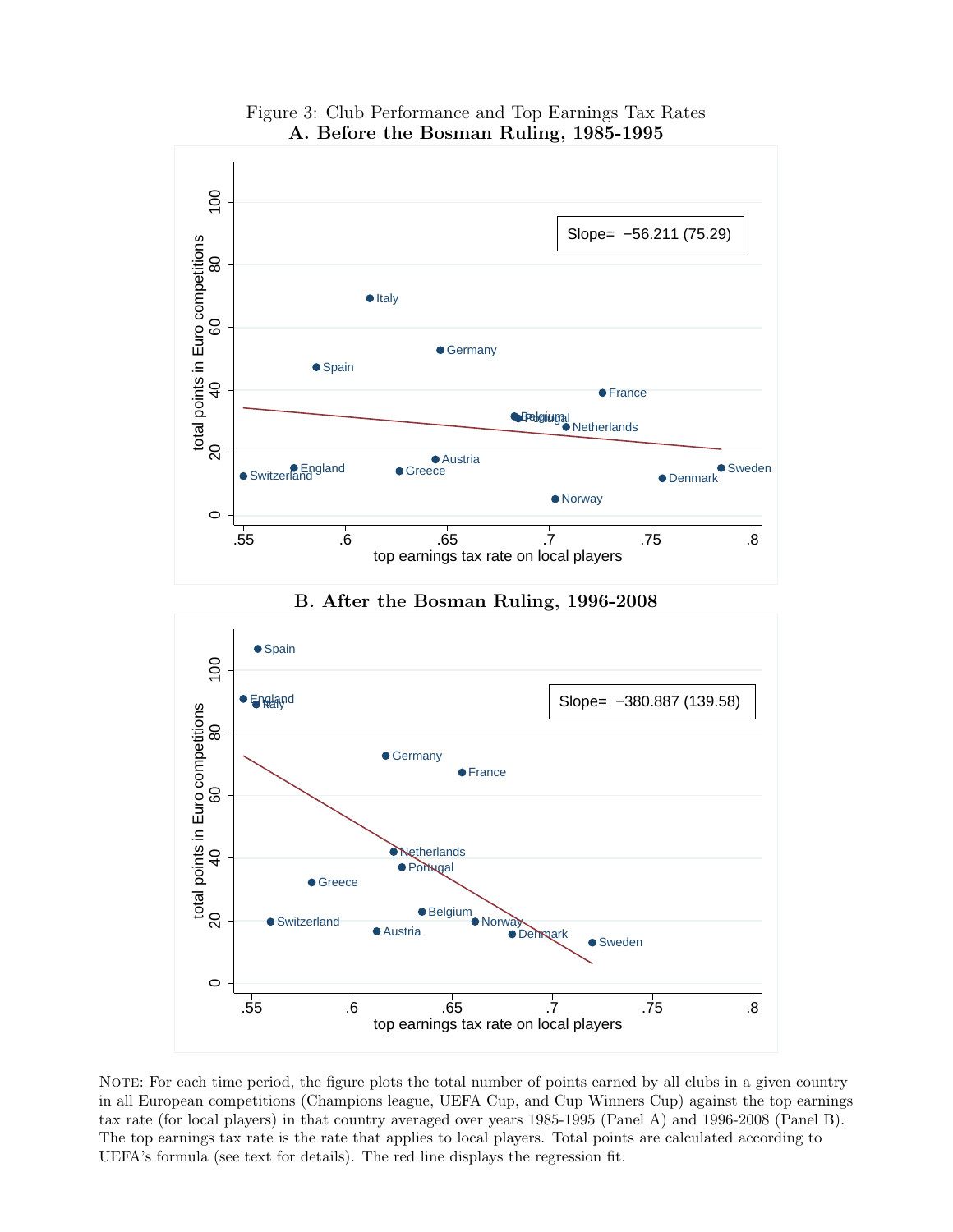

Figure 3: Club Performance and Top Earnings Tax Rates A. Before the Bosman Ruling, 1985-1995

NOTE: For each time period, the figure plots the total number of points earned by all clubs in a given country in all European competitions (Champions league, UEFA Cup, and Cup Winners Cup) against the top earnings tax rate (for local players) in that country averaged over years 1985-1995 (Panel A) and 1996-2008 (Panel B). The top earnings tax rate is the rate that applies to local players. Total points are calculated according to UEFA's formula (see text for details). The red line displays the regression fit.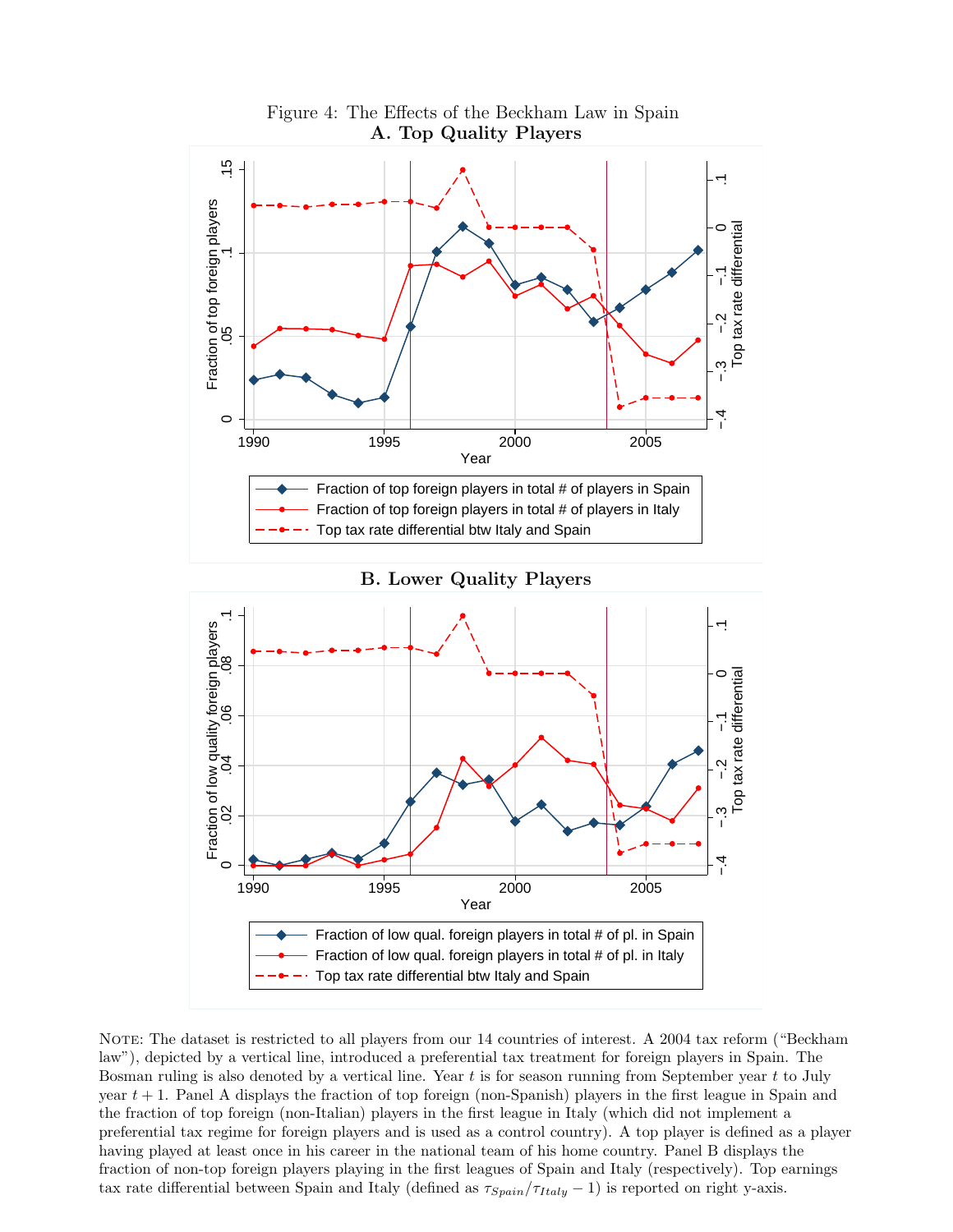







NOTE: The dataset is restricted to all players from our 14 countries of interest. A 2004 tax reform ("Beckham" law"), depicted by a vertical line, introduced a preferential tax treatment for foreign players in Spain. The Bosman ruling is also denoted by a vertical line. Year  $t$  is for season running from September year  $t$  to July year  $t + 1$ . Panel A displays the fraction of top foreign (non-Spanish) players in the first league in Spain and the fraction of top foreign (non-Italian) players in the first league in Italy (which did not implement a preferential tax regime for foreign players and is used as a control country). A top player is defined as a player having played at least once in his career in the national team of his home country. Panel B displays the fraction of non-top foreign players playing in the first leagues of Spain and Italy (respectively). Top earnings tax rate differential between Spain and Italy (defined as  $\tau_{Spin}/\tau_{Italy} - 1$ ) is reported on right y-axis.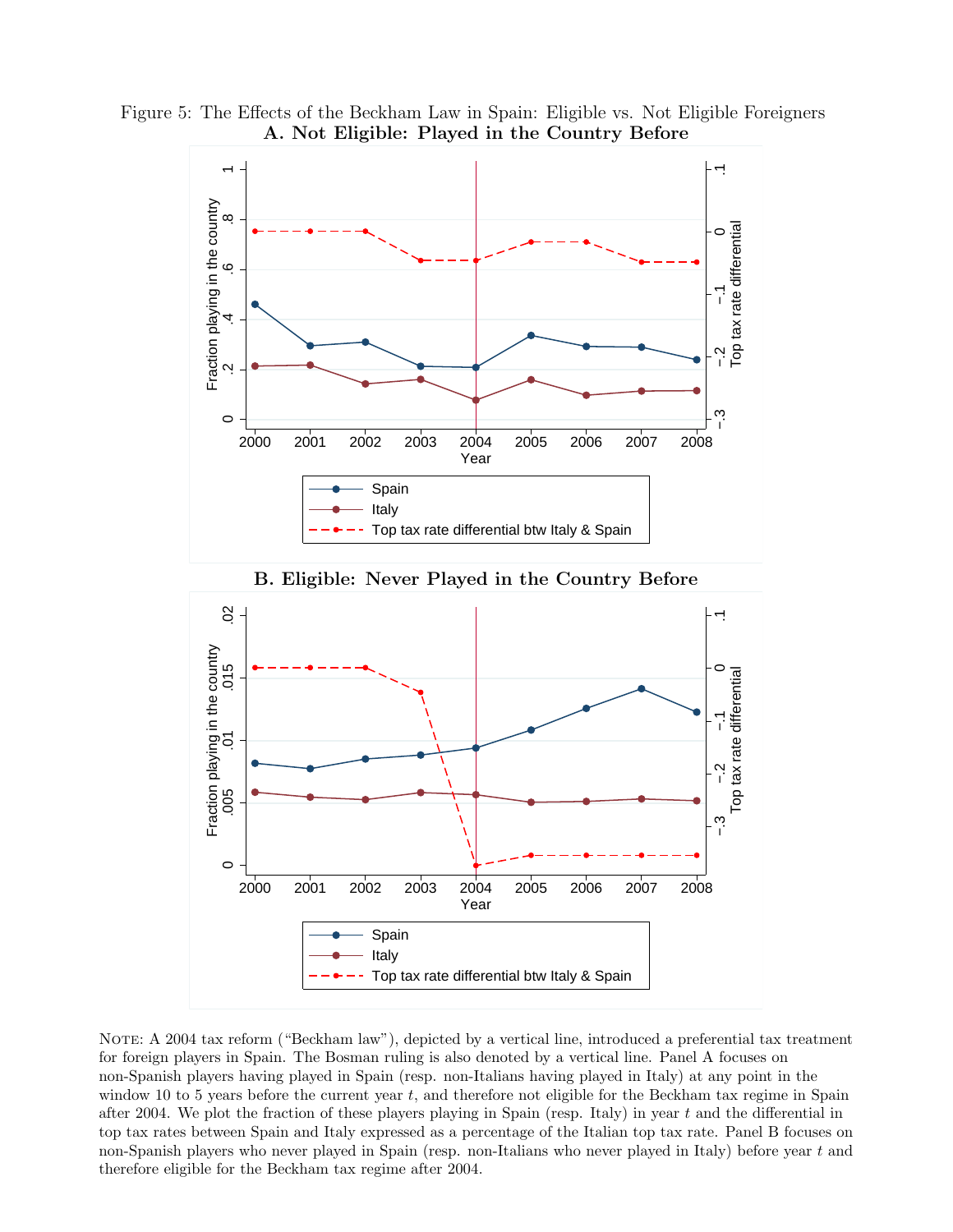







NOTE: A 2004 tax reform ("Beckham law"), depicted by a vertical line, introduced a preferential tax treatment for foreign players in Spain. The Bosman ruling is also denoted by a vertical line. Panel A focuses on non-Spanish players having played in Spain (resp. non-Italians having played in Italy) at any point in the window 10 to 5 years before the current year  $t$ , and therefore not eligible for the Beckham tax regime in Spain after 2004. We plot the fraction of these players playing in Spain (resp. Italy) in year  $t$  and the differential in top tax rates between Spain and Italy expressed as a percentage of the Italian top tax rate. Panel B focuses on non-Spanish players who never played in Spain (resp. non-Italians who never played in Italy) before year t and therefore eligible for the Beckham tax regime after 2004.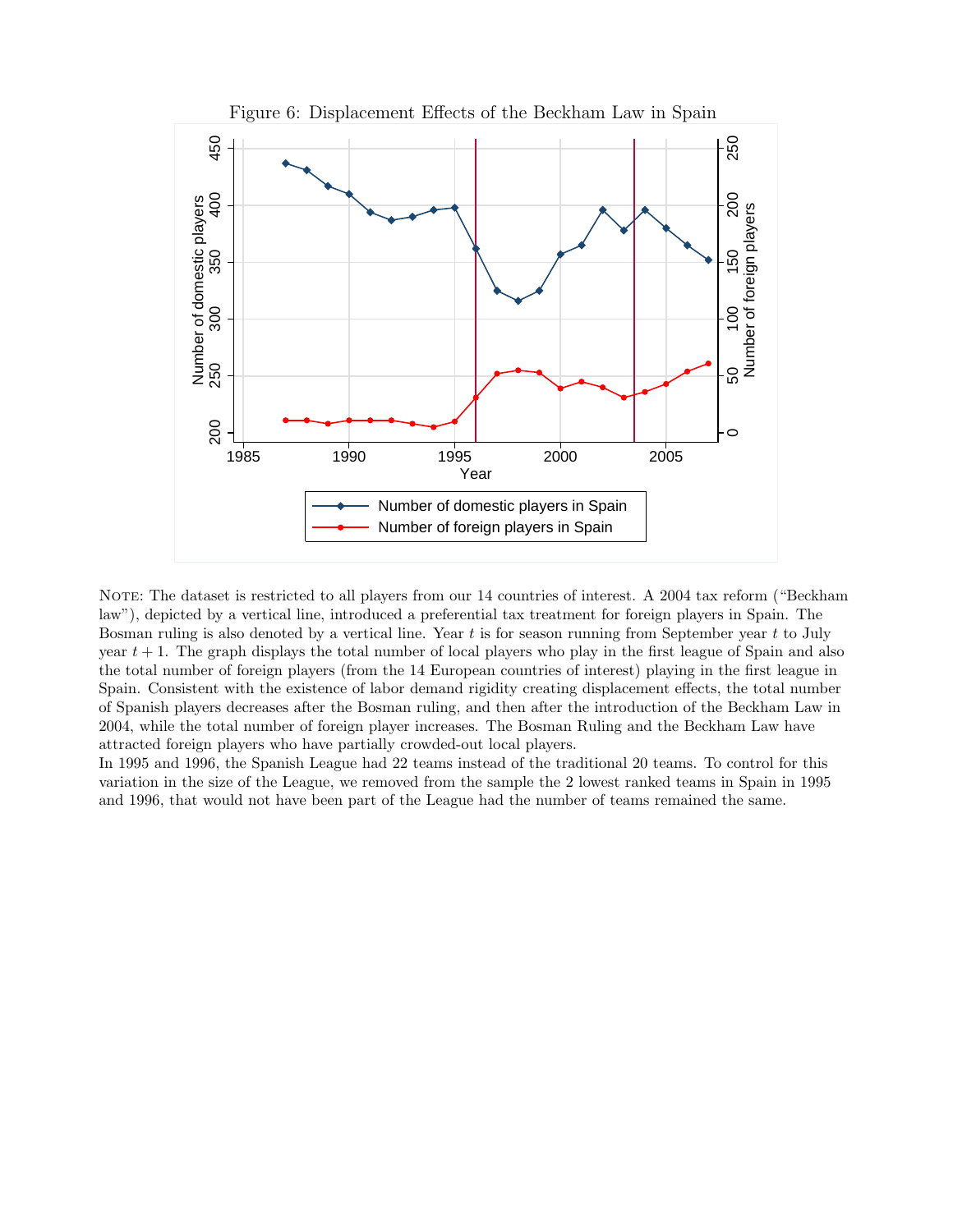

NOTE: The dataset is restricted to all players from our 14 countries of interest. A 2004 tax reform ("Beckham law"), depicted by a vertical line, introduced a preferential tax treatment for foreign players in Spain. The Bosman ruling is also denoted by a vertical line. Year  $t$  is for season running from September year  $t$  to July year  $t + 1$ . The graph displays the total number of local players who play in the first league of Spain and also the total number of foreign players (from the 14 European countries of interest) playing in the first league in Spain. Consistent with the existence of labor demand rigidity creating displacement effects, the total number of Spanish players decreases after the Bosman ruling, and then after the introduction of the Beckham Law in 2004, while the total number of foreign player increases. The Bosman Ruling and the Beckham Law have attracted foreign players who have partially crowded-out local players.

In 1995 and 1996, the Spanish League had 22 teams instead of the traditional 20 teams. To control for this variation in the size of the League, we removed from the sample the 2 lowest ranked teams in Spain in 1995 and 1996, that would not have been part of the League had the number of teams remained the same.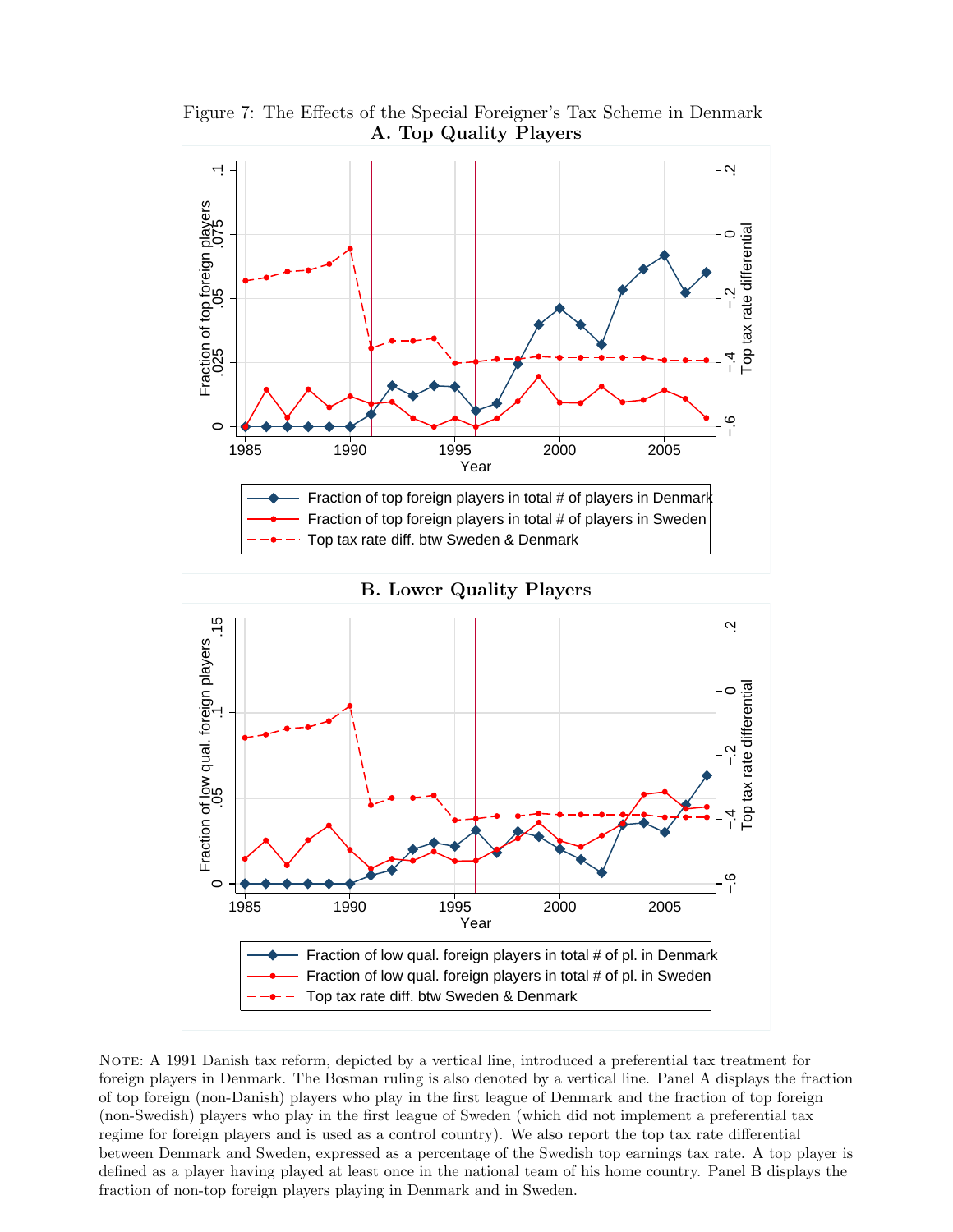

Figure 7: The Effects of the Special Foreigner's Tax Scheme in Denmark A. Top Quality Players



B. Lower Quality Players

NOTE: A 1991 Danish tax reform, depicted by a vertical line, introduced a preferential tax treatment for foreign players in Denmark. The Bosman ruling is also denoted by a vertical line. Panel A displays the fraction of top foreign (non-Danish) players who play in the first league of Denmark and the fraction of top foreign (non-Swedish) players who play in the first league of Sweden (which did not implement a preferential tax regime for foreign players and is used as a control country). We also report the top tax rate differential between Denmark and Sweden, expressed as a percentage of the Swedish top earnings tax rate. A top player is defined as a player having played at least once in the national team of his home country. Panel B displays the fraction of non-top foreign players playing in Denmark and in Sweden.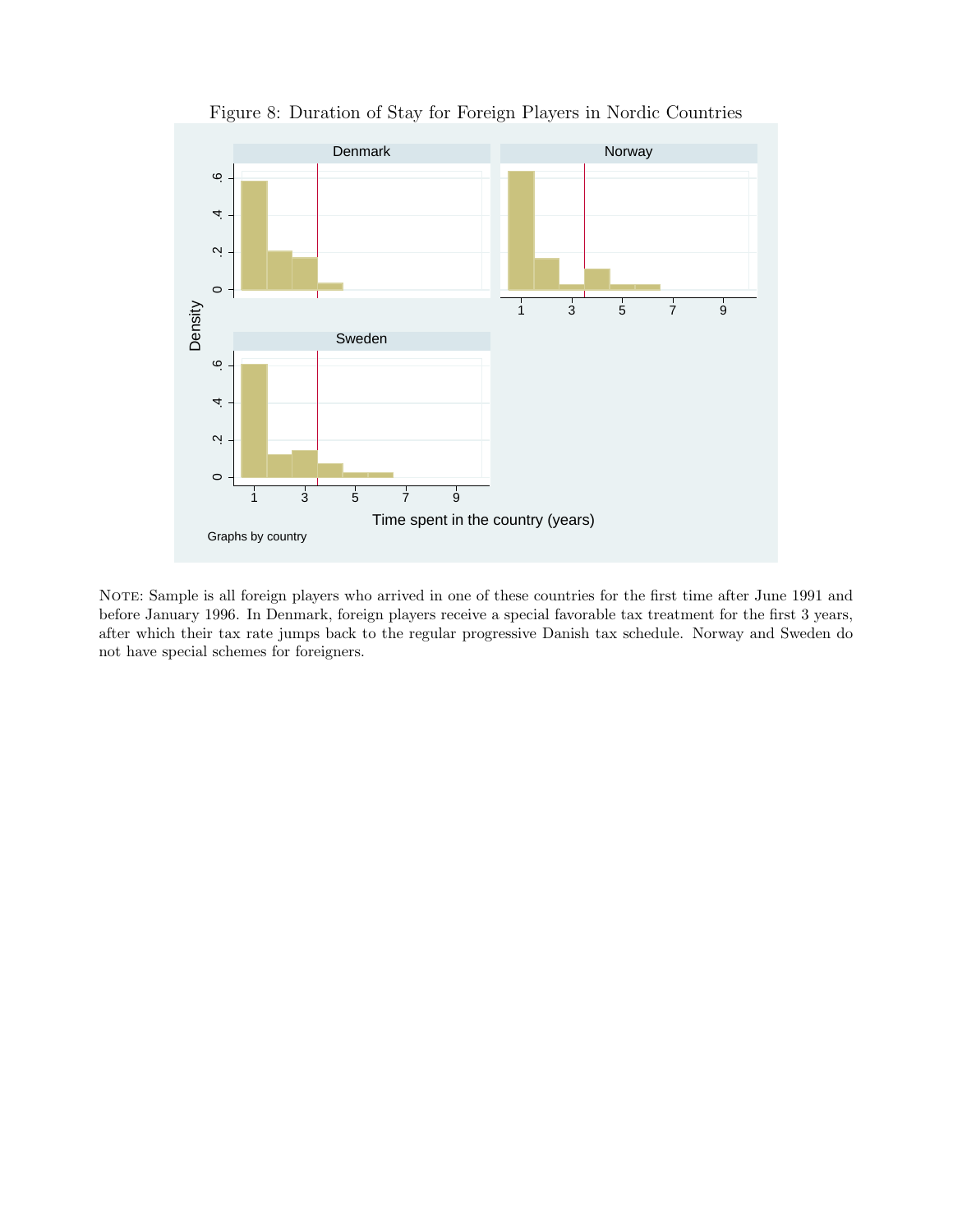

Figure 8: Duration of Stay for Foreign Players in Nordic Countries

NOTE: Sample is all foreign players who arrived in one of these countries for the first time after June 1991 and before January 1996. In Denmark, foreign players receive a special favorable tax treatment for the first 3 years, after which their tax rate jumps back to the regular progressive Danish tax schedule. Norway and Sweden do not have special schemes for foreigners.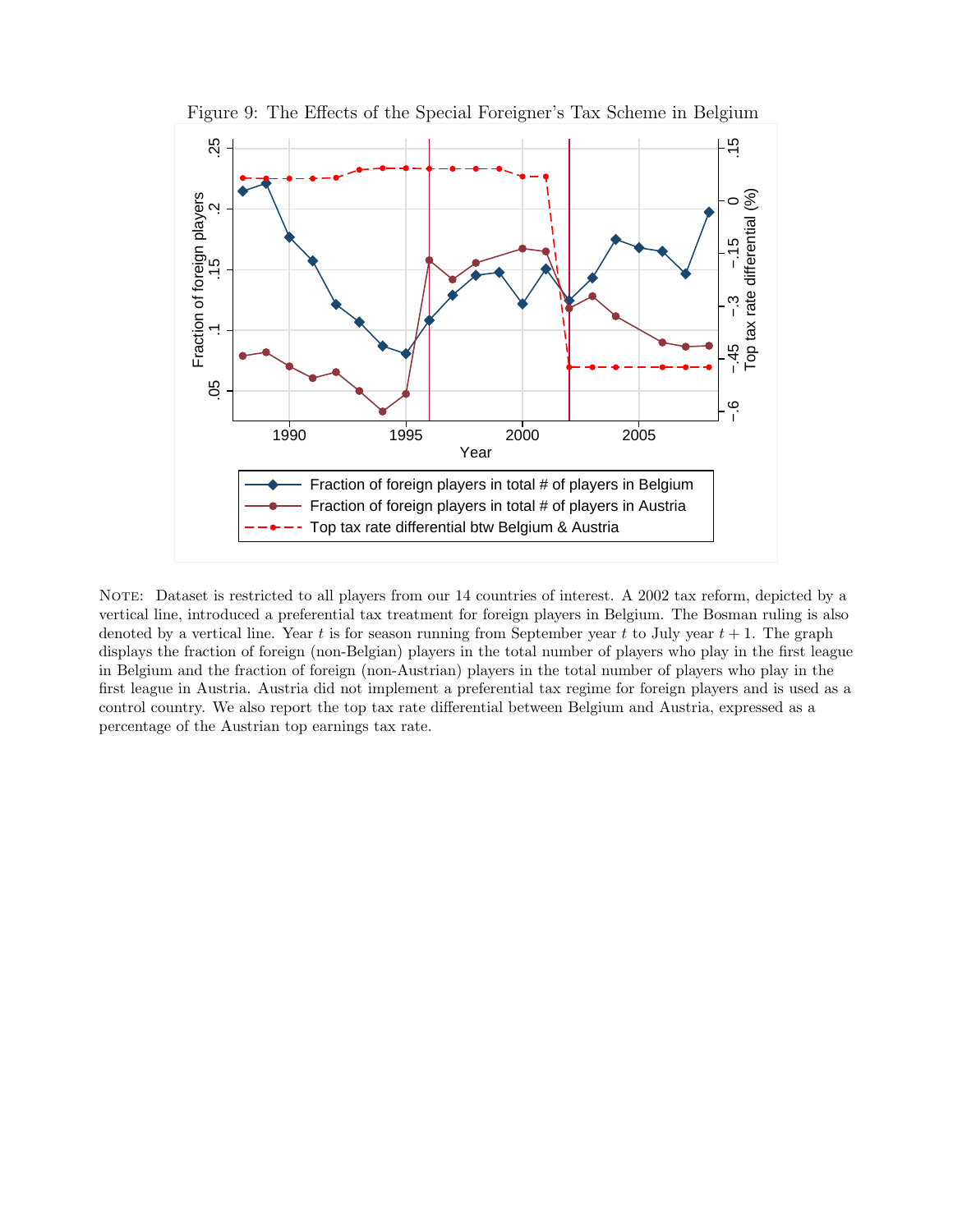

Figure 9: The Effects of the Special Foreigner's Tax Scheme in Belgium

NOTE: Dataset is restricted to all players from our 14 countries of interest. A 2002 tax reform, depicted by a vertical line, introduced a preferential tax treatment for foreign players in Belgium. The Bosman ruling is also denoted by a vertical line. Year t is for season running from September year t to July year  $t + 1$ . The graph displays the fraction of foreign (non-Belgian) players in the total number of players who play in the first league in Belgium and the fraction of foreign (non-Austrian) players in the total number of players who play in the first league in Austria. Austria did not implement a preferential tax regime for foreign players and is used as a control country. We also report the top tax rate differential between Belgium and Austria, expressed as a percentage of the Austrian top earnings tax rate.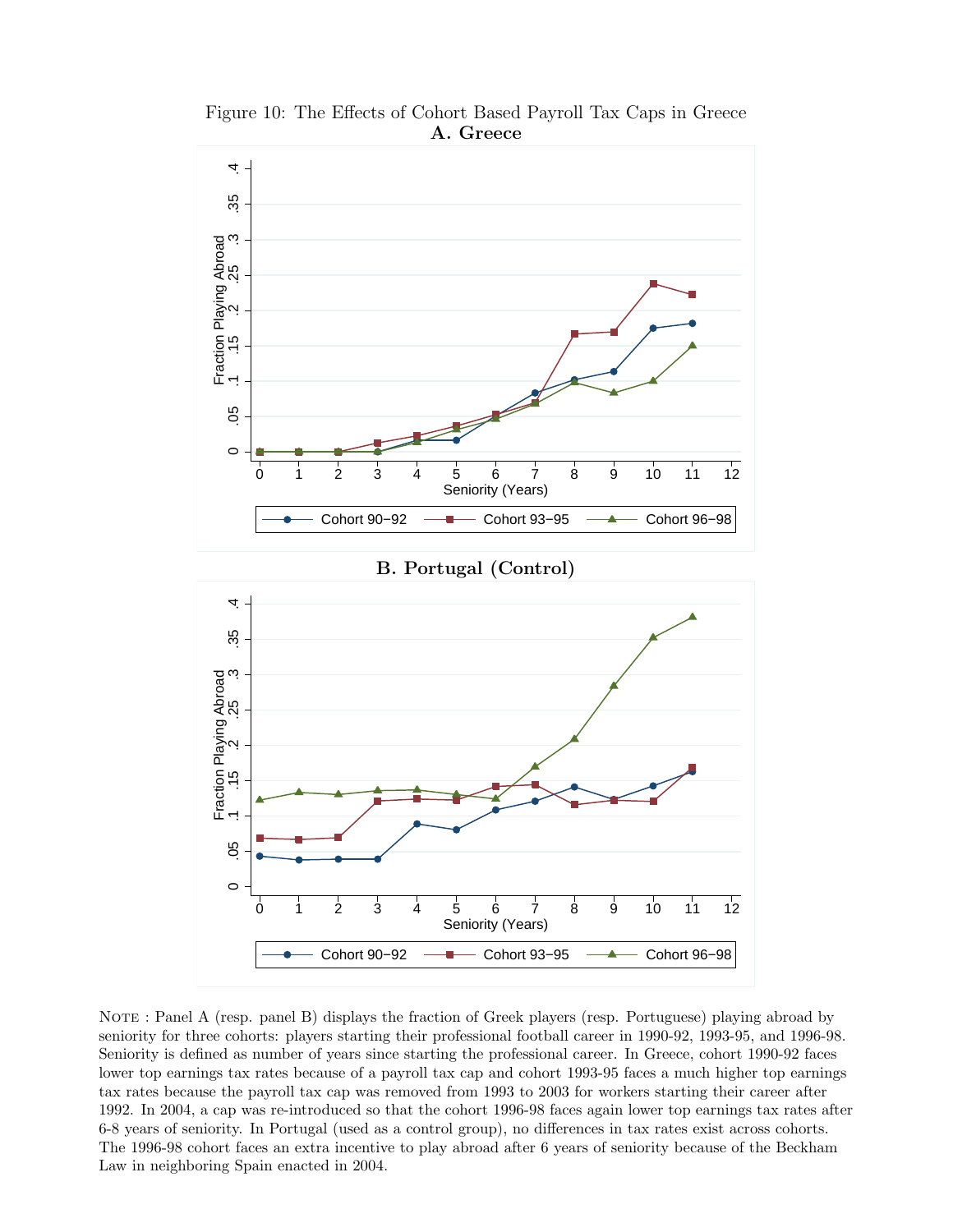

Figure 10: The Effects of Cohort Based Payroll Tax Caps in Greece A. Greece

NOTE : Panel A (resp. panel B) displays the fraction of Greek players (resp. Portuguese) playing abroad by seniority for three cohorts: players starting their professional football career in 1990-92, 1993-95, and 1996-98. Seniority is defined as number of years since starting the professional career. In Greece, cohort 1990-92 faces lower top earnings tax rates because of a payroll tax cap and cohort 1993-95 faces a much higher top earnings tax rates because the payroll tax cap was removed from 1993 to 2003 for workers starting their career after 1992. In 2004, a cap was re-introduced so that the cohort 1996-98 faces again lower top earnings tax rates after 6-8 years of seniority. In Portugal (used as a control group), no differences in tax rates exist across cohorts. The 1996-98 cohort faces an extra incentive to play abroad after 6 years of seniority because of the Beckham Law in neighboring Spain enacted in 2004.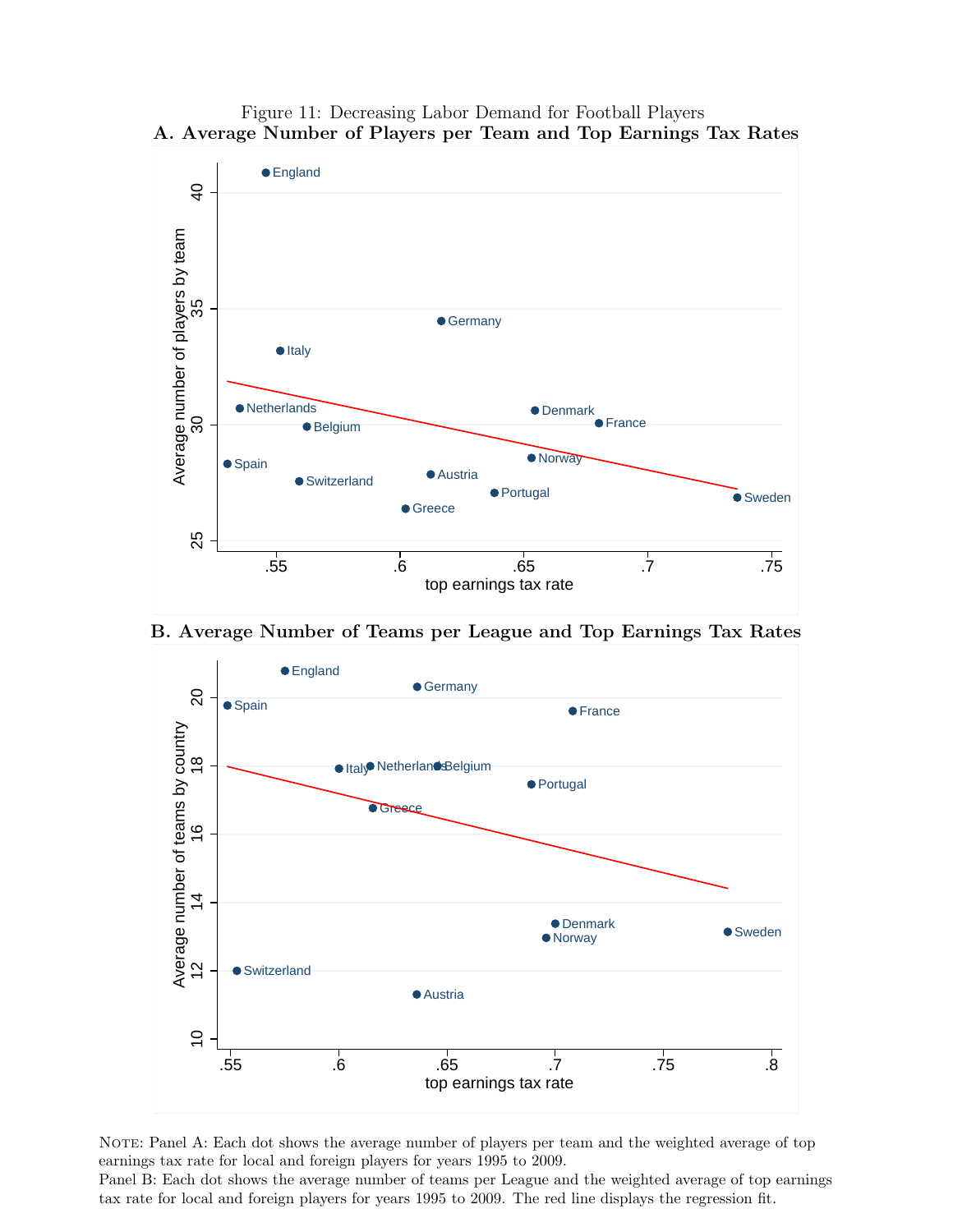

Figure 11: Decreasing Labor Demand for Football Players A. Average Number of Players per Team and Top Earnings Tax Rates

B. Average Number of Teams per League and Top Earnings Tax Rates



NOTE: Panel A: Each dot shows the average number of players per team and the weighted average of top earnings tax rate for local and foreign players for years 1995 to 2009.

Panel B: Each dot shows the average number of teams per League and the weighted average of top earnings tax rate for local and foreign players for years 1995 to 2009. The red line displays the regression fit.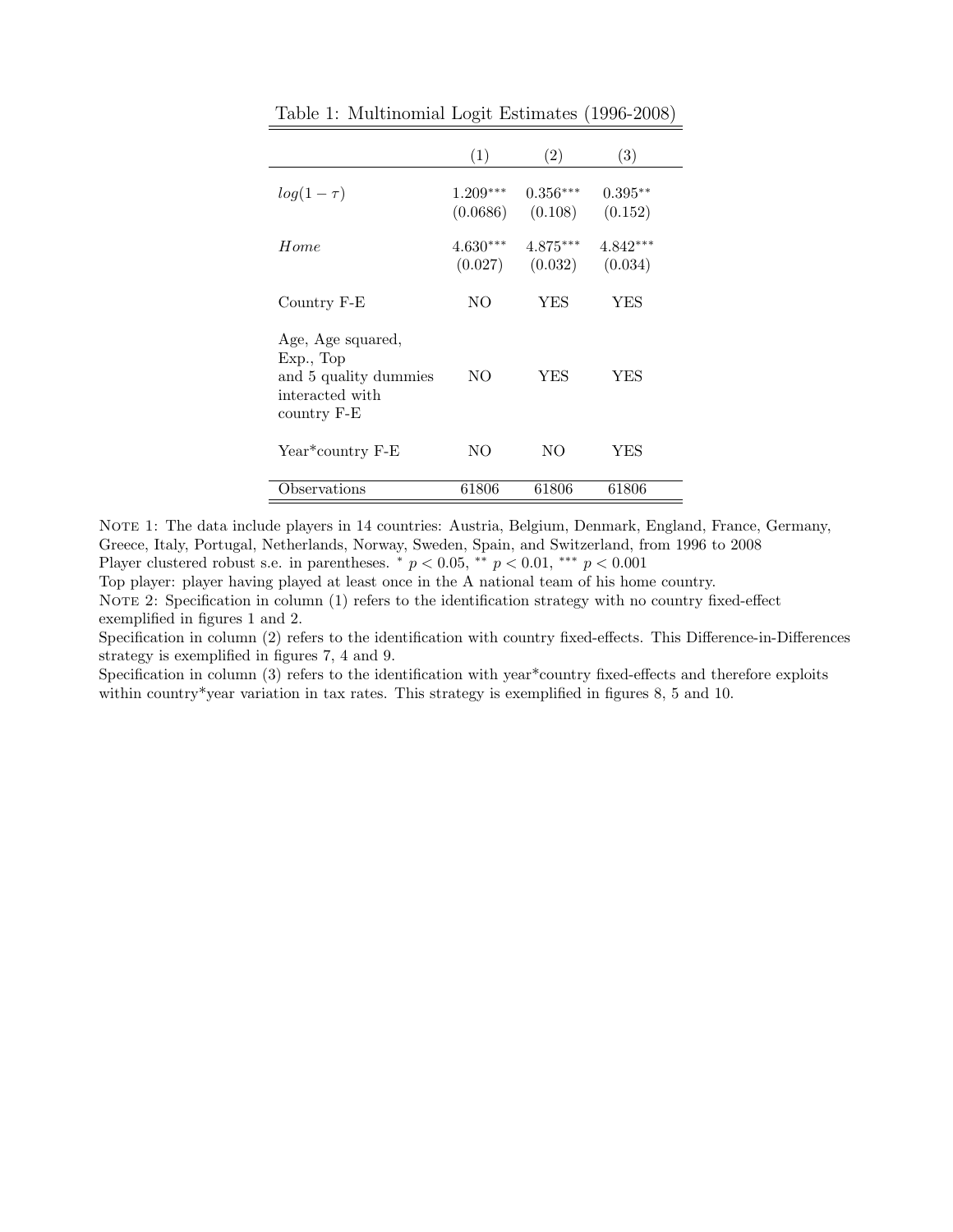|                                                                                           | (1)                    | (2)                   | (3)                   |
|-------------------------------------------------------------------------------------------|------------------------|-----------------------|-----------------------|
| $log(1-\tau)$                                                                             | $1.209***$<br>(0.0686) | $0.356***$<br>(0.108) | $0.395**$<br>(0.152)  |
| Home                                                                                      | $4.630***$<br>(0.027)  | $4.875***$<br>(0.032) | $4.842***$<br>(0.034) |
| Country F-E                                                                               | NO.                    | <b>YES</b>            | YES                   |
| Age, Age squared,<br>Exp., Top<br>and 5 quality dummies<br>interacted with<br>country F-E | NO.                    | YES                   | YES                   |
| Year*country F-E                                                                          | NO.                    | NO                    | YES                   |
| <b>Observations</b>                                                                       | 61806                  | 61806                 | 61806                 |

Table 1: Multinomial Logit Estimates (1996-2008)

NOTE 1: The data include players in 14 countries: Austria, Belgium, Denmark, England, France, Germany, Greece, Italy, Portugal, Netherlands, Norway, Sweden, Spain, and Switzerland, from 1996 to 2008 Player clustered robust s.e. in parentheses.  $*$   $p < 0.05$ ,  $**$   $p < 0.01$ ,  $***$   $p < 0.001$ 

Top player: player having played at least once in the A national team of his home country. NOTE 2: Specification in column (1) refers to the identification strategy with no country fixed-effect exemplified in figures 1 and 2.

Specification in column (2) refers to the identification with country fixed-effects. This Difference-in-Differences strategy is exemplified in figures 7, 4 and 9.

Specification in column (3) refers to the identification with year\*country fixed-effects and therefore exploits within country\*year variation in tax rates. This strategy is exemplified in figures 8, 5 and 10.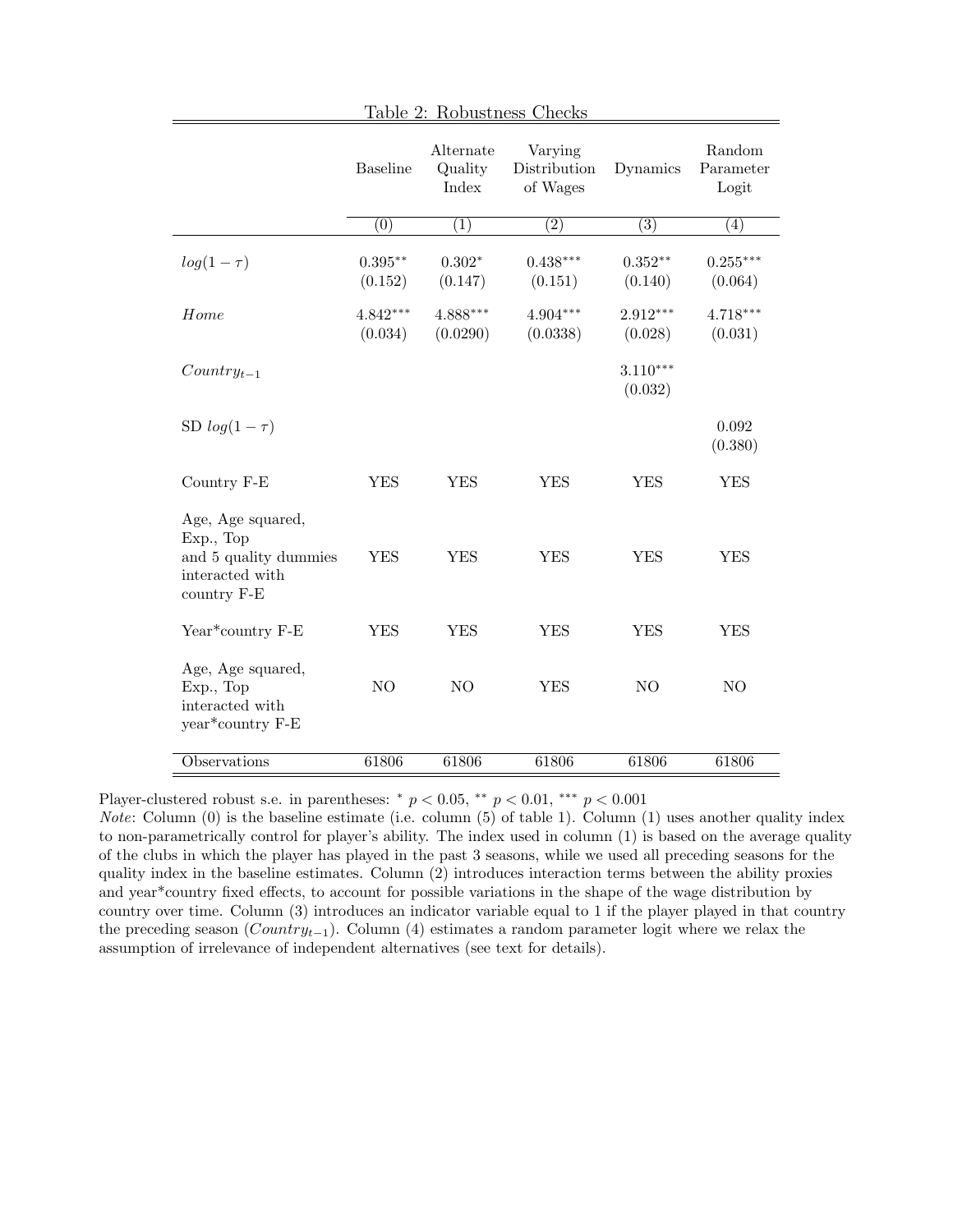|                                                                                           | <b>Baseline</b>       | Alternate<br>Quality<br>Index | Varying<br>Distribution<br>of Wages | Dynamics              | Random<br>Parameter<br>Logit |
|-------------------------------------------------------------------------------------------|-----------------------|-------------------------------|-------------------------------------|-----------------------|------------------------------|
|                                                                                           | $\overline{(0)}$      | (1)                           | $\overline{(2)}$                    | $\overline{(3)}$      | (4)                          |
| $log(1-\tau)$                                                                             | $0.395**$<br>(0.152)  | $0.302*$<br>(0.147)           | $0.438***$<br>(0.151)               | $0.352**$<br>(0.140)  | $0.255***$<br>(0.064)        |
| Home                                                                                      | $4.842***$<br>(0.034) | $4.888***$<br>(0.0290)        | $4.904***$<br>(0.0338)              | $2.912***$<br>(0.028) | $4.718***$<br>(0.031)        |
| $Country_{t-1}$                                                                           |                       |                               |                                     | $3.110***$<br>(0.032) |                              |
| SD $log(1-\tau)$                                                                          |                       |                               |                                     |                       | 0.092<br>(0.380)             |
| Country F-E                                                                               | <b>YES</b>            | <b>YES</b>                    | <b>YES</b>                          | <b>YES</b>            | <b>YES</b>                   |
| Age, Age squared,<br>Exp., Top<br>and 5 quality dummies<br>interacted with<br>country F-E | <b>YES</b>            | <b>YES</b>                    | ${\rm YES}$                         | <b>YES</b>            | <b>YES</b>                   |
| Year*country F-E                                                                          | <b>YES</b>            | <b>YES</b>                    | <b>YES</b>                          | <b>YES</b>            | <b>YES</b>                   |
| Age, Age squared,<br>Exp., Top<br>interacted with<br>year*country F-E                     | NO                    | N <sub>O</sub>                | <b>YES</b>                          | N <sub>O</sub>        | N <sub>O</sub>               |
| <b>Observations</b>                                                                       | 61806                 | 61806                         | 61806                               | 61806                 | 61806                        |

Table 2: Robustness Checks

Player-clustered robust s.e. in parentheses:  $* p < 0.05$ ,  $* p < 0.01$ ,  $** p < 0.001$ 

*Note:* Column  $(0)$  is the baseline estimate (i.e. column  $(5)$  of table 1). Column  $(1)$  uses another quality index to non-parametrically control for player's ability. The index used in column (1) is based on the average quality of the clubs in which the player has played in the past 3 seasons, while we used all preceding seasons for the quality index in the baseline estimates. Column (2) introduces interaction terms between the ability proxies and year\*country fixed effects, to account for possible variations in the shape of the wage distribution by country over time. Column (3) introduces an indicator variable equal to 1 if the player played in that country the preceding season ( $Country_{t-1}$ ). Column (4) estimates a random parameter logit where we relax the assumption of irrelevance of independent alternatives (see text for details).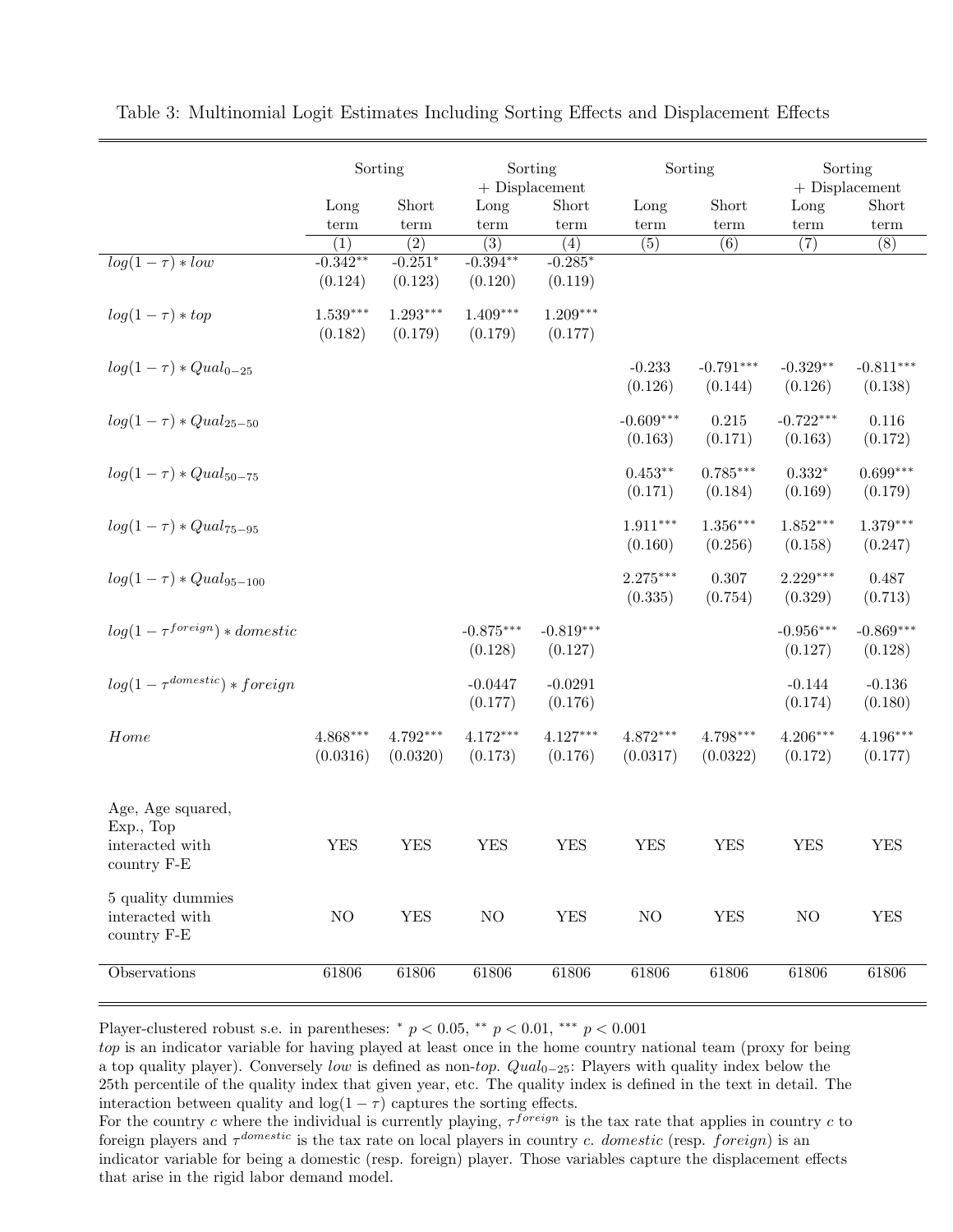|                                                     | Sorting                |                        | Sorting<br>$+$ Displacement |                        | Sorting                |                        | Sorting<br>$+$ Displacement |                        |
|-----------------------------------------------------|------------------------|------------------------|-----------------------------|------------------------|------------------------|------------------------|-----------------------------|------------------------|
|                                                     | Long                   | Short                  | Long                        | Short                  | Long                   | Short                  | Long                        | Short                  |
|                                                     | term                   | term                   | term                        | term                   | term                   | term                   | term                        | term                   |
|                                                     | $\overline{(1)}$       | $\overline{(2)}$       | $\overline{(3)}$            | $\overline{(4)}$       | (5)                    | (6)                    | $\overline{(7)}$            | $\overline{(8)}$       |
| $log(1-\tau) * low$                                 | $-0.342**$<br>(0.124)  | $-0.251*$<br>(0.123)   | $-0.394**$<br>(0.120)       | $-0.285*$<br>(0.119)   |                        |                        |                             |                        |
| $log(1-\tau) * top$                                 | $1.539***$<br>(0.182)  | $1.293***$<br>(0.179)  | $1.409***$<br>(0.179)       | $1.209***$<br>(0.177)  |                        |                        |                             |                        |
| $log(1 - \tau) * Qual_{0-25}$                       |                        |                        |                             |                        | $-0.233$<br>(0.126)    | $-0.791***$<br>(0.144) | $-0.329**$<br>(0.126)       | $-0.811***$<br>(0.138) |
| $log(1 - \tau) * Qual_{25-50}$                      |                        |                        |                             |                        | $-0.609***$<br>(0.163) | $0.215\,$<br>(0.171)   | $-0.722***$<br>(0.163)      | $0.116\,$<br>(0.172)   |
| $log(1-\tau) * Qual_{50-75}$                        |                        |                        |                             |                        | $0.453**$<br>(0.171)   | $0.785***$<br>(0.184)  | $0.332*$<br>(0.169)         | $0.699***$<br>(0.179)  |
| $log(1 - \tau) * Qual_{75-95}$                      |                        |                        |                             |                        | $1.911***$<br>(0.160)  | $1.356***$<br>(0.256)  | $1.852***$<br>(0.158)       | $1.379***$<br>(0.247)  |
| $log(1-\tau) * Qual_{95-100}$                       |                        |                        |                             |                        | $2.275***$<br>(0.335)  | 0.307<br>(0.754)       | $2.229***$<br>(0.329)       | 0.487<br>(0.713)       |
| $log(1 - \tau^{foreign}) * domestic$                |                        |                        | $-0.875***$<br>(0.128)      | $-0.819***$<br>(0.127) |                        |                        | $-0.956***$<br>(0.127)      | $-0.869***$<br>(0.128) |
| $log(1 - \tau^{domestic}) * foreign$                |                        |                        | $-0.0447$<br>(0.177)        | $-0.0291$<br>(0.176)   |                        |                        | $-0.144$<br>(0.174)         | $-0.136$<br>(0.180)    |
| Home                                                | $4.868***$<br>(0.0316) | $4.792***$<br>(0.0320) | $4.172***$<br>(0.173)       | $4.127***$<br>(0.176)  | $4.872***$<br>(0.0317) | $4.798***$<br>(0.0322) | $4.206***$<br>(0.172)       | $4.196***$<br>(0.177)  |
| Age, Age squared,<br>Exp., Top<br>interacted with   | <b>YES</b>             | <b>YES</b>             | <b>YES</b>                  | <b>YES</b>             | <b>YES</b>             | <b>YES</b>             | <b>YES</b>                  | <b>YES</b>             |
| country F-E                                         |                        |                        |                             |                        |                        |                        |                             |                        |
| 5 quality dummies<br>interacted with<br>country F-E | NO                     | ${\rm YES}$            | $\rm NO$                    | <b>YES</b>             | $\rm NO$               | <b>YES</b>             | NO                          | <b>YES</b>             |
| Observations                                        | 61806                  | 61806                  | 61806                       | 61806                  | 61806                  | 61806                  | 61806                       | 61806                  |

Table 3: Multinomial Logit Estimates Including Sorting Effects and Displacement Effects

Player-clustered robust s.e. in parentheses: \*  $p < 0.05$ , \*\*  $p < 0.01$ , \*\*\*  $p < 0.001$ 

top is an indicator variable for having played at least once in the home country national team (proxy for being a top quality player). Conversely low is defined as non-top.  $Qual_{0-25}$ : Players with quality index below the 25th percentile of the quality index that given year, etc. The quality index is defined in the text in detail. The interaction between quality and  $log(1 - \tau)$  captures the sorting effects.

For the country c where the individual is currently playing,  $\tau^{foreign}$  is the tax rate that applies in country c to foreign players and  $\tau^{domestic}$  is the tax rate on local players in country c. domestic (resp. foreign) is an indicator variable for being a domestic (resp. foreign) player. Those variables capture the displacement effects that arise in the rigid labor demand model.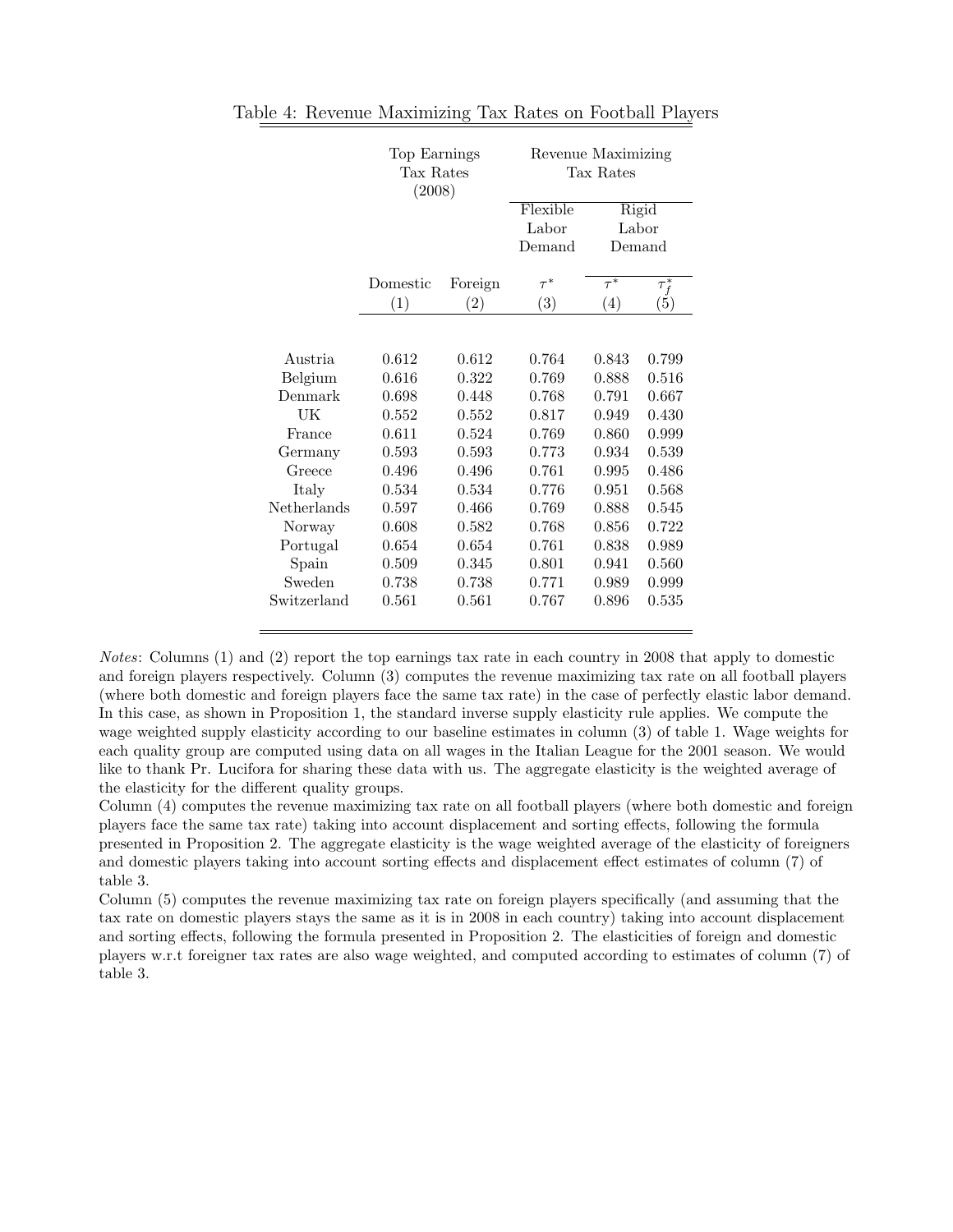|             | Top Earnings<br>Tax Rates<br>(2008) |         | Revenue Maximizing<br>Tax Rates |          |            |  |
|-------------|-------------------------------------|---------|---------------------------------|----------|------------|--|
|             |                                     |         | Flexible                        | Rigid    |            |  |
|             |                                     |         | Labor                           |          | Labor      |  |
|             |                                     |         | Demand                          |          | Demand     |  |
|             | Domestic                            | Foreign | $\tau^*$                        | $\tau^*$ | $\tau_f^*$ |  |
|             | (1)                                 | (2)     | (3)                             | (4)      | (5)        |  |
|             |                                     |         |                                 |          |            |  |
| Austria     | 0.612                               | 0.612   | 0.764                           | 0.843    | 0.799      |  |
| Belgium     | 0.616                               | 0.322   | 0.769                           | 0.888    | 0.516      |  |
| Denmark     | 0.698                               | 0.448   | 0.768                           | 0.791    | 0.667      |  |
| UK          | 0.552                               | 0.552   | 0.817                           | 0.949    | 0.430      |  |
| France      | 0.611                               | 0.524   | 0.769                           | 0.860    | 0.999      |  |
| Germany     | 0.593                               | 0.593   | 0.773                           | 0.934    | 0.539      |  |
| Greece      | 0.496                               | 0.496   | 0.761                           | 0.995    | 0.486      |  |
| Italy       | 0.534                               | 0.534   | 0.776                           | 0.951    | 0.568      |  |
| Netherlands | 0.597                               | 0.466   | 0.769                           | 0.888    | 0.545      |  |
| Norway      | 0.608                               | 0.582   | 0.768                           | 0.856    | 0.722      |  |
| Portugal    | 0.654                               | 0.654   | 0.761                           | 0.838    | 0.989      |  |
| Spain       | 0.509                               | 0.345   | 0.801                           | 0.941    | 0.560      |  |
| Sweden      | 0.738                               | 0.738   | 0.771                           | 0.989    | 0.999      |  |
| Switzerland | 0.561                               | 0.561   | 0.767                           | 0.896    | 0.535      |  |

Table 4: Revenue Maximizing Tax Rates on Football Players

Notes: Columns (1) and (2) report the top earnings tax rate in each country in 2008 that apply to domestic and foreign players respectively. Column (3) computes the revenue maximizing tax rate on all football players (where both domestic and foreign players face the same tax rate) in the case of perfectly elastic labor demand. In this case, as shown in Proposition 1, the standard inverse supply elasticity rule applies. We compute the wage weighted supply elasticity according to our baseline estimates in column (3) of table 1. Wage weights for each quality group are computed using data on all wages in the Italian League for the 2001 season. We would like to thank Pr. Lucifora for sharing these data with us. The aggregate elasticity is the weighted average of the elasticity for the different quality groups.

Column (4) computes the revenue maximizing tax rate on all football players (where both domestic and foreign players face the same tax rate) taking into account displacement and sorting effects, following the formula presented in Proposition 2. The aggregate elasticity is the wage weighted average of the elasticity of foreigners and domestic players taking into account sorting effects and displacement effect estimates of column (7) of table 3.

Column (5) computes the revenue maximizing tax rate on foreign players specifically (and assuming that the tax rate on domestic players stays the same as it is in 2008 in each country) taking into account displacement and sorting effects, following the formula presented in Proposition 2. The elasticities of foreign and domestic players w.r.t foreigner tax rates are also wage weighted, and computed according to estimates of column (7) of table 3.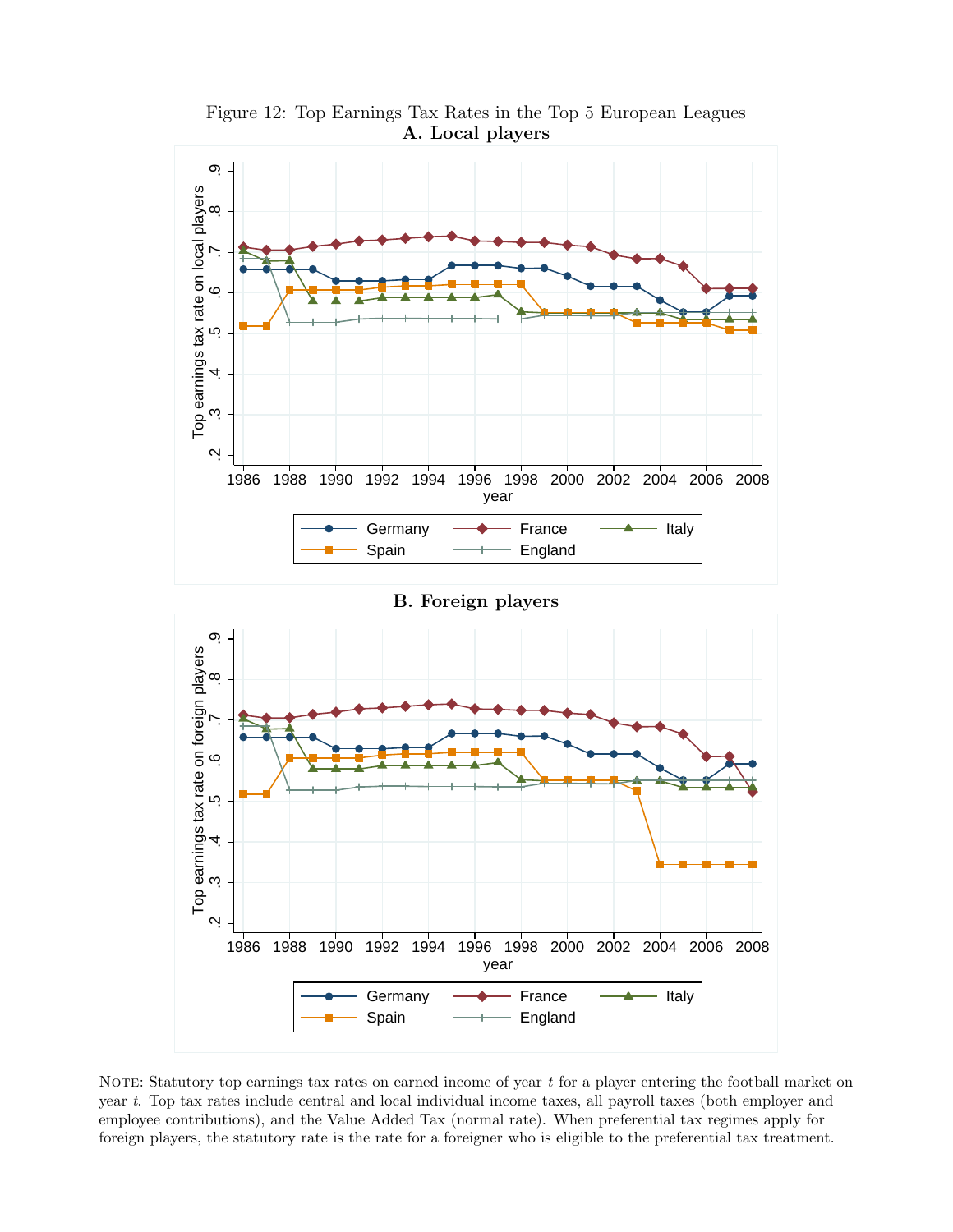

year t. Top tax rates include central and local individual income taxes, all payroll taxes (both employer and employee contributions), and the Value Added Tax (normal rate). When preferential tax regimes apply for foreign players, the statutory rate is the rate for a foreigner who is eligible to the preferential tax treatment.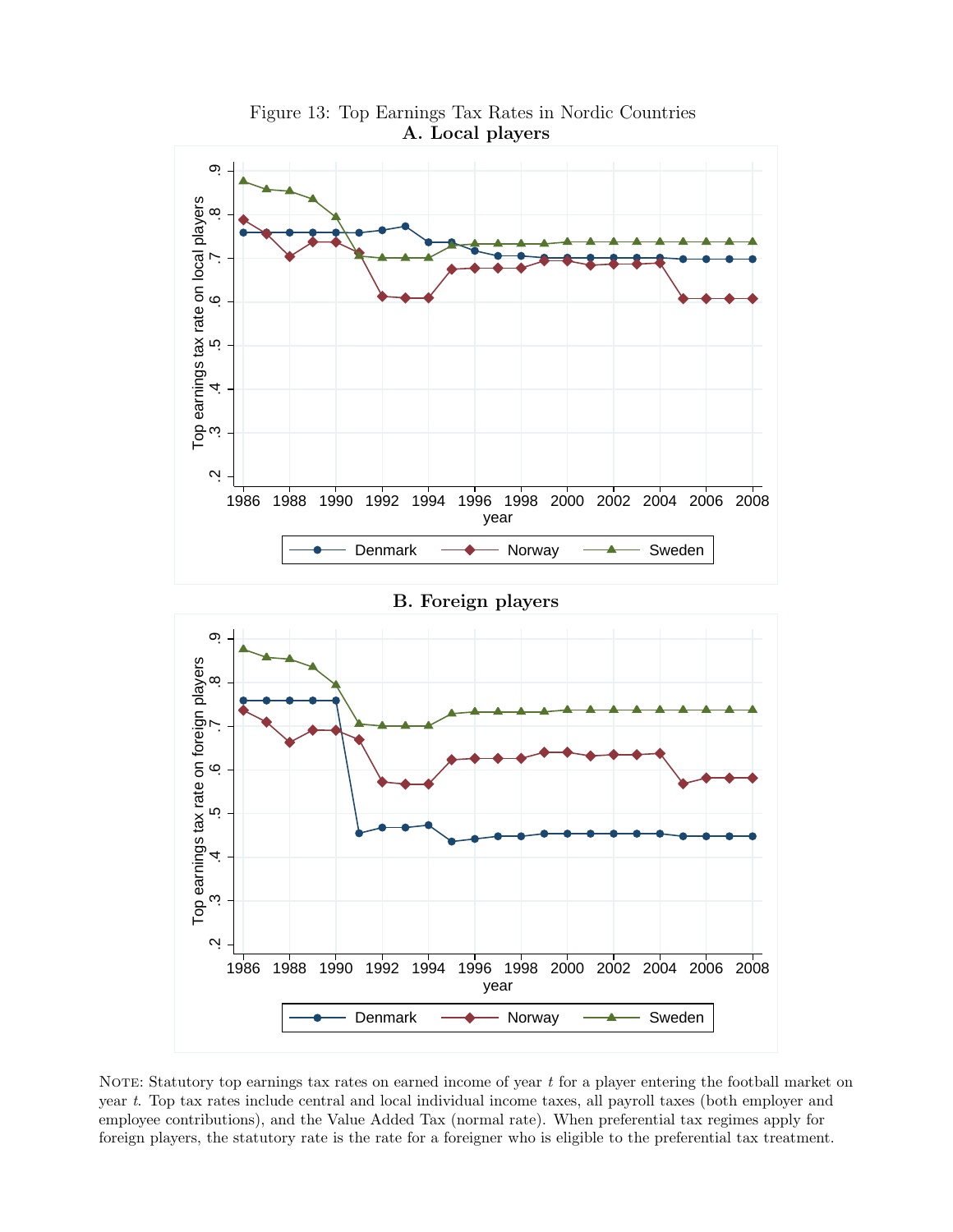

NOTE: Statutory top earnings tax rates on earned income of year  $t$  for a player entering the football market on year t. Top tax rates include central and local individual income taxes, all payroll taxes (both employer and employee contributions), and the Value Added Tax (normal rate). When preferential tax regimes apply for foreign players, the statutory rate is the rate for a foreigner who is eligible to the preferential tax treatment.